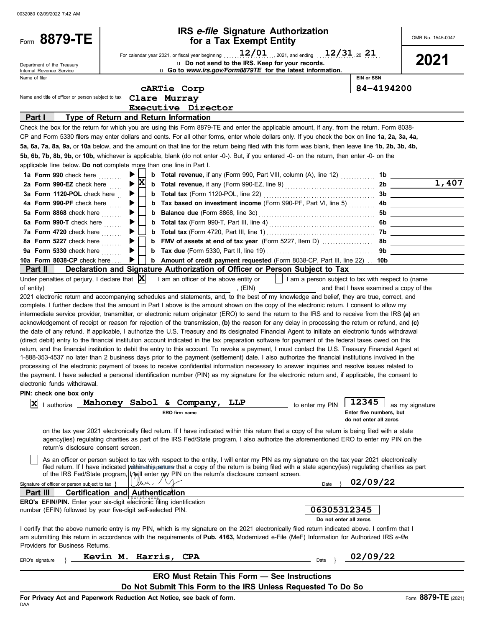| Form 8879-TE                                                                                                                                 |                                       | for a Tax Exempt Entity                                                                        | <b>IRS e-file Signature Authorization</b>                                                                                                                                                                                                                                                              |                                                   | OMB No. 1545-0047 |
|----------------------------------------------------------------------------------------------------------------------------------------------|---------------------------------------|------------------------------------------------------------------------------------------------|--------------------------------------------------------------------------------------------------------------------------------------------------------------------------------------------------------------------------------------------------------------------------------------------------------|---------------------------------------------------|-------------------|
|                                                                                                                                              |                                       |                                                                                                | For calendar year 2021, or fiscal year beginning $12/01$ , 2021, and ending $12/31$ , 20 21                                                                                                                                                                                                            |                                                   |                   |
| Department of the Treasury                                                                                                                   |                                       |                                                                                                | u Do not send to the IRS. Keep for your records.                                                                                                                                                                                                                                                       |                                                   | 2021              |
| Internal Revenue Service<br>Name of filer                                                                                                    |                                       |                                                                                                | u Go to www.irs.gov/Form8879TE for the latest information.                                                                                                                                                                                                                                             | <b>EIN or SSN</b>                                 |                   |
|                                                                                                                                              |                                       |                                                                                                |                                                                                                                                                                                                                                                                                                        |                                                   |                   |
| Name and title of officer or person subject to tax                                                                                           |                                       | <b>CARTie Corp</b>                                                                             |                                                                                                                                                                                                                                                                                                        | 84-4194200                                        |                   |
|                                                                                                                                              | Clare Murray                          | <b>Executive Director</b>                                                                      |                                                                                                                                                                                                                                                                                                        |                                                   |                   |
| Part I                                                                                                                                       | Type of Return and Return Information |                                                                                                |                                                                                                                                                                                                                                                                                                        |                                                   |                   |
|                                                                                                                                              |                                       |                                                                                                | Check the box for the return for which you are using this Form 8879-TE and enter the applicable amount, if any, from the return. Form 8038-                                                                                                                                                            |                                                   |                   |
|                                                                                                                                              |                                       |                                                                                                | CP and Form 5330 filers may enter dollars and cents. For all other forms, enter whole dollars only. If you check the box on line 1a, 2a, 3a, 4a,                                                                                                                                                       |                                                   |                   |
|                                                                                                                                              |                                       |                                                                                                | 5a, 6a, 7a, 8a, 9a, or 10a below, and the amount on that line for the return being filed with this form was blank, then leave line 1b, 2b, 3b, 4b,                                                                                                                                                     |                                                   |                   |
|                                                                                                                                              |                                       |                                                                                                | 5b, 6b, 7b, 8b, 9b, or 10b, whichever is applicable, blank (do not enter -0-). But, if you entered -0- on the return, then enter -0- on the                                                                                                                                                            |                                                   |                   |
| applicable line below. Do not complete more than one line in Part I.                                                                         |                                       |                                                                                                |                                                                                                                                                                                                                                                                                                        |                                                   |                   |
| 1a Form 990 check here $\Box$                                                                                                                |                                       |                                                                                                | b Total revenue, if any (Form 990, Part VIII, column (A), line 12)  1b __________                                                                                                                                                                                                                      |                                                   |                   |
| 2a Form 990-EZ check here $\ldots$                                                                                                           | X<br>▶                                |                                                                                                |                                                                                                                                                                                                                                                                                                        |                                                   | 1,407             |
| 3a Form 1120-POL check here $\mathbb{R}$                                                                                                     |                                       |                                                                                                |                                                                                                                                                                                                                                                                                                        |                                                   |                   |
| 4a Form 990-PF check here $\Box$                                                                                                             |                                       |                                                                                                |                                                                                                                                                                                                                                                                                                        |                                                   |                   |
| 5a Form 8868 check here $\Box$                                                                                                               |                                       |                                                                                                |                                                                                                                                                                                                                                                                                                        |                                                   |                   |
| 6a Form 990-T check here                                                                                                                     | $\blacktriangleright$                 |                                                                                                |                                                                                                                                                                                                                                                                                                        |                                                   |                   |
| 7a Form 4720 check here                                                                                                                      | ▶                                     |                                                                                                |                                                                                                                                                                                                                                                                                                        |                                                   |                   |
| 8a Form 5227 check here                                                                                                                      | ▶                                     |                                                                                                |                                                                                                                                                                                                                                                                                                        |                                                   |                   |
| 9a Form 5330 check here $\ldots$                                                                                                             | ▶                                     |                                                                                                |                                                                                                                                                                                                                                                                                                        |                                                   |                   |
| 10a Form 8038-CP check here                                                                                                                  | $\blacktriangleright$                 |                                                                                                | <b>b</b> Amount of credit payment requested (Form 8038-CP, Part III, line 22) . 10b                                                                                                                                                                                                                    |                                                   |                   |
| Part II                                                                                                                                      |                                       |                                                                                                | Declaration and Signature Authorization of Officer or Person Subject to Tax                                                                                                                                                                                                                            |                                                   |                   |
| Under penalties of perjury, I declare that $ \mathbf{X} $                                                                                    |                                       |                                                                                                | I am an officer of the above entity or     I am a person subject to tax with respect to (name                                                                                                                                                                                                          |                                                   |                   |
| of entity)                                                                                                                                   |                                       |                                                                                                | , (EIN)                                                                                                                                                                                                                                                                                                | and that I have examined a copy of the            |                   |
|                                                                                                                                              |                                       |                                                                                                | 2021 electronic return and accompanying schedules and statements, and, to the best of my knowledge and belief, they are true, correct, and                                                                                                                                                             |                                                   |                   |
|                                                                                                                                              |                                       |                                                                                                | complete. I further declare that the amount in Part I above is the amount shown on the copy of the electronic return. I consent to allow my                                                                                                                                                            |                                                   |                   |
|                                                                                                                                              |                                       |                                                                                                | intermediate service provider, transmitter, or electronic return originator (ERO) to send the return to the IRS and to receive from the IRS (a) an<br>acknowledgement of receipt or reason for rejection of the transmission, (b) the reason for any delay in processing the return or refund, and (c) |                                                   |                   |
|                                                                                                                                              |                                       |                                                                                                | the date of any refund. If applicable, I authorize the U.S. Treasury and its designated Financial Agent to initiate an electronic funds withdrawal                                                                                                                                                     |                                                   |                   |
|                                                                                                                                              |                                       |                                                                                                | (direct debit) entry to the financial institution account indicated in the tax preparation software for payment of the federal taxes owed on this                                                                                                                                                      |                                                   |                   |
|                                                                                                                                              |                                       |                                                                                                | return, and the financial institution to debit the entry to this account. To revoke a payment, I must contact the U.S. Treasury Financial Agent at                                                                                                                                                     |                                                   |                   |
|                                                                                                                                              |                                       |                                                                                                | 1-888-353-4537 no later than 2 business days prior to the payment (settlement) date. I also authorize the financial institutions involved in the                                                                                                                                                       |                                                   |                   |
|                                                                                                                                              |                                       |                                                                                                | processing of the electronic payment of taxes to receive confidential information necessary to answer inquiries and resolve issues related to                                                                                                                                                          |                                                   |                   |
|                                                                                                                                              |                                       |                                                                                                | the payment. I have selected a personal identification number (PIN) as my signature for the electronic return and, if applicable, the consent to                                                                                                                                                       |                                                   |                   |
| electronic funds withdrawal.                                                                                                                 |                                       |                                                                                                |                                                                                                                                                                                                                                                                                                        |                                                   |                   |
| PIN: check one box only                                                                                                                      |                                       |                                                                                                |                                                                                                                                                                                                                                                                                                        |                                                   |                   |
| X<br>authorize                                                                                                                               | Sabol<br>Mahoney                      | <b>LLP</b><br>& Company,                                                                       | to enter my PIN                                                                                                                                                                                                                                                                                        | 12345                                             | as my signature   |
|                                                                                                                                              |                                       | ERO firm name                                                                                  |                                                                                                                                                                                                                                                                                                        | Enter five numbers, but<br>do not enter all zeros |                   |
|                                                                                                                                              |                                       |                                                                                                |                                                                                                                                                                                                                                                                                                        |                                                   |                   |
|                                                                                                                                              |                                       |                                                                                                | on the tax year 2021 electronically filed return. If I have indicated within this return that a copy of the return is being filed with a state                                                                                                                                                         |                                                   |                   |
| return's disclosure consent screen.                                                                                                          |                                       |                                                                                                | agency(ies) regulating charities as part of the IRS Fed/State program, I also authorize the aforementioned ERO to enter my PIN on the                                                                                                                                                                  |                                                   |                   |
|                                                                                                                                              |                                       |                                                                                                | As an officer or person subject to tax with respect to the entity. I will enter my PIN as my signature on the tax year 2021 electronically                                                                                                                                                             |                                                   |                   |
|                                                                                                                                              |                                       |                                                                                                | filed return. If I have indicated within this peturn that a copy of the return is being filed with a state agency(ies) regulating charities as part                                                                                                                                                    |                                                   |                   |
|                                                                                                                                              |                                       | of the IRS Fed/State program,   / yuil enter my PIN on the return's disclosure consent screen. |                                                                                                                                                                                                                                                                                                        |                                                   |                   |
| Signature of officer or person subject to tax }                                                                                              | /Ам,                                  |                                                                                                | Date                                                                                                                                                                                                                                                                                                   | 02/09/22                                          |                   |
| Part III                                                                                                                                     | Certification and Authentication      |                                                                                                |                                                                                                                                                                                                                                                                                                        |                                                   |                   |
| <b>ERO's EFIN/PIN.</b> Enter your six-digit electronic filing identification<br>number (EFIN) followed by your five-digit self-selected PIN. |                                       |                                                                                                | 06305312345                                                                                                                                                                                                                                                                                            |                                                   |                   |
|                                                                                                                                              |                                       |                                                                                                | Do not enter all zeros                                                                                                                                                                                                                                                                                 |                                                   |                   |
|                                                                                                                                              |                                       |                                                                                                | I certify that the above numeric entry is my PIN, which is my signature on the 2021 electronically filed return indicated above. I confirm that I                                                                                                                                                      |                                                   |                   |
|                                                                                                                                              |                                       |                                                                                                | am submitting this return in accordance with the requirements of Pub. 4163, Modernized e-File (MeF) Information for Authorized IRS e-file                                                                                                                                                              |                                                   |                   |
| Providers for Business Returns.                                                                                                              |                                       |                                                                                                |                                                                                                                                                                                                                                                                                                        |                                                   |                   |
| ERO's signature                                                                                                                              | Kevin M. Harris, CPA                  |                                                                                                | Date                                                                                                                                                                                                                                                                                                   | 02/09/22                                          |                   |
|                                                                                                                                              |                                       |                                                                                                | <b>ERO Must Retain This Form - See Instructions</b>                                                                                                                                                                                                                                                    |                                                   |                   |
|                                                                                                                                              |                                       |                                                                                                | Do Not Submit This Form to the IRS Unless Requested To Do So                                                                                                                                                                                                                                           |                                                   |                   |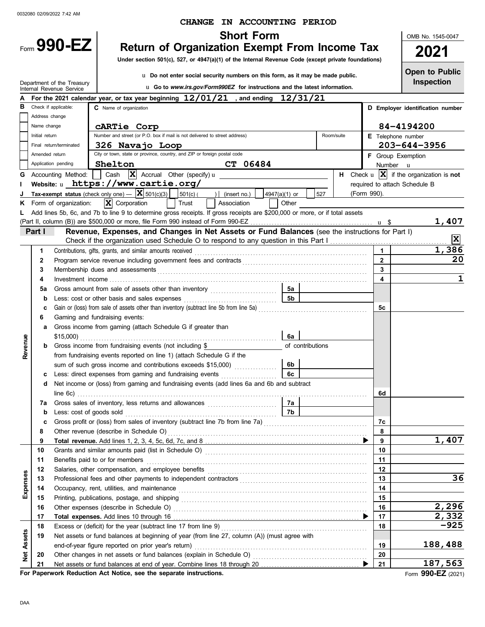### **CHANGE IN ACCOUNTING PERIOD**

|                   |                               |                            | <b>Short Form</b>                                                                                                           |                    | OMB No. 1545-0047                                                |
|-------------------|-------------------------------|----------------------------|-----------------------------------------------------------------------------------------------------------------------------|--------------------|------------------------------------------------------------------|
|                   |                               | Form 990-EZ                | <b>Return of Organization Exempt From Income Tax</b>                                                                        |                    | 2021                                                             |
|                   |                               |                            | Under section 501(c), 527, or 4947(a)(1) of the Internal Revenue Code (except private foundations)                          |                    |                                                                  |
|                   |                               |                            | u Do not enter social security numbers on this form, as it may be made public.                                              |                    | <b>Open to Public</b>                                            |
|                   |                               | Department of the Treasury |                                                                                                                             |                    | Inspection                                                       |
|                   |                               | Internal Revenue Service   | u Go to www.irs.gov/Form990EZ for instructions and the latest information.                                                  |                    |                                                                  |
|                   |                               |                            | For the 2021 calendar year, or tax year beginning $12/01/21$ , and ending $12/31/21$                                        |                    |                                                                  |
| в                 |                               | Check if applicable:       | C Name of organization                                                                                                      |                    | D Employer identification number                                 |
|                   | Address change                |                            |                                                                                                                             |                    |                                                                  |
|                   | Name change<br>Initial return |                            | <b>CARTie Corp</b><br>Number and street (or P.O. box if mail is not delivered to street address)<br>Room/suite              |                    | 84-4194200                                                       |
|                   |                               | Final return/terminated    | 326 Navajo Loop                                                                                                             | E Telephone number | 203-644-3956                                                     |
|                   | Amended return                |                            | City or town, state or province, country, and ZIP or foreign postal code                                                    | F Group Exemption  |                                                                  |
|                   |                               | Application pending        | Shelton<br>CT 06484                                                                                                         | Number u           |                                                                  |
| G                 |                               | Accounting Method:         | Cash $ \mathbf{X} $ Accrual Other (specify) u                                                                               |                    | $\overline{H}$ Check u $\overline{X}$ if the organization is not |
|                   |                               |                            | Website: $u$ https://www.cartie.org/                                                                                        |                    | required to attach Schedule B                                    |
|                   |                               |                            | Tax-exempt status (check only one) $-\sqrt{\mathbf{X}}$ 501(c)(3)<br>$501(c)$ ( ) (insert no.)<br>527<br>4947(a)(1) or      | (Form 990).        |                                                                  |
| Κ                 |                               | Form of organization:      | X Corporation<br>Trust<br>Association<br>Other                                                                              |                    |                                                                  |
|                   |                               |                            | Add lines 5b, 6c, and 7b to line 9 to determine gross receipts. If gross receipts are \$200,000 or more, or if total assets |                    |                                                                  |
|                   |                               |                            |                                                                                                                             |                    | 1,407                                                            |
|                   | Part I                        |                            | Revenue, Expenses, and Changes in Net Assets or Fund Balances (see the instructions for Part I)                             |                    |                                                                  |
|                   |                               |                            |                                                                                                                             |                    | $ \mathbf{x} $                                                   |
|                   | 1                             |                            | Contributions, gifts, grants, and similar amounts received                                                                  | $\mathbf{1}$       | 1,386                                                            |
|                   | 2                             |                            |                                                                                                                             | $\overline{2}$     | 20                                                               |
|                   | 3                             |                            | Membership dues and assessments                                                                                             | 3                  |                                                                  |
|                   | 4                             |                            |                                                                                                                             | 4                  | $\mathbf 1$                                                      |
|                   | 5a                            |                            | Gross amount from sale of assets other than inventory [[[[[[[[[[[[[[[[[[[[[[[[[[]]]]]]]]]]<br>5а                            |                    |                                                                  |
|                   | b                             |                            | 5 <sub>b</sub>                                                                                                              |                    |                                                                  |
|                   | c                             |                            | Gain or (loss) from sale of assets other than inventory (subtract line 5b from line 5a)<br>Gaming and fundraising events:   | 5с                 |                                                                  |
|                   | 6<br>a                        |                            | Gross income from gaming (attach Schedule G if greater than                                                                 |                    |                                                                  |
|                   |                               |                            | 6a                                                                                                                          |                    |                                                                  |
| Revenue           | b                             |                            | Gross income from fundraising events (not including \$<br>of contributions                                                  |                    |                                                                  |
|                   |                               |                            | from fundraising events reported on line 1) (attach Schedule G if the                                                       |                    |                                                                  |
|                   |                               |                            | sum of such gross income and contributions exceeds \$15,000)<br>6b                                                          |                    |                                                                  |
|                   | c                             |                            | Less: direct expenses from gaming and fundraising events<br>6c                                                              |                    |                                                                  |
|                   | d                             |                            | Net income or (loss) from gaming and fundraising events (add lines 6a and 6b and subtract                                   |                    |                                                                  |
|                   |                               | line 6c)                   |                                                                                                                             | 6d                 |                                                                  |
|                   | 7a                            |                            | 7а                                                                                                                          |                    |                                                                  |
|                   | b                             | Less: cost of goods sold   | 7 <sub>b</sub>                                                                                                              |                    |                                                                  |
|                   | c                             |                            |                                                                                                                             | 7c                 |                                                                  |
|                   | 8                             |                            |                                                                                                                             | 8                  |                                                                  |
|                   | 9                             |                            |                                                                                                                             | 9                  | 1,407                                                            |
|                   | 10                            |                            | Benefits paid to or for members                                                                                             | 10<br>11           |                                                                  |
|                   | 11<br>12                      |                            |                                                                                                                             | 12                 |                                                                  |
|                   | 13                            |                            |                                                                                                                             | 13                 | 36                                                               |
| Expenses          | 14                            |                            |                                                                                                                             | 14                 |                                                                  |
|                   | 15                            |                            |                                                                                                                             | 15                 |                                                                  |
|                   | 16                            |                            |                                                                                                                             | 16                 | 2,296                                                            |
|                   | 17                            |                            |                                                                                                                             | 17                 | 2,332                                                            |
|                   | 18                            |                            |                                                                                                                             | 18                 | $-925$                                                           |
| <b>Net Assets</b> | 19                            |                            | Net assets or fund balances at beginning of year (from line 27, column (A)) (must agree with                                |                    |                                                                  |
|                   |                               |                            | end-of-year figure reported on prior year's return)                                                                         | 19                 | 188,488                                                          |
|                   | 20                            |                            |                                                                                                                             | 20                 |                                                                  |
|                   | 21                            |                            |                                                                                                                             | 21                 | 187,563                                                          |

**For Paperwork Reduction Act Notice, see the separate instructions.**

Form **990-EZ** (2021)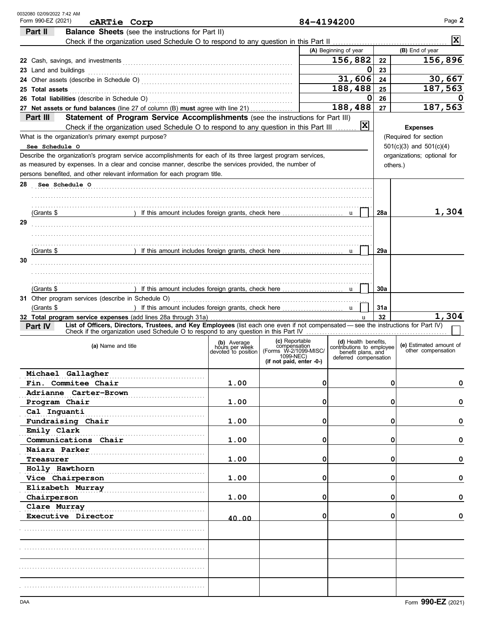| 0032080 02/09/2022 7:42 AM<br>Form 990-EZ (2021)<br><b>CARTie Corp</b>                                                                                                                |                                                      |                                       | 84-4194200                                      |            | Page 2                                        |
|---------------------------------------------------------------------------------------------------------------------------------------------------------------------------------------|------------------------------------------------------|---------------------------------------|-------------------------------------------------|------------|-----------------------------------------------|
| Part II<br><b>Balance Sheets</b> (see the instructions for Part II)                                                                                                                   |                                                      |                                       |                                                 |            |                                               |
|                                                                                                                                                                                       |                                                      |                                       |                                                 |            | $ \mathbf{x} $                                |
|                                                                                                                                                                                       |                                                      |                                       | (A) Beginning of year                           |            | (B) End of year                               |
|                                                                                                                                                                                       |                                                      |                                       | 156,882                                         | 22         | 156,896                                       |
|                                                                                                                                                                                       |                                                      |                                       | 0                                               | 23         |                                               |
|                                                                                                                                                                                       |                                                      |                                       | 31,606                                          | 24         | 30,667                                        |
| 25 Total assets                                                                                                                                                                       |                                                      |                                       | 188,488                                         | 25         | 187,563                                       |
|                                                                                                                                                                                       |                                                      |                                       | 0                                               | 26         | 0                                             |
| 27 Net assets or fund balances (line 27 of column (B) must agree with line 21)                                                                                                        |                                                      |                                       | 188,488                                         | 27         | 187,563                                       |
| Statement of Program Service Accomplishments (see the instructions for Part III)<br>Part III<br>Check if the organization used Schedule O to respond to any question in this Part III |                                                      |                                       | $\overline{\mathbf{x}}$                         |            | <b>Expenses</b>                               |
| What is the organization's primary exempt purpose?                                                                                                                                    |                                                      |                                       |                                                 |            | (Required for section                         |
| See Schedule O                                                                                                                                                                        |                                                      |                                       |                                                 |            | $501(c)(3)$ and $501(c)(4)$                   |
| Describe the organization's program service accomplishments for each of its three largest program services,                                                                           |                                                      |                                       |                                                 |            | organizations; optional for                   |
| as measured by expenses. In a clear and concise manner, describe the services provided, the number of                                                                                 |                                                      |                                       |                                                 | others.)   |                                               |
| persons benefited, and other relevant information for each program title.                                                                                                             |                                                      |                                       |                                                 |            |                                               |
| 28<br>See Schedule O                                                                                                                                                                  |                                                      |                                       |                                                 |            |                                               |
|                                                                                                                                                                                       |                                                      |                                       |                                                 |            |                                               |
|                                                                                                                                                                                       |                                                      |                                       |                                                 |            |                                               |
| (Grants \$                                                                                                                                                                            |                                                      |                                       |                                                 | <b>28a</b> | 1,304                                         |
| 29                                                                                                                                                                                    |                                                      |                                       |                                                 |            |                                               |
|                                                                                                                                                                                       |                                                      |                                       |                                                 |            |                                               |
|                                                                                                                                                                                       |                                                      |                                       |                                                 |            |                                               |
| (Grants \$                                                                                                                                                                            |                                                      |                                       |                                                 | 29a        |                                               |
| 30                                                                                                                                                                                    |                                                      |                                       |                                                 |            |                                               |
|                                                                                                                                                                                       |                                                      |                                       |                                                 |            |                                               |
|                                                                                                                                                                                       |                                                      |                                       |                                                 |            |                                               |
|                                                                                                                                                                                       |                                                      |                                       |                                                 |            |                                               |
| (Grants \$                                                                                                                                                                            |                                                      |                                       |                                                 | 30a        |                                               |
|                                                                                                                                                                                       |                                                      |                                       |                                                 |            |                                               |
| (Grants \$                                                                                                                                                                            |                                                      |                                       |                                                 | 31a        |                                               |
| List of Officers, Directors, Trustees, and Key Employees (list each one even if not compensated - see the instructions for Part IV)                                                   |                                                      |                                       | u                                               | 32         | 1,304                                         |
| Part IV<br>Check if the organization used Schedule O to respond to any question in this Part IV                                                                                       |                                                      |                                       |                                                 |            |                                               |
|                                                                                                                                                                                       |                                                      | (c) Reportable                        | (d) Health benefits,                            |            |                                               |
| (a) Name and title                                                                                                                                                                    | (b) Average<br>hours per week<br>devoted to position | cómpensation<br>(Forms W-2/1099-MISC/ | contributions to employee<br>benefit plans, and |            | (e) Estimated amount of<br>other compensation |
|                                                                                                                                                                                       |                                                      | 1099-NEC)<br>(if not paid, enter -0-) | deferred compensation                           |            |                                               |
|                                                                                                                                                                                       |                                                      |                                       |                                                 |            |                                               |
| Michael Gallagher                                                                                                                                                                     |                                                      |                                       |                                                 |            |                                               |
| Fin. Commitee Chair                                                                                                                                                                   | 1.00                                                 | 0                                     |                                                 | O          | O                                             |
| Adrianne Carter-Brown                                                                                                                                                                 |                                                      |                                       |                                                 |            |                                               |
| Program Chair                                                                                                                                                                         | 1.00                                                 | 0                                     |                                                 | O          | O                                             |
| Cal Inguanti                                                                                                                                                                          |                                                      |                                       |                                                 |            |                                               |
| Fundraising Chair                                                                                                                                                                     | 1.00                                                 | 0                                     |                                                 | O          | 0                                             |
| Emily Clark                                                                                                                                                                           |                                                      |                                       |                                                 |            |                                               |
| Communications Chair                                                                                                                                                                  | 1.00                                                 | 0                                     |                                                 | 0          | 0                                             |
| Naiara Parker                                                                                                                                                                         |                                                      |                                       |                                                 |            |                                               |
| Treasurer                                                                                                                                                                             | 1.00                                                 | 0                                     |                                                 | 0          | 0                                             |
| Holly Hawthorn                                                                                                                                                                        |                                                      |                                       |                                                 |            |                                               |
| Vice Chairperson                                                                                                                                                                      | 1.00                                                 | 0                                     |                                                 | 0          | 0                                             |
| Elizabeth Murray                                                                                                                                                                      |                                                      |                                       |                                                 |            |                                               |
| Chairperson                                                                                                                                                                           | 1.00                                                 | 0                                     |                                                 | 0          | 0                                             |
| Clare Murray                                                                                                                                                                          |                                                      |                                       |                                                 |            |                                               |
| Executive Director                                                                                                                                                                    | 40.00                                                | 0                                     |                                                 | 0          | 0                                             |
|                                                                                                                                                                                       |                                                      |                                       |                                                 |            |                                               |
|                                                                                                                                                                                       |                                                      |                                       |                                                 |            |                                               |
|                                                                                                                                                                                       |                                                      |                                       |                                                 |            |                                               |
|                                                                                                                                                                                       |                                                      |                                       |                                                 |            |                                               |
|                                                                                                                                                                                       |                                                      |                                       |                                                 |            |                                               |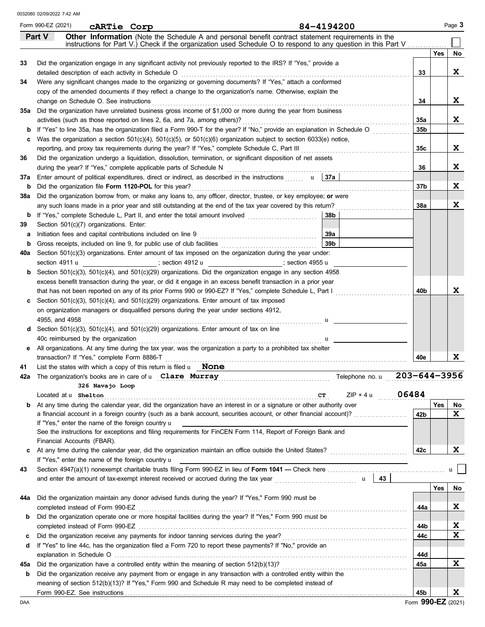|        | Form 990-EZ (2021)<br>84-4194200<br><b>CARTie Corp</b>                                                                                                                                                                      |                 |            | Page 3       |
|--------|-----------------------------------------------------------------------------------------------------------------------------------------------------------------------------------------------------------------------------|-----------------|------------|--------------|
|        | Other Information (Note the Schedule A and personal benefit contract statement requirements in the<br>Part V                                                                                                                |                 |            |              |
|        | instructions for Part V.) Check if the organization used Schedule O to respond to any question in this Part V                                                                                                               |                 |            |              |
|        |                                                                                                                                                                                                                             |                 | <b>Yes</b> | <b>No</b>    |
| 33     | Did the organization engage in any significant activity not previously reported to the IRS? If "Yes," provide a                                                                                                             | 33              |            | X            |
| 34     | detailed description of each activity in Schedule O Mathematic and Constant Constant Constant Constant Constant<br>Were any significant changes made to the organizing or governing documents? If "Yes," attach a conformed |                 |            |              |
|        | copy of the amended documents if they reflect a change to the organization's name. Otherwise, explain the                                                                                                                   |                 |            |              |
|        | change on Schedule O. See instructions                                                                                                                                                                                      | 34              |            | X            |
| 35а    | Did the organization have unrelated business gross income of \$1,000 or more during the year from business                                                                                                                  |                 |            |              |
|        | activities (such as those reported on lines 2, 6a, and 7a, among others)?                                                                                                                                                   | <b>35a</b>      |            | X            |
|        | If "Yes" to line 35a, has the organization filed a Form 990-T for the year? If "No," provide an explanation in Schedule O                                                                                                   | 35b             |            |              |
| c      | Was the organization a section $501(c)(4)$ , $501(c)(5)$ , or $501(c)(6)$ organization subject to section 6033(e) notice,                                                                                                   |                 |            |              |
|        | reporting, and proxy tax requirements during the year? If "Yes," complete Schedule C, Part III [[[[[[[[[[[[[[                                                                                                               | 35c             |            | X            |
| 36     | Did the organization undergo a liquidation, dissolution, termination, or significant disposition of net assets                                                                                                              |                 |            |              |
|        | during the year? If "Yes," complete applicable parts of Schedule N                                                                                                                                                          | 36              |            | X            |
| 37а    | Enter amount of political expenditures, direct or indirect, as described in the instructions $\frac{u}{1.000}$ = $\frac{37a}{2.000}$                                                                                        |                 |            |              |
| b      |                                                                                                                                                                                                                             | 37b             |            | X            |
| 38a    | Did the organization borrow from, or make any loans to, any officer, director, trustee, or key employee; or were                                                                                                            |                 |            |              |
|        | any such loans made in a prior year and still outstanding at the end of the tax year covered by this return?                                                                                                                | 38a             |            | X            |
| b      | If "Yes," complete Schedule L, Part II, and enter the total amount involved <i>[[[[[[[[[[[[[[[[[[[[[[[[[[[[[[[[[[[]]]]</i><br>38 <sub>b</sub>                                                                               |                 |            |              |
| 39     | Section 501(c)(7) organizations. Enter:                                                                                                                                                                                     |                 |            |              |
| а      | 39а                                                                                                                                                                                                                         |                 |            |              |
|        | 39 <sub>b</sub>                                                                                                                                                                                                             |                 |            |              |
| 40a    | Section 501(c)(3) organizations. Enter amount of tax imposed on the organization during the year under:                                                                                                                     |                 |            |              |
|        | section 4911 u _______________________; section 4912 u ___________________; section 4955 u                                                                                                                                  |                 |            |              |
| b      | Section $501(c)(3)$ , $501(c)(4)$ , and $501(c)(29)$ organizations. Did the organization engage in any section 4958                                                                                                         |                 |            |              |
|        | excess benefit transaction during the year, or did it engage in an excess benefit transaction in a prior year                                                                                                               |                 |            |              |
|        | that has not been reported on any of its prior Forms 990 or 990-EZ? If "Yes," complete Schedule L, Part I                                                                                                                   | 40 <sub>b</sub> |            | X            |
| c      | Section $501(c)(3)$ , $501(c)(4)$ , and $501(c)(29)$ organizations. Enter amount of tax imposed                                                                                                                             |                 |            |              |
|        | on organization managers or disqualified persons during the year under sections 4912,                                                                                                                                       |                 |            |              |
|        | 4955, and 4958                                                                                                                                                                                                              |                 |            |              |
|        | Section 501(c)(3), 501(c)(4), and 501(c)(29) organizations. Enter amount of tax on line                                                                                                                                     |                 |            |              |
|        | 40c reimbursed by the organization                                                                                                                                                                                          |                 |            |              |
| е      | All organizations. At any time during the tax year, was the organization a party to a prohibited tax shelter                                                                                                                |                 |            |              |
|        | transaction? If "Yes," complete Form 8886-T                                                                                                                                                                                 | 40e             |            | X            |
| 41     | List the states with which a copy of this return is filed $u$ None                                                                                                                                                          |                 |            |              |
|        | 42a The organization's books are in care of u Clare Murray<br>Telephone no. u                                                                                                                                               | 203-644-3956    |            |              |
|        | 326 Navajo Loop                                                                                                                                                                                                             |                 |            |              |
|        | 06484<br>$ZIP + 4u$<br>Located at u Shelton                                                                                                                                                                                 |                 |            |              |
| b      | At any time during the calendar year, did the organization have an interest in or a signature or other authority over                                                                                                       |                 | Yes        | No           |
|        |                                                                                                                                                                                                                             | 42b             |            | $\mathbf{x}$ |
|        | If "Yes," enter the name of the foreign country u<br>See the instructions for exceptions and filing requirements for FinCEN Form 114, Report of Foreign Bank and                                                            |                 |            |              |
|        | Financial Accounts (FBAR).                                                                                                                                                                                                  |                 |            |              |
| c      |                                                                                                                                                                                                                             | 42c             |            | X            |
|        | If "Yes," enter the name of the foreign country u                                                                                                                                                                           |                 |            |              |
| 43     |                                                                                                                                                                                                                             |                 |            | u.           |
|        |                                                                                                                                                                                                                             |                 |            |              |
|        |                                                                                                                                                                                                                             |                 | Yes        | No           |
| 44a    | Did the organization maintain any donor advised funds during the year? If "Yes," Form 990 must be                                                                                                                           |                 |            |              |
|        | completed instead of Form 990-EZ                                                                                                                                                                                            | 44a             |            | X            |
| b      | Did the organization operate one or more hospital facilities during the year? If "Yes," Form 990 must be                                                                                                                    |                 |            |              |
|        |                                                                                                                                                                                                                             | 44b             |            | X            |
|        |                                                                                                                                                                                                                             | 44c             |            | X            |
| с<br>d | If "Yes" to line 44c, has the organization filed a Form 720 to report these payments? If "No," provide an                                                                                                                   |                 |            |              |
|        |                                                                                                                                                                                                                             | 44d             |            |              |
|        | Did the organization have a controlled entity within the meaning of section 512(b)(13)?                                                                                                                                     | 45a             |            | X            |
| 45a    |                                                                                                                                                                                                                             |                 |            |              |
| b      | Did the organization receive any payment from or engage in any transaction with a controlled entity within the<br>meaning of section 512(b)(13)? If "Yes," Form 990 and Schedule R may need to be completed instead of      |                 |            |              |
|        |                                                                                                                                                                                                                             | 45b             |            | X            |
|        |                                                                                                                                                                                                                             |                 |            |              |

| 4194200- |  |  |  |
|----------|--|--|--|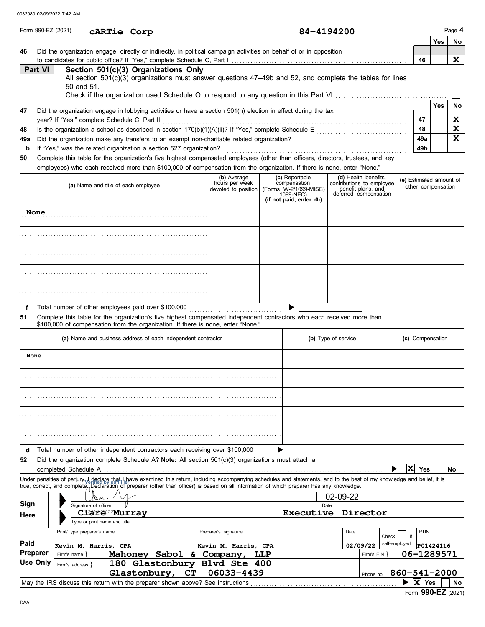|                   |                 | Form 990-EZ (2021)<br><b>CARTie Corp</b>                                                                                                                                                                                                                                                                                             |                                                      |            | 84-4194200                                                                                       |                     |                                                                                                  |                     |                                               |            | Page 4 |
|-------------------|-----------------|--------------------------------------------------------------------------------------------------------------------------------------------------------------------------------------------------------------------------------------------------------------------------------------------------------------------------------------|------------------------------------------------------|------------|--------------------------------------------------------------------------------------------------|---------------------|--------------------------------------------------------------------------------------------------|---------------------|-----------------------------------------------|------------|--------|
|                   |                 |                                                                                                                                                                                                                                                                                                                                      |                                                      |            |                                                                                                  |                     |                                                                                                  |                     |                                               | Yes        | No     |
| 46                |                 | Did the organization engage, directly or indirectly, in political campaign activities on behalf of or in opposition                                                                                                                                                                                                                  |                                                      |            |                                                                                                  |                     |                                                                                                  |                     | 46                                            |            | X      |
|                   | Part VI         | Section 501(c)(3) Organizations Only<br>All section $501(c)(3)$ organizations must answer questions $47-49b$ and $52$ , and complete the tables for lines<br>50 and 51.                                                                                                                                                              |                                                      |            |                                                                                                  |                     |                                                                                                  |                     |                                               |            |        |
|                   |                 |                                                                                                                                                                                                                                                                                                                                      |                                                      |            |                                                                                                  |                     |                                                                                                  |                     |                                               | <b>Yes</b> | No     |
| 47                |                 | Did the organization engage in lobbying activities or have a section 501(h) election in effect during the tax<br>year? If "Yes," complete Schedule C, Part II                                                                                                                                                                        |                                                      |            |                                                                                                  |                     |                                                                                                  |                     | 47                                            |            | X      |
| 48                |                 |                                                                                                                                                                                                                                                                                                                                      |                                                      |            |                                                                                                  |                     |                                                                                                  |                     | 48                                            |            | X      |
| 49a               |                 |                                                                                                                                                                                                                                                                                                                                      |                                                      |            |                                                                                                  |                     |                                                                                                  |                     | 49a                                           |            | X      |
| b                 |                 | If "Yes," was the related organization a section 527 organization?                                                                                                                                                                                                                                                                   |                                                      |            |                                                                                                  |                     |                                                                                                  |                     | 49 <sub>b</sub>                               |            |        |
| 50                |                 | Complete this table for the organization's five highest compensated employees (other than officers, directors, trustees, and key                                                                                                                                                                                                     |                                                      |            |                                                                                                  |                     |                                                                                                  |                     |                                               |            |        |
|                   |                 | employees) who each received more than \$100,000 of compensation from the organization. If there is none, enter "None."                                                                                                                                                                                                              |                                                      |            |                                                                                                  |                     |                                                                                                  |                     |                                               |            |        |
|                   |                 | (a) Name and title of each employee                                                                                                                                                                                                                                                                                                  | (b) Average<br>hours per week<br>devoted to position |            | (c) Reportable<br>compensation<br>(Forms W-2/1099-MISC)<br>1099-NEC)<br>(if not paid, enter -0-) |                     | (d) Health benefits,<br>contributions to employee<br>benefit plans, and<br>deferred compensation |                     | (e) Estimated amount of<br>other compensation |            |        |
|                   | None            |                                                                                                                                                                                                                                                                                                                                      |                                                      |            |                                                                                                  |                     |                                                                                                  |                     |                                               |            |        |
|                   |                 |                                                                                                                                                                                                                                                                                                                                      |                                                      |            |                                                                                                  |                     |                                                                                                  |                     |                                               |            |        |
|                   |                 |                                                                                                                                                                                                                                                                                                                                      |                                                      |            |                                                                                                  |                     |                                                                                                  |                     |                                               |            |        |
|                   |                 |                                                                                                                                                                                                                                                                                                                                      |                                                      |            |                                                                                                  |                     |                                                                                                  |                     |                                               |            |        |
|                   |                 |                                                                                                                                                                                                                                                                                                                                      |                                                      |            |                                                                                                  |                     |                                                                                                  |                     |                                               |            |        |
|                   |                 |                                                                                                                                                                                                                                                                                                                                      |                                                      |            |                                                                                                  |                     |                                                                                                  |                     |                                               |            |        |
| $\mathbf f$<br>51 |                 | Total number of other employees paid over \$100,000<br>Complete this table for the organization's five highest compensated independent contractors who each received more than<br>\$100,000 of compensation from the organization. If there is none, enter "None."                                                                   |                                                      |            |                                                                                                  |                     |                                                                                                  |                     |                                               |            |        |
|                   |                 | (a) Name and business address of each independent contractor                                                                                                                                                                                                                                                                         |                                                      |            |                                                                                                  | (b) Type of service |                                                                                                  |                     | (c) Compensation                              |            |        |
| None              |                 |                                                                                                                                                                                                                                                                                                                                      |                                                      |            |                                                                                                  |                     |                                                                                                  |                     |                                               |            |        |
|                   |                 |                                                                                                                                                                                                                                                                                                                                      |                                                      |            |                                                                                                  |                     |                                                                                                  |                     |                                               |            |        |
|                   |                 |                                                                                                                                                                                                                                                                                                                                      |                                                      |            |                                                                                                  |                     |                                                                                                  |                     |                                               |            |        |
|                   |                 |                                                                                                                                                                                                                                                                                                                                      |                                                      |            |                                                                                                  |                     |                                                                                                  |                     |                                               |            |        |
|                   |                 |                                                                                                                                                                                                                                                                                                                                      |                                                      |            |                                                                                                  |                     |                                                                                                  |                     |                                               |            |        |
| d<br>52           |                 | Total number of other independent contractors each receiving over \$100,000<br>Did the organization complete Schedule A? Note: All section $501(c)(3)$ organizations must attach a                                                                                                                                                   |                                                      |            |                                                                                                  |                     |                                                                                                  |                     |                                               |            |        |
|                   |                 | completed Schedule A                                                                                                                                                                                                                                                                                                                 |                                                      |            |                                                                                                  |                     |                                                                                                  | X                   | Yes                                           |            | No     |
|                   |                 | Under penalties of perjury <sub>ve</sub> ldeclare that libave examined this return, including accompanying schedules and statements, and to the best of my knowledge and belief, it is<br>true, correct, and complete, Declaration of preparer (other than officer) is based on all information of which preparer has any knowledge. |                                                      |            |                                                                                                  |                     |                                                                                                  |                     |                                               |            |        |
|                   |                 |                                                                                                                                                                                                                                                                                                                                      |                                                      |            |                                                                                                  | 02-09-22            |                                                                                                  |                     |                                               |            |        |
| Sign<br>Here      |                 | Signature of officer<br><b>Clare<sup>22</sup>Murray</b><br>Type or print name and title                                                                                                                                                                                                                                              |                                                      |            | Date<br><b>Executive Director</b>                                                                |                     |                                                                                                  |                     |                                               |            |        |
|                   |                 | Print/Type preparer's name                                                                                                                                                                                                                                                                                                           | Preparer's signature                                 |            |                                                                                                  | Date                |                                                                                                  |                     | PTIN                                          |            |        |
| Paid              |                 |                                                                                                                                                                                                                                                                                                                                      |                                                      |            |                                                                                                  | 02/09/22            | Check                                                                                            | if<br>self-employed | P01424116                                     |            |        |
| Preparer          |                 | Kevin M. Harris, CPA<br>Mahoney Sabol & Company,<br>Firm's name                                                                                                                                                                                                                                                                      | Kevin M. Harris, CPA                                 | <b>TTB</b> |                                                                                                  |                     | Firm's $EIN$                                                                                     |                     | 06-1289571                                    |            |        |
|                   | <b>Use Only</b> | 180 Glastonbury Blvd Ste 400<br>Firm's address $\}$                                                                                                                                                                                                                                                                                  |                                                      |            |                                                                                                  |                     |                                                                                                  |                     |                                               |            |        |
|                   |                 | Glastonbury,<br><b>CT</b>                                                                                                                                                                                                                                                                                                            | 06033-4439                                           |            |                                                                                                  |                     | Phone no.                                                                                        | 860-541-2000        |                                               |            |        |
|                   |                 | May the IRS discuss this return with the preparer shown above? See instructions                                                                                                                                                                                                                                                      |                                                      |            |                                                                                                  |                     |                                                                                                  |                     | $ X $ Yes                                     |            | No.    |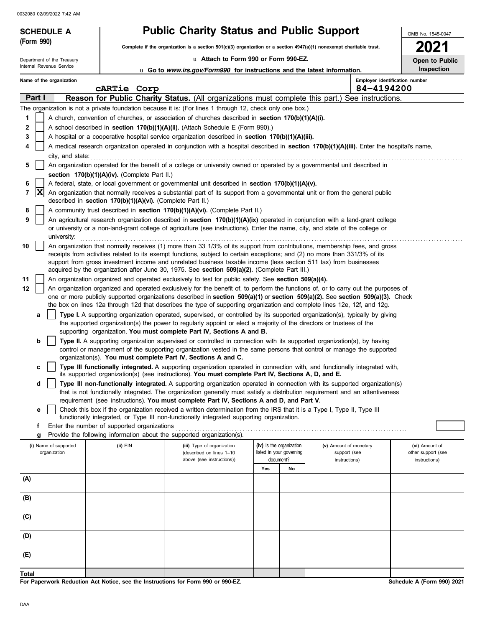**(Form 990)**

# **SCHEDULE A Public Charity Status and Public Support**

**Complete if the organization is a section 501(c)(3) organization or a section 4947(a)(1) nonexempt charitable trust.**

#### u **Attach to Form 990 or Form 990-EZ.**

**2021 Open to Public**

OMB No. 1545-0047

|        | u Attach to Form 990 or Form 990-EZ.<br>Department of the Treasury                                                                         |                                       |                                                            |                                                                                                                                                                                                                                                                                                                                                                                                                                                                                 |     | Open to Public                                                    |                                              |                                                       |
|--------|--------------------------------------------------------------------------------------------------------------------------------------------|---------------------------------------|------------------------------------------------------------|---------------------------------------------------------------------------------------------------------------------------------------------------------------------------------------------------------------------------------------------------------------------------------------------------------------------------------------------------------------------------------------------------------------------------------------------------------------------------------|-----|-------------------------------------------------------------------|----------------------------------------------|-------------------------------------------------------|
|        |                                                                                                                                            | Internal Revenue Service              |                                                            | u Go to www.irs.gov/Form990 for instructions and the latest information.                                                                                                                                                                                                                                                                                                                                                                                                        |     |                                                                   |                                              | Inspection                                            |
|        |                                                                                                                                            | Name of the organization              | <b>CARTie Corp</b>                                         |                                                                                                                                                                                                                                                                                                                                                                                                                                                                                 |     |                                                                   | Employer identification number<br>84-4194200 |                                                       |
|        | Part I                                                                                                                                     |                                       |                                                            | Reason for Public Charity Status. (All organizations must complete this part.) See instructions.                                                                                                                                                                                                                                                                                                                                                                                |     |                                                                   |                                              |                                                       |
|        |                                                                                                                                            |                                       |                                                            | The organization is not a private foundation because it is: (For lines 1 through 12, check only one box.)                                                                                                                                                                                                                                                                                                                                                                       |     |                                                                   |                                              |                                                       |
| 1      |                                                                                                                                            |                                       |                                                            | A church, convention of churches, or association of churches described in <b>section 170(b)(1)(A)(i).</b>                                                                                                                                                                                                                                                                                                                                                                       |     |                                                                   |                                              |                                                       |
| 2      |                                                                                                                                            |                                       |                                                            | A school described in section 170(b)(1)(A)(ii). (Attach Schedule E (Form 990).)                                                                                                                                                                                                                                                                                                                                                                                                 |     |                                                                   |                                              |                                                       |
| 3      |                                                                                                                                            |                                       |                                                            | A hospital or a cooperative hospital service organization described in section 170(b)(1)(A)(iii).                                                                                                                                                                                                                                                                                                                                                                               |     |                                                                   |                                              |                                                       |
| 4      | A medical research organization operated in conjunction with a hospital described in section 170(b)(1)(A)(iii). Enter the hospital's name, |                                       |                                                            |                                                                                                                                                                                                                                                                                                                                                                                                                                                                                 |     |                                                                   |                                              |                                                       |
|        | city, and state:                                                                                                                           |                                       |                                                            |                                                                                                                                                                                                                                                                                                                                                                                                                                                                                 |     |                                                                   |                                              |                                                       |
| 5      | An organization operated for the benefit of a college or university owned or operated by a governmental unit described in                  |                                       |                                                            |                                                                                                                                                                                                                                                                                                                                                                                                                                                                                 |     |                                                                   |                                              |                                                       |
|        |                                                                                                                                            |                                       | section 170(b)(1)(A)(iv). (Complete Part II.)              |                                                                                                                                                                                                                                                                                                                                                                                                                                                                                 |     |                                                                   |                                              |                                                       |
| 6<br>7 | X                                                                                                                                          |                                       |                                                            | A federal, state, or local government or governmental unit described in section 170(b)(1)(A)(v).<br>An organization that normally receives a substantial part of its support from a governmental unit or from the general public                                                                                                                                                                                                                                                |     |                                                                   |                                              |                                                       |
|        |                                                                                                                                            |                                       | described in section 170(b)(1)(A)(vi). (Complete Part II.) |                                                                                                                                                                                                                                                                                                                                                                                                                                                                                 |     |                                                                   |                                              |                                                       |
| 8<br>9 |                                                                                                                                            |                                       |                                                            | A community trust described in section 170(b)(1)(A)(vi). (Complete Part II.)                                                                                                                                                                                                                                                                                                                                                                                                    |     |                                                                   |                                              |                                                       |
|        |                                                                                                                                            | university:                           |                                                            | An agricultural research organization described in section 170(b)(1)(A)(ix) operated in conjunction with a land-grant college<br>or university or a non-land-grant college of agriculture (see instructions). Enter the name, city, and state of the college or                                                                                                                                                                                                                 |     |                                                                   |                                              |                                                       |
| 10     |                                                                                                                                            |                                       |                                                            | An organization that normally receives (1) more than 33 1/3% of its support from contributions, membership fees, and gross<br>receipts from activities related to its exempt functions, subject to certain exceptions; and (2) no more than 331/3% of its<br>support from gross investment income and unrelated business taxable income (less section 511 tax) from businesses<br>acquired by the organization after June 30, 1975. See section 509(a)(2). (Complete Part III.) |     |                                                                   |                                              |                                                       |
| 11     |                                                                                                                                            |                                       |                                                            | An organization organized and operated exclusively to test for public safety. See section 509(a)(4).                                                                                                                                                                                                                                                                                                                                                                            |     |                                                                   |                                              |                                                       |
| 12     |                                                                                                                                            |                                       |                                                            | An organization organized and operated exclusively for the benefit of, to perform the functions of, or to carry out the purposes of                                                                                                                                                                                                                                                                                                                                             |     |                                                                   |                                              |                                                       |
|        |                                                                                                                                            |                                       |                                                            | one or more publicly supported organizations described in section 509(a)(1) or section 509(a)(2). See section 509(a)(3). Check                                                                                                                                                                                                                                                                                                                                                  |     |                                                                   |                                              |                                                       |
|        |                                                                                                                                            |                                       |                                                            | the box on lines 12a through 12d that describes the type of supporting organization and complete lines 12e, 12f, and 12g.                                                                                                                                                                                                                                                                                                                                                       |     |                                                                   |                                              |                                                       |
|        | а                                                                                                                                          |                                       |                                                            | Type I. A supporting organization operated, supervised, or controlled by its supported organization(s), typically by giving                                                                                                                                                                                                                                                                                                                                                     |     |                                                                   |                                              |                                                       |
|        |                                                                                                                                            |                                       |                                                            | the supported organization(s) the power to regularly appoint or elect a majority of the directors or trustees of the                                                                                                                                                                                                                                                                                                                                                            |     |                                                                   |                                              |                                                       |
|        |                                                                                                                                            |                                       |                                                            | supporting organization. You must complete Part IV, Sections A and B.                                                                                                                                                                                                                                                                                                                                                                                                           |     |                                                                   |                                              |                                                       |
|        | b                                                                                                                                          |                                       |                                                            | <b>Type II.</b> A supporting organization supervised or controlled in connection with its supported organization(s), by having<br>control or management of the supporting organization vested in the same persons that control or manage the supported<br>organization(s). You must complete Part IV, Sections A and C.                                                                                                                                                         |     |                                                                   |                                              |                                                       |
|        | c                                                                                                                                          |                                       |                                                            | Type III functionally integrated. A supporting organization operated in connection with, and functionally integrated with,<br>its supported organization(s) (see instructions). You must complete Part IV, Sections A, D, and E.                                                                                                                                                                                                                                                |     |                                                                   |                                              |                                                       |
|        | d                                                                                                                                          |                                       |                                                            | Type III non-functionally integrated. A supporting organization operated in connection with its supported organization(s)<br>that is not functionally integrated. The organization generally must satisfy a distribution requirement and an attentiveness                                                                                                                                                                                                                       |     |                                                                   |                                              |                                                       |
|        |                                                                                                                                            |                                       |                                                            | requirement (see instructions). You must complete Part IV, Sections A and D, and Part V.                                                                                                                                                                                                                                                                                                                                                                                        |     |                                                                   |                                              |                                                       |
|        |                                                                                                                                            |                                       |                                                            | Check this box if the organization received a written determination from the IRS that it is a Type I, Type II, Type III<br>functionally integrated, or Type III non-functionally integrated supporting organization.                                                                                                                                                                                                                                                            |     |                                                                   |                                              |                                                       |
|        | f                                                                                                                                          |                                       | Enter the number of supported organizations                |                                                                                                                                                                                                                                                                                                                                                                                                                                                                                 |     |                                                                   |                                              |                                                       |
|        | g                                                                                                                                          |                                       |                                                            | Provide the following information about the supported organization(s).                                                                                                                                                                                                                                                                                                                                                                                                          |     |                                                                   |                                              |                                                       |
|        |                                                                                                                                            | (i) Name of supported<br>organization | $(ii)$ $EIN$                                               | (iii) Type of organization<br>(described on lines 1-10<br>above (see instructions))                                                                                                                                                                                                                                                                                                                                                                                             |     | (iv) Is the organization<br>listed in your governing<br>document? | (v) Amount of monetary<br>support (see       | (vi) Amount of<br>other support (see<br>instructions) |
|        |                                                                                                                                            |                                       |                                                            |                                                                                                                                                                                                                                                                                                                                                                                                                                                                                 | Yes | No                                                                | instructions)                                |                                                       |
| (A)    |                                                                                                                                            |                                       |                                                            |                                                                                                                                                                                                                                                                                                                                                                                                                                                                                 |     |                                                                   |                                              |                                                       |
|        |                                                                                                                                            |                                       |                                                            |                                                                                                                                                                                                                                                                                                                                                                                                                                                                                 |     |                                                                   |                                              |                                                       |
| (B)    |                                                                                                                                            |                                       |                                                            |                                                                                                                                                                                                                                                                                                                                                                                                                                                                                 |     |                                                                   |                                              |                                                       |
|        | (C)                                                                                                                                        |                                       |                                                            |                                                                                                                                                                                                                                                                                                                                                                                                                                                                                 |     |                                                                   |                                              |                                                       |
| (D)    |                                                                                                                                            |                                       |                                                            |                                                                                                                                                                                                                                                                                                                                                                                                                                                                                 |     |                                                                   |                                              |                                                       |
| (E)    |                                                                                                                                            |                                       |                                                            |                                                                                                                                                                                                                                                                                                                                                                                                                                                                                 |     |                                                                   |                                              |                                                       |
| Total  |                                                                                                                                            |                                       |                                                            |                                                                                                                                                                                                                                                                                                                                                                                                                                                                                 |     |                                                                   |                                              |                                                       |

**For Paperwork Reduction Act Notice, see the Instructions for Form 990 or 990-EZ.**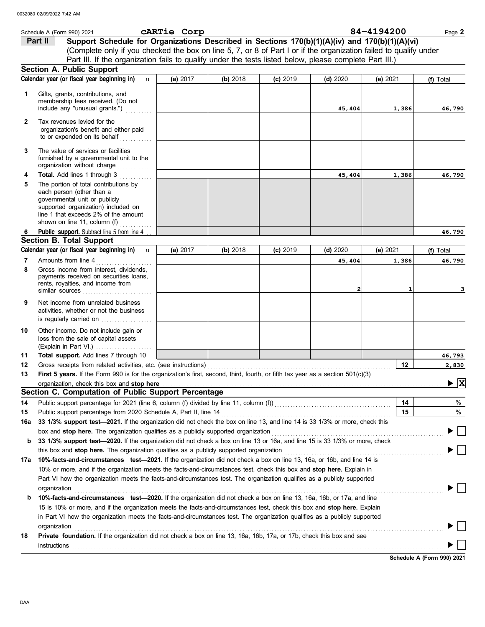|              | Schedule A (Form 990) 2021                                                                                                                                                                                                     | <b>CARTie Corp</b> |          |            |                | 84-4194200       | Page 2                               |
|--------------|--------------------------------------------------------------------------------------------------------------------------------------------------------------------------------------------------------------------------------|--------------------|----------|------------|----------------|------------------|--------------------------------------|
|              | Part II<br>Support Schedule for Organizations Described in Sections 170(b)(1)(A)(iv) and 170(b)(1)(A)(vi)                                                                                                                      |                    |          |            |                |                  |                                      |
|              | (Complete only if you checked the box on line 5, 7, or 8 of Part I or if the organization failed to qualify under                                                                                                              |                    |          |            |                |                  |                                      |
|              | Part III. If the organization fails to qualify under the tests listed below, please complete Part III.)                                                                                                                        |                    |          |            |                |                  |                                      |
|              | <b>Section A. Public Support</b>                                                                                                                                                                                               |                    |          |            |                |                  |                                      |
|              | Calendar year (or fiscal year beginning in)<br>$\mathbf{u}$                                                                                                                                                                    | (a) 2017           | (b) 2018 | $(c)$ 2019 | (d) 2020       | (e) $2021$       | (f) Total                            |
| 1            | Gifts, grants, contributions, and                                                                                                                                                                                              |                    |          |            |                |                  |                                      |
|              | membership fees received. (Do not                                                                                                                                                                                              |                    |          |            |                |                  |                                      |
|              | include any "unusual grants.")                                                                                                                                                                                                 |                    |          |            | 45,404         | 1,386            | 46,790                               |
| $\mathbf{2}$ | Tax revenues levied for the                                                                                                                                                                                                    |                    |          |            |                |                  |                                      |
|              | organization's benefit and either paid                                                                                                                                                                                         |                    |          |            |                |                  |                                      |
|              | to or expended on its behalf                                                                                                                                                                                                   |                    |          |            |                |                  |                                      |
| 3            | The value of services or facilities                                                                                                                                                                                            |                    |          |            |                |                  |                                      |
|              | furnished by a governmental unit to the                                                                                                                                                                                        |                    |          |            |                |                  |                                      |
|              | organization without charge                                                                                                                                                                                                    |                    |          |            |                |                  |                                      |
| 4            | Total. Add lines 1 through 3                                                                                                                                                                                                   |                    |          |            | 45,404         | 1,386            | 46,790                               |
| 5            | The portion of total contributions by<br>each person (other than a                                                                                                                                                             |                    |          |            |                |                  |                                      |
|              | governmental unit or publicly                                                                                                                                                                                                  |                    |          |            |                |                  |                                      |
|              | supported organization) included on                                                                                                                                                                                            |                    |          |            |                |                  |                                      |
|              | line 1 that exceeds 2% of the amount<br>shown on line 11, column (f) $\ldots$                                                                                                                                                  |                    |          |            |                |                  |                                      |
| 6            | <b>Public support.</b> Subtract line 5 from line 4                                                                                                                                                                             |                    |          |            |                |                  | 46,790                               |
|              | <b>Section B. Total Support</b>                                                                                                                                                                                                |                    |          |            |                |                  |                                      |
|              | Calendar year (or fiscal year beginning in)<br>$\mathbf{u}$                                                                                                                                                                    | (a) 2017           | (b) 2018 | $(c)$ 2019 | $(d)$ 2020     | (e) $2021$       | (f) Total                            |
| 7            | Amounts from line 4                                                                                                                                                                                                            |                    |          |            | 45,404         | 1,386            | 46,790                               |
| 8            | Gross income from interest, dividends,                                                                                                                                                                                         |                    |          |            |                |                  |                                      |
|              | payments received on securities loans,                                                                                                                                                                                         |                    |          |            |                |                  |                                      |
|              | rents, royalties, and income from<br>similar sources                                                                                                                                                                           |                    |          |            | $\overline{2}$ |                  | 3                                    |
| 9            | Net income from unrelated business                                                                                                                                                                                             |                    |          |            |                |                  |                                      |
|              | activities, whether or not the business                                                                                                                                                                                        |                    |          |            |                |                  |                                      |
|              | is regularly carried on                                                                                                                                                                                                        |                    |          |            |                |                  |                                      |
| 10           | Other income. Do not include gain or                                                                                                                                                                                           |                    |          |            |                |                  |                                      |
|              | loss from the sale of capital assets                                                                                                                                                                                           |                    |          |            |                |                  |                                      |
|              | (Explain in Part VI.)                                                                                                                                                                                                          |                    |          |            |                |                  |                                      |
| 11           | Total support. Add lines 7 through 10                                                                                                                                                                                          |                    |          |            |                |                  | 46,793                               |
| 12           |                                                                                                                                                                                                                                |                    |          |            |                | 12 <sup>12</sup> | 2,830                                |
| 13           | First 5 years. If the Form 990 is for the organization's first, second, third, fourth, or fifth tax year as a section 501(c)(3)                                                                                                |                    |          |            |                |                  |                                      |
|              | Section C. Computation of Public Support Percentage                                                                                                                                                                            |                    |          |            |                |                  | $\blacktriangleright$ $\overline{X}$ |
| 14           | Public support percentage for 2021 (line 6, column (f) divided by line 11, column (f)) [[[[[[[[[[[[[[[[[[[[[[                                                                                                                  |                    |          |            |                | 14               | %                                    |
| 15           |                                                                                                                                                                                                                                |                    |          |            |                | 15               | %                                    |
| 16a          | 33 1/3% support test-2021. If the organization did not check the box on line 13, and line 14 is 33 1/3% or more, check this                                                                                                    |                    |          |            |                |                  |                                      |
|              | box and stop here. The organization qualifies as a publicly supported organization [11] content content content content content and stop here. The organization content of the state of the state of the state of the state of |                    |          |            |                |                  |                                      |
| b            | 33 1/3% support test-2020. If the organization did not check a box on line 13 or 16a, and line 15 is 33 1/3% or more, check                                                                                                    |                    |          |            |                |                  |                                      |
|              |                                                                                                                                                                                                                                |                    |          |            |                |                  |                                      |
|              | 17a 10%-facts-and-circumstances test-2021. If the organization did not check a box on line 13, 16a, or 16b, and line 14 is                                                                                                     |                    |          |            |                |                  |                                      |
|              | 10% or more, and if the organization meets the facts-and-circumstances test, check this box and stop here. Explain in                                                                                                          |                    |          |            |                |                  |                                      |
|              | Part VI how the organization meets the facts-and-circumstances test. The organization qualifies as a publicly supported                                                                                                        |                    |          |            |                |                  |                                      |
|              | organization<br><u>expanization</u>                                                                                                                                                                                            |                    |          |            |                |                  |                                      |
| b            | 10%-facts-and-circumstances test-2020. If the organization did not check a box on line 13, 16a, 16b, or 17a, and line                                                                                                          |                    |          |            |                |                  |                                      |
|              | 15 is 10% or more, and if the organization meets the facts-and-circumstances test, check this box and stop here. Explain                                                                                                       |                    |          |            |                |                  |                                      |
|              | in Part VI how the organization meets the facts-and-circumstances test. The organization qualifies as a publicly supported                                                                                                     |                    |          |            |                |                  |                                      |
|              | organization with the contract of the contract of the contract of the contract of the contract of the contract of the contract of the contract of the contract of the contract of the contract of the contract of the contract |                    |          |            |                |                  |                                      |
| 18           | Private foundation. If the organization did not check a box on line 13, 16a, 16b, 17a, or 17b, check this box and see                                                                                                          |                    |          |            |                |                  |                                      |
|              |                                                                                                                                                                                                                                |                    |          |            |                |                  |                                      |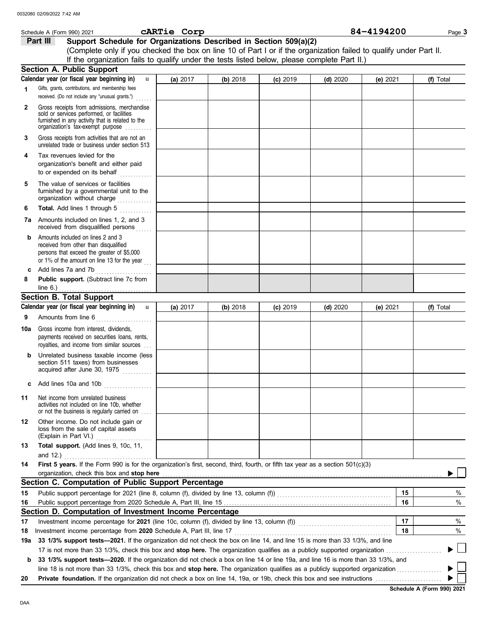|              | Schedule A (Form 990) 2021                                                                                                                                                        | <b>CARTie Corp</b> |          |            |            | 84-4194200 | Page 3    |
|--------------|-----------------------------------------------------------------------------------------------------------------------------------------------------------------------------------|--------------------|----------|------------|------------|------------|-----------|
|              | Part III<br>Support Schedule for Organizations Described in Section 509(a)(2)                                                                                                     |                    |          |            |            |            |           |
|              | (Complete only if you checked the box on line 10 of Part I or if the organization failed to qualify under Part II.                                                                |                    |          |            |            |            |           |
|              | If the organization fails to qualify under the tests listed below, please complete Part II.)                                                                                      |                    |          |            |            |            |           |
|              | <b>Section A. Public Support</b>                                                                                                                                                  |                    |          |            |            |            |           |
|              | Calendar year (or fiscal year beginning in)<br>u.                                                                                                                                 | (a) 2017           | (b) 2018 | $(c)$ 2019 | $(d)$ 2020 | (e) 2021   | (f) Total |
| 1            | Gifts, grants, contributions, and membership fees<br>received. (Do not include any "unusual grants.")                                                                             |                    |          |            |            |            |           |
| $\mathbf{2}$ | Gross receipts from admissions, merchandise<br>sold or services performed, or facilities<br>furnished in any activity that is related to the<br>organization's tax-exempt purpose |                    |          |            |            |            |           |
| 3            | Gross receipts from activities that are not an<br>unrelated trade or business under section 513                                                                                   |                    |          |            |            |            |           |
| 4            | Tax revenues levied for the<br>organization's benefit and either paid<br>to or expended on its behalf                                                                             |                    |          |            |            |            |           |
| 5            | The value of services or facilities<br>furnished by a governmental unit to the<br>organization without charge                                                                     |                    |          |            |            |            |           |
| 6            | Total. Add lines 1 through 5                                                                                                                                                      |                    |          |            |            |            |           |
|              | <b>7a</b> Amounts included on lines 1, 2, and 3<br>received from disqualified persons                                                                                             |                    |          |            |            |            |           |
| b            | Amounts included on lines 2 and 3<br>received from other than disqualified<br>persons that exceed the greater of \$5,000<br>or 1% of the amount on line 13 for the year           |                    |          |            |            |            |           |
| c            |                                                                                                                                                                                   |                    |          |            |            |            |           |
| 8            | Public support. (Subtract line 7c from                                                                                                                                            |                    |          |            |            |            |           |
|              | <b>Section B. Total Support</b>                                                                                                                                                   |                    |          |            |            |            |           |
|              | Calendar year (or fiscal year beginning in)<br>$\mathbf{u}$                                                                                                                       | (a) 2017           | (b) 2018 | $(c)$ 2019 | (d) 2020   | (e) 2021   | (f) Total |
| 9            | Amounts from line 6                                                                                                                                                               |                    |          |            |            |            |           |
|              | <b>10a</b> Gross income from interest, dividends,<br>payments received on securities loans, rents,<br>royalties, and income from similar sources                                  |                    |          |            |            |            |           |
| b            | Unrelated business taxable income (less<br>section 511 taxes) from businesses<br>acquired after June 30, 1975                                                                     |                    |          |            |            |            |           |
| c            | Add lines 10a and 10b                                                                                                                                                             |                    |          |            |            |            |           |
| 11           | Net income from unrelated business<br>activities not included on line 10b, whether<br>or not the business is regularly carried on                                                 |                    |          |            |            |            |           |
| 12           | Other income. Do not include gain or<br>loss from the sale of capital assets                                                                                                      |                    |          |            |            |            |           |
| 13           | Total support. (Add lines 9, 10c, 11,<br>and 12.) $\ldots$                                                                                                                        |                    |          |            |            |            |           |
| 14           | First 5 years. If the Form 990 is for the organization's first, second, third, fourth, or fifth tax year as a section 501(c)(3)                                                   |                    |          |            |            |            |           |
|              | organization, check this box and stop here<br>Section C. Computation of Public Support Percentage                                                                                 |                    |          |            |            |            |           |
|              |                                                                                                                                                                                   |                    |          |            |            | 15         | %         |
| 15<br>16     |                                                                                                                                                                                   |                    |          |            |            | 16         | $\%$      |
|              | Section D. Computation of Investment Income Percentage                                                                                                                            |                    |          |            |            |            |           |
| 17           | Investment income percentage for 2021 (line 10c, column (f), divided by line 13, column (f)) [[[[[[[[[[[[[[[[[                                                                    |                    |          |            |            | 17         | %         |
| 18           |                                                                                                                                                                                   |                    |          |            |            | 18         | $\%$      |
| 19a          | 33 1/3% support tests-2021. If the organization did not check the box on line 14, and line 15 is more than 33 1/3%, and line                                                      |                    |          |            |            |            |           |
|              |                                                                                                                                                                                   |                    |          |            |            |            |           |
| b            | 33 1/3% support tests-2020. If the organization did not check a box on line 14 or line 19a, and line 16 is more than 33 1/3%, and                                                 |                    |          |            |            |            |           |
|              |                                                                                                                                                                                   |                    |          |            |            |            |           |
| 20           |                                                                                                                                                                                   |                    |          |            |            |            |           |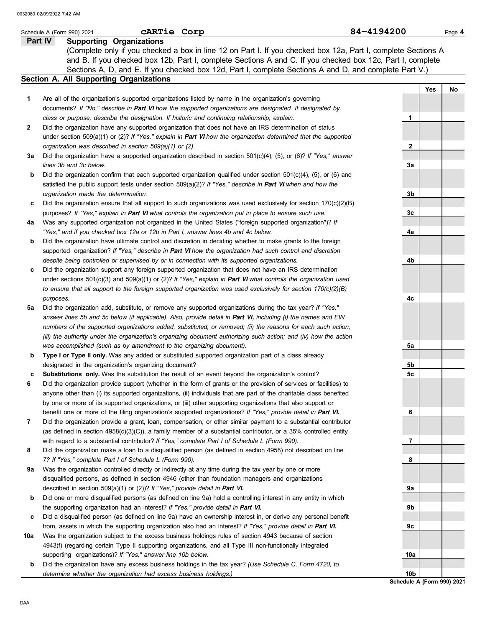|        | <b>CARTie Corp</b><br>Schedule A (Form 990) 2021                                                                                                                                                                         | 84-4194200                 |     | Page 4 |
|--------|--------------------------------------------------------------------------------------------------------------------------------------------------------------------------------------------------------------------------|----------------------------|-----|--------|
|        | Part IV<br><b>Supporting Organizations</b>                                                                                                                                                                               |                            |     |        |
|        | (Complete only if you checked a box in line 12 on Part I. If you checked box 12a, Part I, complete Sections A                                                                                                            |                            |     |        |
|        | and B. If you checked box 12b, Part I, complete Sections A and C. If you checked box 12c, Part I, complete<br>Sections A, D, and E. If you checked box 12d, Part I, complete Sections A and D, and complete Part V.)     |                            |     |        |
|        | <b>Section A. All Supporting Organizations</b>                                                                                                                                                                           |                            |     |        |
|        |                                                                                                                                                                                                                          |                            | Yes | No     |
| 1      | Are all of the organization's supported organizations listed by name in the organization's governing                                                                                                                     |                            |     |        |
|        | documents? If "No," describe in Part VI how the supported organizations are designated. If designated by                                                                                                                 |                            |     |        |
|        | class or purpose, describe the designation. If historic and continuing relationship, explain.                                                                                                                            | 1                          |     |        |
| 2      | Did the organization have any supported organization that does not have an IRS determination of status                                                                                                                   |                            |     |        |
|        | under section 509(a)(1) or (2)? If "Yes," explain in <b>Part VI</b> how the organization determined that the supported                                                                                                   |                            |     |        |
|        | organization was described in section $509(a)(1)$ or (2).                                                                                                                                                                | $\mathbf{2}$               |     |        |
| За     | Did the organization have a supported organization described in section $501(c)(4)$ , (5), or (6)? If "Yes," answer<br>lines 3b and 3c below.                                                                            | За                         |     |        |
| b      | Did the organization confirm that each supported organization qualified under section 501(c)(4), (5), or (6) and                                                                                                         |                            |     |        |
|        | satisfied the public support tests under section $509(a)(2)?$ If "Yes," describe in Part VI when and how the                                                                                                             |                            |     |        |
|        | organization made the determination.                                                                                                                                                                                     | 3b                         |     |        |
| c      | Did the organization ensure that all support to such organizations was used exclusively for section $170(c)(2)(B)$                                                                                                       |                            |     |        |
|        | purposes? If "Yes," explain in Part VI what controls the organization put in place to ensure such use.                                                                                                                   | 3c                         |     |        |
| 4a     | Was any supported organization not organized in the United States ("foreign supported organization")? If                                                                                                                 |                            |     |        |
|        | "Yes," and if you checked box 12a or 12b in Part I, answer lines 4b and 4c below.                                                                                                                                        | 4a                         |     |        |
| b      | Did the organization have ultimate control and discretion in deciding whether to make grants to the foreign                                                                                                              |                            |     |        |
|        | supported organization? If "Yes," describe in Part VI how the organization had such control and discretion                                                                                                               |                            |     |        |
|        | despite being controlled or supervised by or in connection with its supported organizations.                                                                                                                             | 4b                         |     |        |
| c      | Did the organization support any foreign supported organization that does not have an IRS determination                                                                                                                  |                            |     |        |
|        | under sections 501(c)(3) and 509(a)(1) or (2)? If "Yes," explain in Part VI what controls the organization used                                                                                                          |                            |     |        |
|        | to ensure that all support to the foreign supported organization was used exclusively for section $170(c)(2)(B)$                                                                                                         |                            |     |        |
|        | purposes.                                                                                                                                                                                                                | 4c                         |     |        |
| 5a     | Did the organization add, substitute, or remove any supported organizations during the tax year? If "Yes,"                                                                                                               |                            |     |        |
|        | answer lines 5b and 5c below (if applicable). Also, provide detail in Part VI, including (i) the names and EIN                                                                                                           |                            |     |        |
|        | numbers of the supported organizations added, substituted, or removed; (ii) the reasons for each such action;                                                                                                            |                            |     |        |
|        | (iii) the authority under the organization's organizing document authorizing such action; and (iv) how the action                                                                                                        |                            |     |        |
|        | was accomplished (such as by amendment to the organizing document).                                                                                                                                                      | 5а                         |     |        |
| b      | Type I or Type II only. Was any added or substituted supported organization part of a class already                                                                                                                      |                            |     |        |
|        | designated in the organization's organizing document?                                                                                                                                                                    | 5b<br>5c                   |     |        |
| с<br>6 | Substitutions only. Was the substitution the result of an event beyond the organization's control?<br>Did the organization provide support (whether in the form of grants or the provision of services or facilities) to |                            |     |        |
|        | anyone other than (i) its supported organizations, (ii) individuals that are part of the charitable class benefited                                                                                                      |                            |     |        |
|        | by one or more of its supported organizations, or (iii) other supporting organizations that also support or                                                                                                              |                            |     |        |
|        | benefit one or more of the filing organization's supported organizations? If "Yes," provide detail in Part VI.                                                                                                           | 6                          |     |        |
| 7      | Did the organization provide a grant, loan, compensation, or other similar payment to a substantial contributor                                                                                                          |                            |     |        |
|        | (as defined in section 4958(c)(3)(C)), a family member of a substantial contributor, or a 35% controlled entity                                                                                                          |                            |     |        |
|        | with regard to a substantial contributor? If "Yes," complete Part I of Schedule L (Form 990).                                                                                                                            | 7                          |     |        |
| 8      | Did the organization make a loan to a disqualified person (as defined in section 4958) not described on line                                                                                                             |                            |     |        |
|        | 7? If "Yes," complete Part I of Schedule L (Form 990).                                                                                                                                                                   | 8                          |     |        |
| 9а     | Was the organization controlled directly or indirectly at any time during the tax year by one or more                                                                                                                    |                            |     |        |
|        | disqualified persons, as defined in section 4946 (other than foundation managers and organizations                                                                                                                       |                            |     |        |
|        | described in section 509(a)(1) or (2))? If "Yes," provide detail in Part VI.                                                                                                                                             | 9а                         |     |        |
| b      | Did one or more disqualified persons (as defined on line 9a) hold a controlling interest in any entity in which                                                                                                          |                            |     |        |
|        | the supporting organization had an interest? If "Yes," provide detail in Part VI.                                                                                                                                        | 9b                         |     |        |
| c      | Did a disqualified person (as defined on line 9a) have an ownership interest in, or derive any personal benefit                                                                                                          |                            |     |        |
|        | from, assets in which the supporting organization also had an interest? If "Yes," provide detail in Part VI.                                                                                                             | 9с                         |     |        |
| 10a    | Was the organization subject to the excess business holdings rules of section 4943 because of section                                                                                                                    |                            |     |        |
|        | 4943(f) (regarding certain Type II supporting organizations, and all Type III non-functionally integrated                                                                                                                |                            |     |        |
|        | supporting organizations)? If "Yes," answer line 10b below.                                                                                                                                                              | 10a                        |     |        |
| b      | Did the organization have any excess business holdings in the tax year? (Use Schedule C, Form 4720, to                                                                                                                   |                            |     |        |
|        | determine whether the organization had excess business holdings.)                                                                                                                                                        | 10b                        |     |        |
|        |                                                                                                                                                                                                                          | Schedule A (Form 990) 2021 |     |        |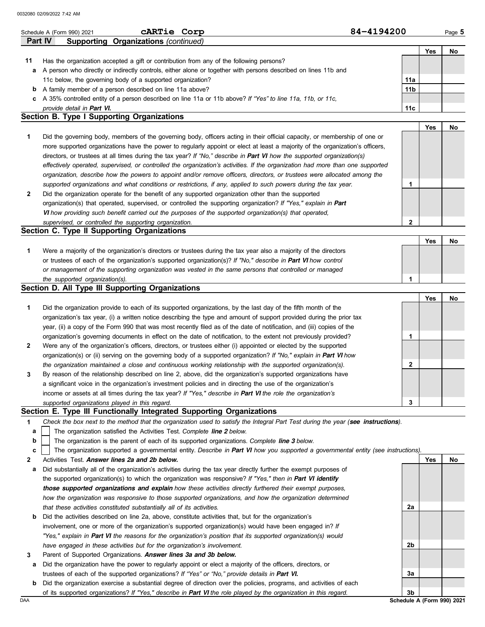|         | 0032080 02/09/2022 7:42 AM                                                                                                        |              |     |        |
|---------|-----------------------------------------------------------------------------------------------------------------------------------|--------------|-----|--------|
|         | cARTie Corp<br>Schedule A (Form 990) 2021                                                                                         | 84-4194200   |     | Page 5 |
| Part IV | <b>Supporting Organizations (continued)</b>                                                                                       |              |     |        |
|         |                                                                                                                                   |              | Yes | No     |
| 11      | Has the organization accepted a gift or contribution from any of the following persons?                                           |              |     |        |
| а       | A person who directly or indirectly controls, either alone or together with persons described on lines 11b and                    |              |     |        |
|         | 11c below, the governing body of a supported organization?                                                                        | 11a          |     |        |
|         | <b>b</b> A family member of a person described on line 11a above?                                                                 | 11b          |     |        |
|         | c A 35% controlled entity of a person described on line 11a or 11b above? If "Yes" to line 11a, 11b, or 11c,                      |              |     |        |
|         | provide detail in <b>Part VI.</b>                                                                                                 | 11c          |     |        |
|         | Section B. Type I Supporting Organizations                                                                                        |              |     |        |
|         |                                                                                                                                   |              | Yes | No     |
| 1       | Did the governing body, members of the governing body, officers acting in their official capacity, or membership of one or        |              |     |        |
|         | more supported organizations have the power to regularly appoint or elect at least a majority of the organization's officers,     |              |     |        |
|         | directors, or trustees at all times during the tax year? If "No," describe in Part VI how the supported organization(s)           |              |     |        |
|         | effectively operated, supervised, or controlled the organization's activities. If the organization had more than one supported    |              |     |        |
|         | organization, describe how the powers to appoint and/or remove officers, directors, or trustees were allocated among the          |              |     |        |
|         | supported organizations and what conditions or restrictions, if any, applied to such powers during the tax year.                  | 1            |     |        |
| 2       | Did the organization operate for the benefit of any supported organization other than the supported                               |              |     |        |
|         | organization(s) that operated, supervised, or controlled the supporting organization? If "Yes," explain in Part                   |              |     |        |
|         | VI how providing such benefit carried out the purposes of the supported organization(s) that operated,                            |              |     |        |
|         | supervised, or controlled the supporting organization.                                                                            | 2            |     |        |
|         | Section C. Type II Supporting Organizations                                                                                       |              |     |        |
|         |                                                                                                                                   |              | Yes | No     |
| 1       | Were a majority of the organization's directors or trustees during the tax year also a majority of the directors                  |              |     |        |
|         | or trustees of each of the organization's supported organization(s)? If "No," describe in Part VI how control                     |              |     |        |
|         | or management of the supporting organization was vested in the same persons that controlled or managed                            |              |     |        |
|         | the supported organization(s).                                                                                                    | 1            |     |        |
|         | Section D. All Type III Supporting Organizations                                                                                  |              |     |        |
|         |                                                                                                                                   |              | Yes | No     |
| 1       | Did the organization provide to each of its supported organizations, by the last day of the fifth month of the                    |              |     |        |
|         | organization's tax year, (i) a written notice describing the type and amount of support provided during the prior tax             |              |     |        |
|         | year, (ii) a copy of the Form 990 that was most recently filed as of the date of notification, and (iii) copies of the            |              |     |        |
|         | organization's governing documents in effect on the date of notification, to the extent not previously provided?                  | 1            |     |        |
| 2       | Were any of the organization's officers, directors, or trustees either (i) appointed or elected by the supported                  |              |     |        |
|         | organization(s) or (ii) serving on the governing body of a supported organization? If "No," explain in <b>Part VI</b> how         |              |     |        |
|         | the organization maintained a close and continuous working relationship with the supported organization(s).                       | $\mathbf{2}$ |     |        |
| 3       | By reason of the relationship described on line 2, above, did the organization's supported organizations have                     |              |     |        |
|         | a significant voice in the organization's investment policies and in directing the use of the organization's                      |              |     |        |
|         | income or assets at all times during the tax year? If "Yes," describe in Part VI the role the organization's                      |              |     |        |
|         | supported organizations played in this regard.                                                                                    | 3            |     |        |
|         | Section E. Type III Functionally Integrated Supporting Organizations                                                              |              |     |        |
| 1       | Check the box next to the method that the organization used to satisfy the Integral Part Test during the year (see instructions). |              |     |        |
| a       | The organization satisfied the Activities Test. Complete line 2 below.                                                            |              |     |        |
| b       | The organization is the parent of each of its supported organizations. Complete line 3 below.                                     |              |     |        |
| c       | The organization supported a governmental entity. Describe in Part VI how you supported a governmental entity (see instructions). |              |     |        |
| 2       | Activities Test. Answer lines 2a and 2b below.                                                                                    |              | Yes | No     |
| а       | Did substantially all of the organization's activities during the tax year directly further the exempt purposes of                |              |     |        |
|         | the supported organization(s) to which the organization was responsive? If "Yes," then in Part VI identify                        |              |     |        |
|         | those supported organizations and explain how these activities directly furthered their exempt purposes,                          |              |     |        |
|         | how the organization was responsive to those supported organizations, and how the organization determined                         |              |     |        |
|         | that these activities constituted substantially all of its activities.                                                            | 2a           |     |        |
| b       | Did the activities described on line 2a, above, constitute activities that, but for the organization's                            |              |     |        |
|         | involvement, one or more of the organization's supported organization(s) would have been engaged in? If                           |              |     |        |
|         | "Yes," explain in Part VI the reasons for the organization's position that its supported organization(s) would                    |              |     |        |
|         | have engaged in these activities but for the organization's involvement.                                                          | 2b           |     |        |
|         |                                                                                                                                   |              |     |        |

- **a** Did the organization have the power to regularly appoint or elect a majority of the officers, directors, or trustees of each of the supported organizations? *If "Yes" or "No," provide details in* **Part VI.**
- **b** Did the organization exercise a substantial degree of direction over the policies, programs, and activities of each of its supported organizations? *If "Yes," describe in* **Part VI** *the role played by the organization in this regard.*

**3a**

**3b**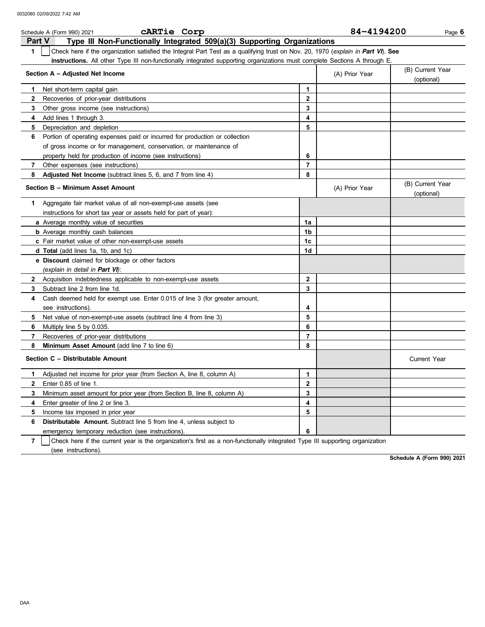| <b>CARTie Corp</b><br>Schedule A (Form 990) 2021                                                                                               |                         | 84-4194200     | Page 6                         |
|------------------------------------------------------------------------------------------------------------------------------------------------|-------------------------|----------------|--------------------------------|
| Part V<br>Type III Non-Functionally Integrated 509(a)(3) Supporting Organizations                                                              |                         |                |                                |
| Check here if the organization satisfied the Integral Part Test as a qualifying trust on Nov. 20, 1970 (explain in Part VI). See<br>1          |                         |                |                                |
| instructions. All other Type III non-functionally integrated supporting organizations must complete Sections A through E.                      |                         |                |                                |
| Section A - Adjusted Net Income                                                                                                                |                         | (A) Prior Year | (B) Current Year<br>(optional) |
| Net short-term capital gain<br>1                                                                                                               | 1                       |                |                                |
| $\mathbf{2}$<br>Recoveries of prior-year distributions                                                                                         | $\mathbf{2}$            |                |                                |
| 3<br>Other gross income (see instructions)                                                                                                     | 3                       |                |                                |
| Add lines 1 through 3.<br>4                                                                                                                    | 4                       |                |                                |
| Depreciation and depletion<br>5                                                                                                                | 5                       |                |                                |
| Portion of operating expenses paid or incurred for production or collection<br>6                                                               |                         |                |                                |
| of gross income or for management, conservation, or maintenance of                                                                             |                         |                |                                |
| property held for production of income (see instructions)                                                                                      | 6                       |                |                                |
| $\overline{7}$<br>Other expenses (see instructions)                                                                                            | 7                       |                |                                |
| Adjusted Net Income (subtract lines 5, 6, and 7 from line 4)<br>8                                                                              | 8                       |                |                                |
| Section B - Minimum Asset Amount                                                                                                               |                         | (A) Prior Year | (B) Current Year<br>(optional) |
| Aggregate fair market value of all non-exempt-use assets (see<br>1.                                                                            |                         |                |                                |
| instructions for short tax year or assets held for part of year):                                                                              |                         |                |                                |
| a Average monthly value of securities                                                                                                          | 1a                      |                |                                |
| <b>b</b> Average monthly cash balances                                                                                                         | 1b                      |                |                                |
| c Fair market value of other non-exempt-use assets                                                                                             | 1c                      |                |                                |
| <b>d Total</b> (add lines 1a, 1b, and 1c)                                                                                                      | 1d                      |                |                                |
| e Discount claimed for blockage or other factors                                                                                               |                         |                |                                |
| (explain in detail in <b>Part VI</b> ):                                                                                                        |                         |                |                                |
| 2 Acquisition indebtedness applicable to non-exempt-use assets                                                                                 | $\mathbf{2}$            |                |                                |
| Subtract line 2 from line 1d.<br>3                                                                                                             | 3                       |                |                                |
| Cash deemed held for exempt use. Enter 0.015 of line 3 (for greater amount,<br>4                                                               |                         |                |                                |
| see instructions)                                                                                                                              | 4                       |                |                                |
| Net value of non-exempt-use assets (subtract line 4 from line 3)<br>5.                                                                         | 5                       |                |                                |
| Multiply line 5 by 0.035.<br>6                                                                                                                 | 6                       |                |                                |
| 7<br>Recoveries of prior-year distributions                                                                                                    | 7                       |                |                                |
| 8<br>Minimum Asset Amount (add line 7 to line 6)                                                                                               | 8                       |                |                                |
| Section C - Distributable Amount                                                                                                               |                         |                | <b>Current Year</b>            |
| Adjusted net income for prior year (from Section A, line 8, column A)<br>1.                                                                    | 1                       |                |                                |
| Enter 0.85 of line 1.<br>$\mathbf{2}$                                                                                                          | $\overline{\mathbf{c}}$ |                |                                |
| 3<br>Minimum asset amount for prior year (from Section B, line 8, column A)                                                                    | 3                       |                |                                |
| 4<br>Enter greater of line 2 or line 3.                                                                                                        | 4                       |                |                                |
| 5<br>Income tax imposed in prior year                                                                                                          | 5                       |                |                                |
| <b>Distributable Amount.</b> Subtract line 5 from line 4, unless subject to<br>6                                                               |                         |                |                                |
| emergency temporary reduction (see instructions).                                                                                              | 6                       |                |                                |
| $\overline{7}$<br>Check here if the current year is the organization's first as a non-functionally integrated Type III supporting organization |                         |                |                                |

(see instructions).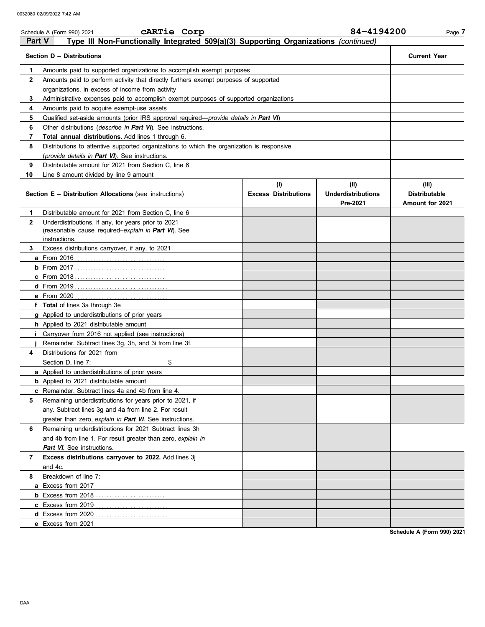|               | <b>CARTie Corp</b><br>Schedule A (Form 990) 2021                                              |                             | 84-4194200                            | Page 7                                  |
|---------------|-----------------------------------------------------------------------------------------------|-----------------------------|---------------------------------------|-----------------------------------------|
| <b>Part V</b> | Type III Non-Functionally Integrated 509(a)(3) Supporting Organizations (continued)           |                             |                                       |                                         |
|               | Section D - Distributions                                                                     |                             |                                       | <b>Current Year</b>                     |
| 1             | Amounts paid to supported organizations to accomplish exempt purposes                         |                             |                                       |                                         |
| $\mathbf{2}$  | Amounts paid to perform activity that directly furthers exempt purposes of supported          |                             |                                       |                                         |
|               | organizations, in excess of income from activity                                              |                             |                                       |                                         |
| 3             | Administrative expenses paid to accomplish exempt purposes of supported organizations         |                             |                                       |                                         |
| 4             | Amounts paid to acquire exempt-use assets                                                     |                             |                                       |                                         |
| 5             | Qualified set-aside amounts (prior IRS approval required— <i>provide details in Part VI</i> ) |                             |                                       |                                         |
| 6             | Other distributions (describe in Part VI). See instructions.                                  |                             |                                       |                                         |
| 7             | Total annual distributions. Add lines 1 through 6.                                            |                             |                                       |                                         |
| 8             | Distributions to attentive supported organizations to which the organization is responsive    |                             |                                       |                                         |
|               | (provide details in Part VI). See instructions.                                               |                             |                                       |                                         |
| 9             | Distributable amount for 2021 from Section C, line 6                                          |                             |                                       |                                         |
| 10            | Line 8 amount divided by line 9 amount                                                        |                             |                                       |                                         |
|               |                                                                                               | (i)                         | (ii)                                  | (iii)                                   |
|               | <b>Section E - Distribution Allocations (see instructions)</b>                                | <b>Excess Distributions</b> | <b>Underdistributions</b><br>Pre-2021 | <b>Distributable</b><br>Amount for 2021 |
| 1             | Distributable amount for 2021 from Section C, line 6                                          |                             |                                       |                                         |
| $\mathbf{2}$  | Underdistributions, if any, for years prior to 2021                                           |                             |                                       |                                         |
|               | (reasonable cause required-explain in Part VI). See                                           |                             |                                       |                                         |
|               | instructions.                                                                                 |                             |                                       |                                         |
| 3             | Excess distributions carryover, if any, to 2021                                               |                             |                                       |                                         |
|               |                                                                                               |                             |                                       |                                         |
|               |                                                                                               |                             |                                       |                                         |
|               |                                                                                               |                             |                                       |                                         |
|               |                                                                                               |                             |                                       |                                         |
|               | e From 2020                                                                                   |                             |                                       |                                         |
|               | f Total of lines 3a through 3e                                                                |                             |                                       |                                         |
|               | g Applied to underdistributions of prior years                                                |                             |                                       |                                         |
|               | <b>h</b> Applied to 2021 distributable amount                                                 |                             |                                       |                                         |
|               | Carryover from 2016 not applied (see instructions)                                            |                             |                                       |                                         |
|               | Remainder. Subtract lines 3g, 3h, and 3i from line 3f.                                        |                             |                                       |                                         |
| 4             | Distributions for 2021 from                                                                   |                             |                                       |                                         |
|               | \$<br>Section D, line 7:                                                                      |                             |                                       |                                         |
|               | a Applied to underdistributions of prior years                                                |                             |                                       |                                         |
|               | <b>b</b> Applied to 2021 distributable amount                                                 |                             |                                       |                                         |
|               | <b>c</b> Remainder. Subtract lines 4a and 4b from line 4.                                     |                             |                                       |                                         |
| 5             | Remaining underdistributions for years prior to 2021, if                                      |                             |                                       |                                         |
|               | any. Subtract lines 3g and 4a from line 2. For result                                         |                             |                                       |                                         |
|               | greater than zero, explain in Part VI. See instructions.                                      |                             |                                       |                                         |
| 6             | Remaining underdistributions for 2021 Subtract lines 3h                                       |                             |                                       |                                         |
|               | and 4b from line 1. For result greater than zero, explain in                                  |                             |                                       |                                         |
|               | <b>Part VI</b> See instructions.                                                              |                             |                                       |                                         |
| 7             | Excess distributions carryover to 2022. Add lines 3j                                          |                             |                                       |                                         |
|               | and 4c.                                                                                       |                             |                                       |                                         |
| 8             | Breakdown of line 7:                                                                          |                             |                                       |                                         |
|               | a Excess from 2017<br>.                                                                       |                             |                                       |                                         |
|               | <b>b</b> Excess from 2018                                                                     |                             |                                       |                                         |
|               | c Excess from 2019                                                                            |                             |                                       |                                         |
|               | d Excess from 2020                                                                            |                             |                                       |                                         |
|               | e Excess from 2021                                                                            |                             |                                       |                                         |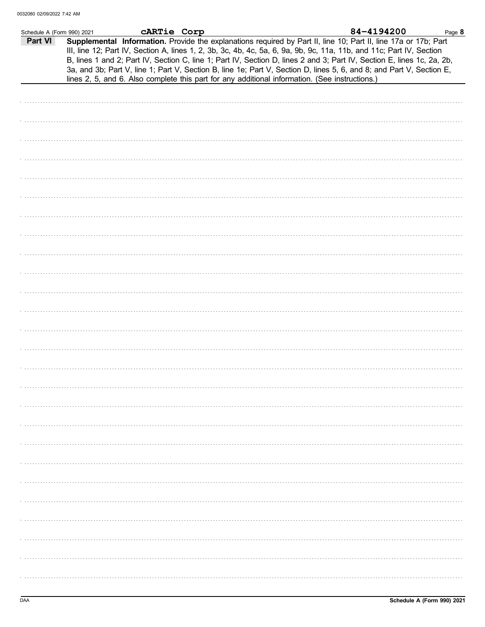| Schedule A (Form 990) 2021 | <b>CARTie Corp</b>                                                                                                                                                                                                                                                                                                                                                                                                                                                                        |  |  | 84-4194200 | Page 8 |
|----------------------------|-------------------------------------------------------------------------------------------------------------------------------------------------------------------------------------------------------------------------------------------------------------------------------------------------------------------------------------------------------------------------------------------------------------------------------------------------------------------------------------------|--|--|------------|--------|
| Part VI                    | Supplemental Information. Provide the explanations required by Part II, line 10; Part II, line 17a or 17b; Part<br>III, line 12; Part IV, Section A, lines 1, 2, 3b, 3c, 4b, 4c, 5a, 6, 9a, 9b, 9c, 11a, 11b, and 11c; Part IV, Section<br>B, lines 1 and 2; Part IV, Section C, line 1; Part IV, Section D, lines 2 and 3; Part IV, Section E, lines 1c, 2a, 2b,<br>3a, and 3b; Part V, line 1; Part V, Section B, line 1e; Part V, Section D, lines 5, 6, and 8; and Part V, Section E, |  |  |            |        |
|                            | lines 2, 5, and 6. Also complete this part for any additional information. (See instructions.)                                                                                                                                                                                                                                                                                                                                                                                            |  |  |            |        |
|                            |                                                                                                                                                                                                                                                                                                                                                                                                                                                                                           |  |  |            |        |
|                            |                                                                                                                                                                                                                                                                                                                                                                                                                                                                                           |  |  |            |        |
|                            |                                                                                                                                                                                                                                                                                                                                                                                                                                                                                           |  |  |            |        |
|                            |                                                                                                                                                                                                                                                                                                                                                                                                                                                                                           |  |  |            |        |
|                            |                                                                                                                                                                                                                                                                                                                                                                                                                                                                                           |  |  |            |        |
|                            |                                                                                                                                                                                                                                                                                                                                                                                                                                                                                           |  |  |            |        |
|                            |                                                                                                                                                                                                                                                                                                                                                                                                                                                                                           |  |  |            |        |
|                            |                                                                                                                                                                                                                                                                                                                                                                                                                                                                                           |  |  |            |        |
|                            |                                                                                                                                                                                                                                                                                                                                                                                                                                                                                           |  |  |            |        |
|                            |                                                                                                                                                                                                                                                                                                                                                                                                                                                                                           |  |  |            |        |
|                            |                                                                                                                                                                                                                                                                                                                                                                                                                                                                                           |  |  |            |        |
|                            |                                                                                                                                                                                                                                                                                                                                                                                                                                                                                           |  |  |            |        |
|                            |                                                                                                                                                                                                                                                                                                                                                                                                                                                                                           |  |  |            |        |
|                            |                                                                                                                                                                                                                                                                                                                                                                                                                                                                                           |  |  |            |        |
|                            |                                                                                                                                                                                                                                                                                                                                                                                                                                                                                           |  |  |            |        |
|                            |                                                                                                                                                                                                                                                                                                                                                                                                                                                                                           |  |  |            |        |
|                            |                                                                                                                                                                                                                                                                                                                                                                                                                                                                                           |  |  |            |        |
|                            |                                                                                                                                                                                                                                                                                                                                                                                                                                                                                           |  |  |            |        |
|                            |                                                                                                                                                                                                                                                                                                                                                                                                                                                                                           |  |  |            |        |
|                            |                                                                                                                                                                                                                                                                                                                                                                                                                                                                                           |  |  |            |        |
|                            |                                                                                                                                                                                                                                                                                                                                                                                                                                                                                           |  |  |            |        |
|                            |                                                                                                                                                                                                                                                                                                                                                                                                                                                                                           |  |  |            |        |
|                            |                                                                                                                                                                                                                                                                                                                                                                                                                                                                                           |  |  |            |        |
|                            |                                                                                                                                                                                                                                                                                                                                                                                                                                                                                           |  |  |            |        |
|                            |                                                                                                                                                                                                                                                                                                                                                                                                                                                                                           |  |  |            |        |
|                            |                                                                                                                                                                                                                                                                                                                                                                                                                                                                                           |  |  |            |        |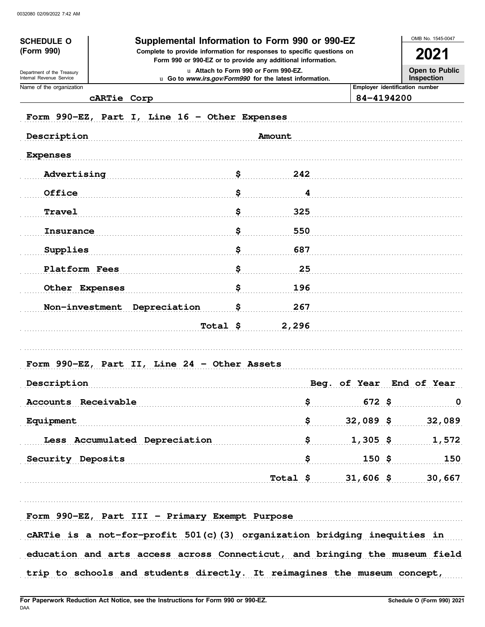| Supplemental Information to Form 990 or 990-EZ<br><b>SCHEDULE O</b> |                                                                                                      |    |                   |                                |          | OMB No. 1545-0047    |  |  |
|---------------------------------------------------------------------|------------------------------------------------------------------------------------------------------|----|-------------------|--------------------------------|----------|----------------------|--|--|
| (Form 990)                                                          | Complete to provide information for responses to specific questions on                               |    |                   |                                |          | 2021                 |  |  |
| Department of the Treasury                                          | Form 990 or 990-EZ or to provide any additional information.<br>u Attach to Form 990 or Form 990-EZ. |    |                   |                                |          |                      |  |  |
| Internal Revenue Service<br>Name of the organization                | u Go to www.irs.gov/Form990 for the latest information.                                              |    |                   | Employer identification number |          | Inspection           |  |  |
| <b>CARTie Corp</b>                                                  | 84-4194200                                                                                           |    |                   |                                |          |                      |  |  |
|                                                                     | Form 990-EZ, Part I, Line 16 - Other Expenses                                                        |    |                   |                                |          |                      |  |  |
| Description                                                         |                                                                                                      |    | Amount            |                                |          |                      |  |  |
| <b>Expenses</b>                                                     |                                                                                                      |    |                   |                                |          |                      |  |  |
| Advertising                                                         |                                                                                                      | \$ | 242               |                                |          |                      |  |  |
| Office                                                              |                                                                                                      | \$ | 4                 |                                |          |                      |  |  |
| Travel                                                              |                                                                                                      | \$ | 325               |                                |          |                      |  |  |
| Insurance                                                           |                                                                                                      | \$ | 550               |                                |          |                      |  |  |
| Supplies                                                            |                                                                                                      | \$ | 687               |                                |          |                      |  |  |
| Platform Fees                                                       |                                                                                                      | \$ | 25                |                                |          |                      |  |  |
| Other Expenses                                                      |                                                                                                      | \$ | 196               |                                |          |                      |  |  |
| <b>Non-investment</b>                                               | Depreciation                                                                                         | \$ | 267               |                                |          |                      |  |  |
|                                                                     | Total \$                                                                                             |    | 2,296             |                                |          |                      |  |  |
|                                                                     |                                                                                                      |    |                   |                                |          |                      |  |  |
|                                                                     |                                                                                                      |    |                   |                                |          |                      |  |  |
| Description                                                         | Form 990-EZ, Part II, Line 24 - Other Assets                                                         |    |                   |                                |          |                      |  |  |
|                                                                     |                                                                                                      |    |                   | Beg. of Year                   |          | End of Year          |  |  |
| Accounts Receivable                                                 |                                                                                                      |    | <u>. \$</u>       | $672$ \$                       |          | . 0.                 |  |  |
| Equipment                                                           |                                                                                                      |    |                   |                                |          | $32,089$ \$ $32,089$ |  |  |
|                                                                     | Less Accumulated Depreciation \$                                                                     |    |                   |                                |          | $1,305$ \$ $1,572$   |  |  |
| <b>Security Deposits</b>                                            |                                                                                                      |    | $\mathbf{s}$      |                                | $150$ \$ | 150                  |  |  |
|                                                                     |                                                                                                      |    | Total \$31,606 \$ |                                |          | 30,667               |  |  |
|                                                                     |                                                                                                      |    |                   |                                |          |                      |  |  |
|                                                                     | Form 990-EZ, Part III - Primary Exempt Purpose                                                       |    |                   |                                |          |                      |  |  |
|                                                                     | cARTie is a not-for-profit 501(c)(3) organization bridging inequities in                             |    |                   |                                |          |                      |  |  |
|                                                                     | education and arts access across Connecticut, and bringing the museum field                          |    |                   |                                |          |                      |  |  |
|                                                                     | trip to schools and students directly. It reimagines the museum concept,                             |    |                   |                                |          |                      |  |  |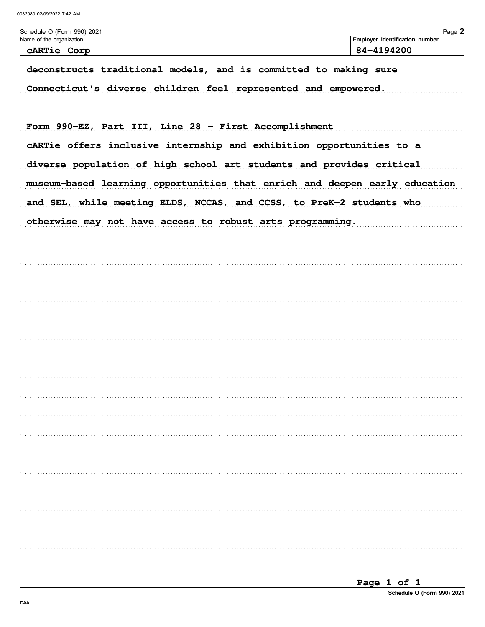| Schedule O (Form 990) 2021                                           | Page 2                                                                     |
|----------------------------------------------------------------------|----------------------------------------------------------------------------|
| Name of the organization<br><b>CARTie Corp</b>                       | Employer identification number<br>84-4194200                               |
| deconstructs traditional models, and is committed to making sure     |                                                                            |
| Connecticut's diverse children feel represented and empowered.       |                                                                            |
|                                                                      |                                                                            |
| Form 990-EZ, Part III, Line 28 - First Accomplishment                |                                                                            |
|                                                                      |                                                                            |
| cARTie offers inclusive internship and exhibition opportunities to a |                                                                            |
| diverse population of high school art students and provides critical |                                                                            |
|                                                                      | museum-based learning opportunities that enrich and deepen early education |
| and SEL, while meeting ELDS, NCCAS, and CCSS, to PreK-2 students who |                                                                            |
| otherwise may not have access to robust arts programming.            |                                                                            |
|                                                                      |                                                                            |
|                                                                      |                                                                            |
|                                                                      |                                                                            |
|                                                                      |                                                                            |
|                                                                      |                                                                            |
|                                                                      |                                                                            |
|                                                                      |                                                                            |
|                                                                      |                                                                            |
|                                                                      |                                                                            |
|                                                                      |                                                                            |
|                                                                      |                                                                            |
|                                                                      |                                                                            |
|                                                                      |                                                                            |
|                                                                      |                                                                            |
|                                                                      |                                                                            |
|                                                                      |                                                                            |
|                                                                      |                                                                            |
|                                                                      |                                                                            |
|                                                                      |                                                                            |
|                                                                      |                                                                            |

|  | − |  |  |  |
|--|---|--|--|--|
|--|---|--|--|--|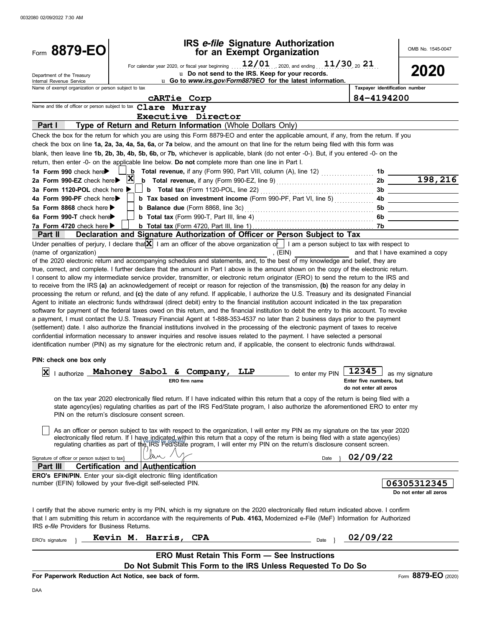| Form 8879-EO                                         | IRS e-file Signature Authorization<br>for an Exempt Organization                                                                                                                                                                                                               |                                                 | OMB No. 1545-0047                            |
|------------------------------------------------------|--------------------------------------------------------------------------------------------------------------------------------------------------------------------------------------------------------------------------------------------------------------------------------|-------------------------------------------------|----------------------------------------------|
|                                                      | For calendar year 2020, or fiscal year beginning $12/01$ 2020, and ending $11/30$ 20 $21$                                                                                                                                                                                      |                                                 |                                              |
| Department of the Treasury                           | u Do not send to the IRS. Keep for your records.                                                                                                                                                                                                                               |                                                 | 2020                                         |
| Internal Revenue Service                             | u Go to www.irs.gov/Form8879EO for the latest information.                                                                                                                                                                                                                     |                                                 |                                              |
| Name of exempt organization or person subject to tax |                                                                                                                                                                                                                                                                                | Taxpayer identification number                  |                                              |
|                                                      | <b>CARTie Corp</b><br>Name and title of officer or person subject to tax Clare Murray                                                                                                                                                                                          | 84-4194200                                      |                                              |
|                                                      | <b>Executive Director</b>                                                                                                                                                                                                                                                      |                                                 |                                              |
| Part I                                               | Type of Return and Return Information (Whole Dollars Only)                                                                                                                                                                                                                     |                                                 |                                              |
|                                                      | Check the box for the return for which you are using this Form 8879-EO and enter the applicable amount, if any, from the return. If you                                                                                                                                        |                                                 |                                              |
|                                                      | check the box on line 1a, 2a, 3a, 4a, 5a, 6a, or 7a below, and the amount on that line for the return being filed with this form was                                                                                                                                           |                                                 |                                              |
|                                                      | blank, then leave line 1b, 2b, 3b, 4b, 5b, 6b, or 7b, whichever is applicable, blank (do not enter -0-). But, if you entered -0- on the                                                                                                                                        |                                                 |                                              |
|                                                      | return, then enter -0- on the applicable line below. Do not complete more than one line in Part I.                                                                                                                                                                             |                                                 |                                              |
| 1a Form 990 check here                               | $\mathbf{b}$ Total revenue, if any (Form 990, Part VIII, column (A), line 12) $\ldots$                                                                                                                                                                                         | 1b                                              |                                              |
| 2a Form 990-EZ check here▶                           | $\mathbf{X}$<br><b>b</b> Total revenue, if any (Form 990-EZ, line 9) $\ldots$ $\ldots$ $\ldots$ $\ldots$ $\ldots$ $\ldots$                                                                                                                                                     |                                                 | $\frac{1b}{2b}$ 198, 216                     |
| 3a Form 1120-POL check here ▶                        |                                                                                                                                                                                                                                                                                |                                                 |                                              |
| 4a Form 990-PF check here▶                           | <b>b</b> Tax based on investment income (Form 990-PF, Part VI, line 5)                                                                                                                                                                                                         |                                                 | 4b                                           |
| 5a Form 8868 check here $\blacktriangleright$        |                                                                                                                                                                                                                                                                                | 5b                                              | the control of the control of the control of |
| 6a Form 990-T check here                             |                                                                                                                                                                                                                                                                                |                                                 | 6b                                           |
| 7a Form 4720 check here ▶                            |                                                                                                                                                                                                                                                                                | 7b                                              |                                              |
| <b>Part II</b>                                       | Declaration and Signature Authorization of Officer or Person Subject to Tax                                                                                                                                                                                                    |                                                 |                                              |
|                                                      | Under penalties of perjury, I declare that $\mathbf{X}$ I am an officer of the above organization of I am a person subject to tax with respect to                                                                                                                              |                                                 |                                              |
| (name of organization)                               | , $(EIN)$                                                                                                                                                                                                                                                                      |                                                 | and that I have examined a copy              |
|                                                      | of the 2020 electronic return and accompanying schedules and statements, and, to the best of my knowledge and belief, they are                                                                                                                                                 |                                                 |                                              |
|                                                      | true, correct, and complete. I further declare that the amount in Part I above is the amount shown on the copy of the electronic return.                                                                                                                                       |                                                 |                                              |
|                                                      | I consent to allow my intermediate service provider, transmitter, or electronic return originator (ERO) to send the return to the IRS and                                                                                                                                      |                                                 |                                              |
|                                                      | to receive from the IRS (a) an acknowledgement of receipt or reason for rejection of the transmission, (b) the reason for any delay in                                                                                                                                         |                                                 |                                              |
|                                                      | processing the return or refund, and (c) the date of any refund. If applicable, I authorize the U.S. Treasury and its designated Financial                                                                                                                                     |                                                 |                                              |
|                                                      | Agent to initiate an electronic funds withdrawal (direct debit) entry to the financial institution account indicated in the tax preparation                                                                                                                                    |                                                 |                                              |
|                                                      | software for payment of the federal taxes owed on this return, and the financial institution to debit the entry to this account. To revoke<br>a payment, I must contact the U.S. Treasury Financial Agent at 1-888-353-4537 no later than 2 business days prior to the payment |                                                 |                                              |
|                                                      | (settlement) date. I also authorize the financial institutions involved in the processing of the electronic payment of taxes to receive                                                                                                                                        |                                                 |                                              |
|                                                      | confidential information necessary to answer inquiries and resolve issues related to the payment. I have selected a personal                                                                                                                                                   |                                                 |                                              |
|                                                      | identification number (PIN) as my signature for the electronic return and, if applicable, the consent to electronic funds withdrawal.                                                                                                                                          |                                                 |                                              |
|                                                      |                                                                                                                                                                                                                                                                                |                                                 |                                              |
| PIN: check one box only                              |                                                                                                                                                                                                                                                                                |                                                 |                                              |
|                                                      | X   authorize Mahoney Sabol & Company,<br><b>LLP</b>                                                                                                                                                                                                                           | to enter my PIN $\boxed{12345}$ as my signature |                                              |
| ▵                                                    | ERO firm name                                                                                                                                                                                                                                                                  | Enter five numbers, but                         |                                              |
|                                                      |                                                                                                                                                                                                                                                                                | do not enter all zeros                          |                                              |
|                                                      | on the tax year 2020 electronically filed return. If I have indicated within this return that a copy of the return is being filed with a                                                                                                                                       |                                                 |                                              |
|                                                      | state agency(ies) regulating charities as part of the IRS Fed/State program, I also authorize the aforementioned ERO to enter my                                                                                                                                               |                                                 |                                              |
|                                                      | PIN on the return's disclosure consent screen.                                                                                                                                                                                                                                 |                                                 |                                              |
|                                                      |                                                                                                                                                                                                                                                                                |                                                 |                                              |
|                                                      | As an officer or person subject to tax with respect to the organization, I will enter my PIN as my signature on the tax year 2020                                                                                                                                              |                                                 |                                              |
|                                                      | electronically filed return. If I have indicated within this return that a copy of the return is being filed with a state agency(ies)<br>regulating charities as part of the IRS Ped/State program, I will enter my PIN on the return's disclosure consent screen.             |                                                 |                                              |
|                                                      |                                                                                                                                                                                                                                                                                |                                                 |                                              |
| Signature of officer or person subject to tax}       | Date                                                                                                                                                                                                                                                                           | 02/09/22                                        |                                              |
| Part III                                             | Certification and Authentication                                                                                                                                                                                                                                               |                                                 |                                              |
|                                                      | <b>ERO's EFIN/PIN.</b> Enter your six-digit electronic filing identification                                                                                                                                                                                                   |                                                 |                                              |
|                                                      | number (EFIN) followed by your five-digit self-selected PIN.                                                                                                                                                                                                                   |                                                 | 06305312345                                  |
|                                                      |                                                                                                                                                                                                                                                                                |                                                 | Do not enter all zeros                       |
|                                                      |                                                                                                                                                                                                                                                                                |                                                 |                                              |
|                                                      | I certify that the above numeric entry is my PIN, which is my signature on the 2020 electronically filed return indicated above. I confirm                                                                                                                                     |                                                 |                                              |
|                                                      | that I am submitting this return in accordance with the requirements of Pub. 4163, Modernized e-File (MeF) Information for Authorized                                                                                                                                          |                                                 |                                              |
| IRS e-file Providers for Business Returns.           |                                                                                                                                                                                                                                                                                |                                                 |                                              |
| ERO's signature                                      | Kevin M. Harris,<br><b>CPA</b><br>Date                                                                                                                                                                                                                                         | 02/09/22                                        |                                              |
|                                                      |                                                                                                                                                                                                                                                                                |                                                 |                                              |
|                                                      | <b>ERO Must Retain This Form - See Instructions</b>                                                                                                                                                                                                                            |                                                 |                                              |
|                                                      | Do Not Submit This Form to the IRS Unless Requested To Do So                                                                                                                                                                                                                   |                                                 |                                              |
|                                                      | For Paperwork Reduction Act Notice, see back of form.                                                                                                                                                                                                                          |                                                 | Form 8879-EO (2020)                          |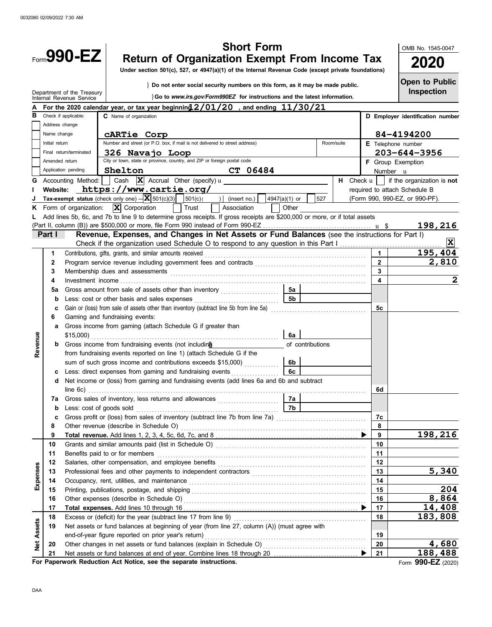|          | $F_{\text{norm}}$ 990-EZ | <b>Return of Organization Exempt From Income Tax</b><br>Under section 501(c), 527, or 4947(a)(1) of the Internal Revenue Code (except private foundations) | OMB No. 1545-0047<br>2020                                                                                                                           |                   |                                                             |
|----------|--------------------------|------------------------------------------------------------------------------------------------------------------------------------------------------------|-----------------------------------------------------------------------------------------------------------------------------------------------------|-------------------|-------------------------------------------------------------|
|          |                          |                                                                                                                                                            | Do not enter social security numbers on this form, as it may be made public.                                                                        |                   | <b>Open to Public</b>                                       |
|          |                          | Department of the Treasury<br>Internal Revenue Service                                                                                                     | Go to www.irs.gov/Form990EZ for instructions and the latest information.                                                                            |                   | <b>Inspection</b>                                           |
|          |                          |                                                                                                                                                            | For the 2020 calendar year, or tax year beginning $2/01/20$ , and ending $11/30/21$                                                                 |                   |                                                             |
| в        |                          | Check if applicable:                                                                                                                                       | C Name of organization                                                                                                                              |                   | D Employer identification number                            |
|          | Address change           |                                                                                                                                                            |                                                                                                                                                     |                   |                                                             |
|          | Name change              |                                                                                                                                                            | <b>CARTie Corp</b>                                                                                                                                  |                   | 84-4194200                                                  |
|          | Initial return           |                                                                                                                                                            | Number and street (or P.O. box, if mail is not delivered to street address)<br>Room/suite                                                           |                   | E Telephone number                                          |
|          |                          | Final return/terminated                                                                                                                                    | 326 Navajo Loop                                                                                                                                     |                   | 203-644-3956                                                |
|          | Amended return           |                                                                                                                                                            | City or town, state or province, country, and ZIP or foreign postal code                                                                            |                   | F Group Exemption                                           |
|          |                          | Application pending                                                                                                                                        | Shelton<br>CT 06484                                                                                                                                 |                   | Number u                                                    |
| G        | <b>Website:</b>          | Accounting Method:                                                                                                                                         | Cash $ \mathbf{X} $ Accrual Other (specify) u<br>H Check u<br>https://www.cartie.org/                                                               |                   | if the organization is not<br>required to attach Schedule B |
|          |                          |                                                                                                                                                            | Tax-exempt status (check only one) $- \mathbf{X} $ 501(c)(3)<br>501(c)<br>527<br>$\vert$ (insert no.)<br>$4947(a)(1)$ or                            |                   | (Form 990, 990-EZ, or 990-PF).                              |
| ĸ.       |                          | Form of organization:                                                                                                                                      | $\vert \mathbf{X} \vert$ Corporation<br>Trust<br>Association<br>Other                                                                               |                   |                                                             |
|          |                          |                                                                                                                                                            | Add lines 5b, 6c, and 7b to line 9 to determine gross receipts. If gross receipts are \$200,000 or more, or if total assets                         |                   |                                                             |
|          |                          |                                                                                                                                                            |                                                                                                                                                     |                   | 198,216                                                     |
|          | Part I                   |                                                                                                                                                            | Revenue, Expenses, and Changes in Net Assets or Fund Balances (see the instructions for Part I)                                                     |                   |                                                             |
|          |                          |                                                                                                                                                            | Check if the organization used Schedule O to respond to any question in this Part I                                                                 |                   | 図                                                           |
|          | 1                        |                                                                                                                                                            | Contributions, gifts, grants, and similar amounts received                                                                                          | 1                 | 195,404                                                     |
|          | 2                        |                                                                                                                                                            | Program service revenue including government fees and contracts [11] [11] Program service revenue including government fees and contracts           | $\mathbf{2}$<br>3 | 2,810                                                       |
|          | 3<br>4                   |                                                                                                                                                            |                                                                                                                                                     | 4                 | $\mathbf{2}$                                                |
|          | 5a                       |                                                                                                                                                            | 5а                                                                                                                                                  |                   |                                                             |
|          | b                        |                                                                                                                                                            | 5b<br>Less: cost or other basis and sales expenses                                                                                                  |                   |                                                             |
|          | c                        |                                                                                                                                                            | Gain or (loss) from sale of assets other than inventory (subtract line 5b from line 5a)                                                             | 5c                |                                                             |
|          | 6                        |                                                                                                                                                            | Gaming and fundraising events:                                                                                                                      |                   |                                                             |
|          | а                        |                                                                                                                                                            | Gross income from gaming (attach Schedule G if greater than                                                                                         |                   |                                                             |
|          |                          | $$15,000$ )                                                                                                                                                | 6a                                                                                                                                                  |                   |                                                             |
| Revenue  | b                        |                                                                                                                                                            | of contributions<br>Gross income from fundraising events (not including                                                                             |                   |                                                             |
|          |                          |                                                                                                                                                            | from fundraising events reported on line 1) (attach Schedule G if the                                                                               |                   |                                                             |
|          |                          |                                                                                                                                                            | sum of such gross income and contributions exceeds \$15,000)<br>6b.<br>6c<br>c Less: direct expenses from gaming and fundraising events             |                   |                                                             |
|          |                          |                                                                                                                                                            | d Net income or (loss) from gaming and fundraising events (add lines 6a and 6b and subtract                                                         |                   |                                                             |
|          |                          |                                                                                                                                                            |                                                                                                                                                     | 6d                |                                                             |
|          | 7a                       |                                                                                                                                                            | 7a                                                                                                                                                  |                   |                                                             |
|          | b                        | Less: cost of goods sold                                                                                                                                   | 7b                                                                                                                                                  |                   |                                                             |
|          | c                        |                                                                                                                                                            | Gross profit or (loss) from sales of inventory (subtract line 7b from line 7a) [[[[[[[[[[[[[[[[[[[[[[[[[[[[[[                                       | 7c                |                                                             |
|          | 8                        |                                                                                                                                                            | Other revenue (describe in Schedule O)                                                                                                              | 8                 |                                                             |
|          | 9                        |                                                                                                                                                            |                                                                                                                                                     | 9                 | 198,216                                                     |
|          | 10<br>11                 |                                                                                                                                                            | Benefits paid to or for members                                                                                                                     | 10<br>11          |                                                             |
|          | 12                       |                                                                                                                                                            |                                                                                                                                                     | 12                |                                                             |
|          | 13                       |                                                                                                                                                            |                                                                                                                                                     | 13                | 5,340                                                       |
| Expenses | 14                       |                                                                                                                                                            |                                                                                                                                                     | 14                |                                                             |
|          | 15                       |                                                                                                                                                            |                                                                                                                                                     | 15                | 204                                                         |
|          | 16                       |                                                                                                                                                            |                                                                                                                                                     | 16                | 8,864                                                       |
|          | 17                       |                                                                                                                                                            |                                                                                                                                                     | 17                | 14,408                                                      |
|          | 18                       |                                                                                                                                                            |                                                                                                                                                     | 18                | <u> 183,808 </u>                                            |
| Assets   | 19                       |                                                                                                                                                            | Net assets or fund balances at beginning of year (from line 27, column (A)) (must agree with<br>end-of-year figure reported on prior year's return) | 19                |                                                             |
| Net      | 20                       |                                                                                                                                                            |                                                                                                                                                     | 20                | 4,680                                                       |
|          | 21                       |                                                                                                                                                            |                                                                                                                                                     | 21                | 188,488                                                     |
|          |                          |                                                                                                                                                            | For Paperwork Reduction Act Notice, see the separate instructions.                                                                                  |                   | Form 990-EZ (2020)                                          |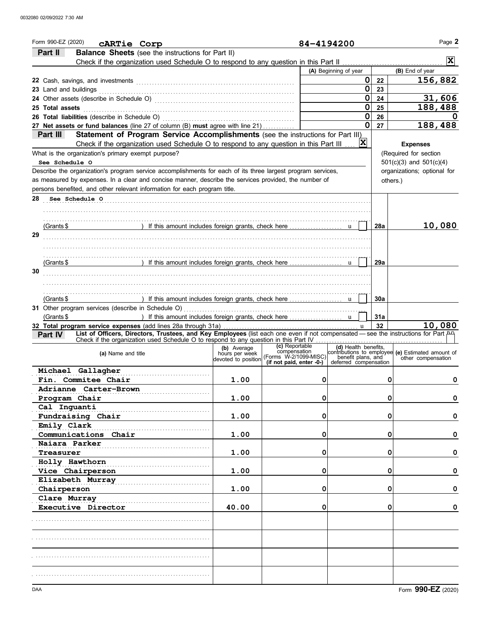|    | Form 990-EZ (2020)    | <b>CARTie Corp</b>                                 |                                                                                                                                                                                                                                                                                            |       |                          | 84-4194200            |          | Page 2                                                                                                                                                                                                                    |
|----|-----------------------|----------------------------------------------------|--------------------------------------------------------------------------------------------------------------------------------------------------------------------------------------------------------------------------------------------------------------------------------------------|-------|--------------------------|-----------------------|----------|---------------------------------------------------------------------------------------------------------------------------------------------------------------------------------------------------------------------------|
|    | Part II               |                                                    | <b>Balance Sheets</b> (see the instructions for Part II)                                                                                                                                                                                                                                   |       |                          |                       |          |                                                                                                                                                                                                                           |
|    |                       |                                                    | Check if the organization used Schedule O to respond to any question in this Part II                                                                                                                                                                                                       |       |                          |                       |          | $ \mathbf{x} $                                                                                                                                                                                                            |
|    |                       |                                                    |                                                                                                                                                                                                                                                                                            |       |                          | (A) Beginning of year |          | (B) End of year                                                                                                                                                                                                           |
|    |                       |                                                    |                                                                                                                                                                                                                                                                                            |       |                          | 0                     | 22       | 156,882                                                                                                                                                                                                                   |
|    |                       |                                                    |                                                                                                                                                                                                                                                                                            |       |                          | 0                     | 23       |                                                                                                                                                                                                                           |
|    |                       |                                                    |                                                                                                                                                                                                                                                                                            |       |                          | 0                     | 24       | 31,606                                                                                                                                                                                                                    |
|    |                       |                                                    | 25 Total assets <b>25 Total</b> assets <b>25</b> Total assets <b>25</b> Total assets <b>25</b> Total assets <b>25</b> Total assets <b>25</b> Total assets <b>25</b> Total assets <b>25</b> Total assets <b>25</b> Total assets <b>25</b> Total assets <b>25</b> Total assets <b>25</b> Tot |       |                          | $\mathbf 0$           | 25       | 188,488                                                                                                                                                                                                                   |
|    |                       |                                                    |                                                                                                                                                                                                                                                                                            |       |                          | 0                     | 26       |                                                                                                                                                                                                                           |
|    |                       |                                                    | 27 Net assets or fund balances (line 27 of column (B) must agree with line 21)                                                                                                                                                                                                             |       |                          | $\mathbf 0$           | 27       | 188,488                                                                                                                                                                                                                   |
|    | Part III              |                                                    | Statement of Program Service Accomplishments (see the instructions for Part III)                                                                                                                                                                                                           |       |                          |                       |          |                                                                                                                                                                                                                           |
|    |                       |                                                    | Check if the organization used Schedule O to respond to any question in this Part III                                                                                                                                                                                                      |       |                          | X                     |          | <b>Expenses</b>                                                                                                                                                                                                           |
|    |                       | What is the organization's primary exempt purpose? |                                                                                                                                                                                                                                                                                            |       |                          |                       |          | (Required for section                                                                                                                                                                                                     |
|    | See Schedule O        |                                                    |                                                                                                                                                                                                                                                                                            |       |                          |                       |          | $501(c)(3)$ and $501(c)(4)$                                                                                                                                                                                               |
|    |                       |                                                    | Describe the organization's program service accomplishments for each of its three largest program services,                                                                                                                                                                                |       |                          |                       |          | organizations; optional for                                                                                                                                                                                               |
|    |                       |                                                    | as measured by expenses. In a clear and concise manner, describe the services provided, the number of<br>persons benefited, and other relevant information for each program title.                                                                                                         |       |                          |                       | others.) |                                                                                                                                                                                                                           |
|    |                       |                                                    |                                                                                                                                                                                                                                                                                            |       |                          |                       |          |                                                                                                                                                                                                                           |
| 28 | <b>See Schedule O</b> |                                                    |                                                                                                                                                                                                                                                                                            |       |                          |                       |          |                                                                                                                                                                                                                           |
|    |                       |                                                    |                                                                                                                                                                                                                                                                                            |       |                          |                       |          |                                                                                                                                                                                                                           |
|    |                       |                                                    |                                                                                                                                                                                                                                                                                            |       |                          |                       |          |                                                                                                                                                                                                                           |
|    | (Grants \$            |                                                    | ) If this amount includes foreign grants, check here <i>conservances</i>                                                                                                                                                                                                                   |       |                          |                       | 28a      | 10,080                                                                                                                                                                                                                    |
| 29 |                       |                                                    |                                                                                                                                                                                                                                                                                            |       |                          |                       |          |                                                                                                                                                                                                                           |
|    |                       |                                                    |                                                                                                                                                                                                                                                                                            |       |                          |                       |          |                                                                                                                                                                                                                           |
|    |                       |                                                    |                                                                                                                                                                                                                                                                                            |       |                          |                       |          |                                                                                                                                                                                                                           |
|    | (Grants \$            |                                                    |                                                                                                                                                                                                                                                                                            |       |                          |                       | 29a      |                                                                                                                                                                                                                           |
| 30 |                       |                                                    |                                                                                                                                                                                                                                                                                            |       |                          |                       |          |                                                                                                                                                                                                                           |
|    |                       |                                                    |                                                                                                                                                                                                                                                                                            |       |                          |                       |          |                                                                                                                                                                                                                           |
|    |                       |                                                    |                                                                                                                                                                                                                                                                                            |       |                          |                       | 30a      |                                                                                                                                                                                                                           |
|    | (Grants \$            |                                                    |                                                                                                                                                                                                                                                                                            |       |                          |                       |          |                                                                                                                                                                                                                           |
|    | (Grants \$            |                                                    |                                                                                                                                                                                                                                                                                            |       |                          |                       | 31a      |                                                                                                                                                                                                                           |
|    |                       |                                                    | 32 Total program service expenses (add lines 28a through 31a)                                                                                                                                                                                                                              |       |                          |                       | 32       | 10,080                                                                                                                                                                                                                    |
|    | Part IV               |                                                    | List of Officers, Directors, Trustees, and Key Employees (list each one even if not compensated - see the instructions for Part A4                                                                                                                                                         |       |                          |                       |          |                                                                                                                                                                                                                           |
|    |                       |                                                    |                                                                                                                                                                                                                                                                                            |       |                          |                       |          |                                                                                                                                                                                                                           |
|    |                       | (a) Name and title                                 |                                                                                                                                                                                                                                                                                            |       |                          |                       |          | (b) Average (c) Reportable (d) Health benefits,<br>hours per week compensation (Forms W-2/1099-MISC) benefit plans, and<br>devoted to position ( $\frac{1}{16}$ not naid onter 0.1) benefit plans, and there compensation |
|    |                       |                                                    |                                                                                                                                                                                                                                                                                            |       | (if not paid, enter -0-) | deferred compensation |          |                                                                                                                                                                                                                           |
|    |                       | Michael Gallagher                                  |                                                                                                                                                                                                                                                                                            |       |                          |                       |          |                                                                                                                                                                                                                           |
|    |                       | <b>Fin. Commitee Chair</b>                         |                                                                                                                                                                                                                                                                                            | 1.00  |                          |                       | 0        | 0                                                                                                                                                                                                                         |
|    |                       | Adrianne Carter-Brown                              |                                                                                                                                                                                                                                                                                            |       |                          |                       |          |                                                                                                                                                                                                                           |
|    | Program Chair         |                                                    |                                                                                                                                                                                                                                                                                            | 1.00  | 0                        |                       | 0        | $\mathbf 0$                                                                                                                                                                                                               |
|    | Cal Inguanti          |                                                    |                                                                                                                                                                                                                                                                                            |       |                          |                       |          |                                                                                                                                                                                                                           |
|    |                       | Fundraising Chair                                  |                                                                                                                                                                                                                                                                                            | 1.00  | 0                        |                       | 0        | $\mathbf 0$                                                                                                                                                                                                               |
|    | Emily Clark           |                                                    |                                                                                                                                                                                                                                                                                            |       |                          |                       |          |                                                                                                                                                                                                                           |
|    |                       | Communications Chair                               |                                                                                                                                                                                                                                                                                            | 1.00  | 0                        |                       | 0        | 0                                                                                                                                                                                                                         |
|    | Naiara Parker         |                                                    |                                                                                                                                                                                                                                                                                            |       |                          |                       |          |                                                                                                                                                                                                                           |
|    | Treasurer             |                                                    |                                                                                                                                                                                                                                                                                            | 1.00  | 0                        |                       | 0        | 0                                                                                                                                                                                                                         |
|    | Holly Hawthorn        |                                                    |                                                                                                                                                                                                                                                                                            |       |                          |                       |          |                                                                                                                                                                                                                           |
|    | Vice Chairperson      |                                                    |                                                                                                                                                                                                                                                                                            | 1.00  | 0                        |                       | 0        | 0                                                                                                                                                                                                                         |
|    | Elizabeth Murray      |                                                    |                                                                                                                                                                                                                                                                                            |       |                          |                       |          |                                                                                                                                                                                                                           |
|    | Chairperson           |                                                    |                                                                                                                                                                                                                                                                                            | 1.00  | 0                        |                       | 0        | 0                                                                                                                                                                                                                         |
|    | Clare Murray          |                                                    |                                                                                                                                                                                                                                                                                            |       |                          |                       |          |                                                                                                                                                                                                                           |
|    |                       | Executive Director                                 |                                                                                                                                                                                                                                                                                            | 40.00 | 0                        |                       | 0        | 0                                                                                                                                                                                                                         |
|    |                       |                                                    |                                                                                                                                                                                                                                                                                            |       |                          |                       |          |                                                                                                                                                                                                                           |
|    |                       |                                                    |                                                                                                                                                                                                                                                                                            |       |                          |                       |          |                                                                                                                                                                                                                           |
|    |                       |                                                    |                                                                                                                                                                                                                                                                                            |       |                          |                       |          |                                                                                                                                                                                                                           |
|    |                       |                                                    |                                                                                                                                                                                                                                                                                            |       |                          |                       |          |                                                                                                                                                                                                                           |
|    |                       |                                                    |                                                                                                                                                                                                                                                                                            |       |                          |                       |          |                                                                                                                                                                                                                           |
|    |                       |                                                    |                                                                                                                                                                                                                                                                                            |       |                          |                       |          |                                                                                                                                                                                                                           |
|    |                       |                                                    |                                                                                                                                                                                                                                                                                            |       |                          |                       |          |                                                                                                                                                                                                                           |
|    |                       |                                                    |                                                                                                                                                                                                                                                                                            |       |                          |                       |          |                                                                                                                                                                                                                           |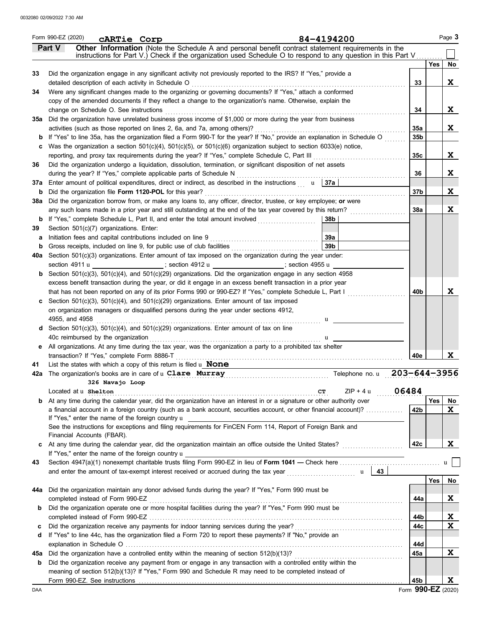|     | Form 990-EZ (2020)<br>84-4194200<br><b>CARTie Corp</b>                                                                                                                                                                        |                 |            | Page 3       |
|-----|-------------------------------------------------------------------------------------------------------------------------------------------------------------------------------------------------------------------------------|-----------------|------------|--------------|
|     | Other Information (Note the Schedule A and personal benefit contract statement requirements in the<br>Part V                                                                                                                  |                 |            |              |
|     | instructions for Part V.) Check if the organization used Schedule O to respond to any question in this Part V.                                                                                                                |                 |            |              |
|     |                                                                                                                                                                                                                               |                 | Yes        | No           |
| 33  | Did the organization engage in any significant activity not previously reported to the IRS? If "Yes," provide a<br>detailed description of each activity in Schedule O                                                        | 33              |            | X            |
| 34  | Were any significant changes made to the organizing or governing documents? If "Yes," attach a conformed                                                                                                                      |                 |            |              |
|     | copy of the amended documents if they reflect a change to the organization's name. Otherwise, explain the                                                                                                                     |                 |            |              |
|     | change on Schedule O. See instructions                                                                                                                                                                                        | 34              |            | X            |
| 35а | Did the organization have unrelated business gross income of \$1,000 or more during the year from business                                                                                                                    |                 |            |              |
|     | activities (such as those reported on lines 2, 6a, and 7a, among others)?                                                                                                                                                     | 35a             |            | X.           |
| b   | If "Yes" to line 35a, has the organization filed a Form 990-T for the year? If "No," provide an explanation in Schedule O                                                                                                     | 35b             |            |              |
| С   | Was the organization a section $501(c)(4)$ , $501(c)(5)$ , or $501(c)(6)$ organization subject to section $6033(e)$ notice,                                                                                                   |                 |            |              |
|     | reporting, and proxy tax requirements during the year? If "Yes," complete Schedule C, Part III                                                                                                                                | 35 <sub>c</sub> |            | X            |
| 36  | Did the organization undergo a liquidation, dissolution, termination, or significant disposition of net assets                                                                                                                |                 |            |              |
|     | during the year? If "Yes," complete applicable parts of Schedule N                                                                                                                                                            | 36              |            | X            |
| 37a | Enter amount of political expenditures, direct or indirect, as described in the instructions $\begin{bmatrix} 0 & 37a \end{bmatrix}$                                                                                          |                 |            |              |
| b   | Did the organization file Form 1120-POL for this year?                                                                                                                                                                        | 37b             |            | X            |
| 38a | Did the organization borrow from, or make any loans to, any officer, director, trustee, or key employee; or were                                                                                                              |                 |            |              |
|     | any such loans made in a prior year and still outstanding at the end of the tax year covered by this return?                                                                                                                  | 38a             |            | X            |
|     | <b>b</b> If "Yes," complete Schedule L, Part II, and enter the total amount involved<br>38b                                                                                                                                   |                 |            |              |
| 39  | Section 501(c)(7) organizations. Enter:                                                                                                                                                                                       |                 |            |              |
| а   | 39a<br>Initiation fees and capital contributions included on line 9<br>39 <sub>b</sub>                                                                                                                                        |                 |            |              |
| b   | Section 501(c)(3) organizations. Enter amount of tax imposed on the organization during the year under:                                                                                                                       |                 |            |              |
| 40a | section 4911 u ____________________; section 4912 u __________________; section 4955 u                                                                                                                                        |                 |            |              |
| b   | Section 501(c)(3), 501(c)(4), and 501(c)(29) organizations. Did the organization engage in any section 4958                                                                                                                   |                 |            |              |
|     | excess benefit transaction during the year, or did it engage in an excess benefit transaction in a prior year                                                                                                                 |                 |            |              |
|     | that has not been reported on any of its prior Forms 990 or 990-EZ? If "Yes," complete Schedule L, Part I                                                                                                                     | 40b             |            | X            |
| c   | Section 501(c)(3), 501(c)(4), and 501(c)(29) organizations. Enter amount of tax imposed                                                                                                                                       |                 |            |              |
|     | on organization managers or disqualified persons during the year under sections 4912,                                                                                                                                         |                 |            |              |
|     | 4955, and 4958                                                                                                                                                                                                                |                 |            |              |
| d   | Section 501(c)(3), 501(c)(4), and 501(c)(29) organizations. Enter amount of tax on line                                                                                                                                       |                 |            |              |
|     | 40c reimbursed by the organization                                                                                                                                                                                            |                 |            |              |
| е   | All organizations. At any time during the tax year, was the organization a party to a prohibited tax shelter                                                                                                                  |                 |            |              |
|     | transaction? If "Yes," complete Form 8886-T                                                                                                                                                                                   | 40e             |            | x            |
| 41  | List the states with which a copy of this return is filed $\mathbf u$ <b>None</b>                                                                                                                                             |                 |            |              |
|     | Telephone no. u 203-644-3956<br>42a The organization's books are in care of u Clare Murray                                                                                                                                    |                 |            |              |
|     | 326 Navajo Loop                                                                                                                                                                                                               |                 |            |              |
|     | $ZIP + 4u$<br>Located at u Shelton<br><b>CT</b>                                                                                                                                                                               | 06484           |            |              |
| b   | At any time during the calendar year, did the organization have an interest in or a signature or other authority over                                                                                                         |                 | Yes        | No           |
|     | a financial account in a foreign country (such as a bank account, securities account, or other financial account)?                                                                                                            | 42 <sub>b</sub> |            | X            |
|     | If "Yes," enter the name of the foreign country u<br>See the instructions for exceptions and filing requirements for FinCEN Form 114, Report of Foreign Bank and                                                              |                 |            |              |
|     | Financial Accounts (FBAR).                                                                                                                                                                                                    |                 |            |              |
| C   | At any time during the calendar year, did the organization maintain an office outside the United States?                                                                                                                      | 42c             |            | X            |
|     | If "Yes," enter the name of the foreign country u                                                                                                                                                                             |                 |            |              |
| 43  |                                                                                                                                                                                                                               |                 |            | u            |
|     | $\vert$ 43                                                                                                                                                                                                                    |                 |            |              |
|     |                                                                                                                                                                                                                               |                 | <b>Yes</b> | No           |
| 44a | Did the organization maintain any donor advised funds during the year? If "Yes," Form 990 must be                                                                                                                             |                 |            |              |
|     | completed instead of Form 990-EZ [[11] CONDITIONAL COMPLETED IN SCIENCE ACCORDING TO THE SCIENCE ACCORDING TO THE SCIENCE ACCORDING TO THE SCIENCE ACCORDING TO THE SCIENCE ACCORDING TO THE SCIENCE ACCORDING TO THE SCIENCE | 44a             |            | X            |
| b   | Did the organization operate one or more hospital facilities during the year? If "Yes," Form 990 must be                                                                                                                      |                 |            |              |
|     |                                                                                                                                                                                                                               | 44b             |            | $\mathbf{x}$ |
| c   |                                                                                                                                                                                                                               | 44c             |            | X            |
| d   | If "Yes" to line 44c, has the organization filed a Form 720 to report these payments? If "No," provide an                                                                                                                     |                 |            |              |
|     |                                                                                                                                                                                                                               | 44d             |            |              |
| 45а | Did the organization have a controlled entity within the meaning of section 512(b)(13)?                                                                                                                                       | 45a             |            | $\mathbf{x}$ |
| b   | Did the organization receive any payment from or engage in any transaction with a controlled entity within the                                                                                                                |                 |            |              |
|     | meaning of section 512(b)(13)? If "Yes," Form 990 and Schedule R may need to be completed instead of                                                                                                                          |                 |            |              |
|     |                                                                                                                                                                                                                               | 45b             |            | X            |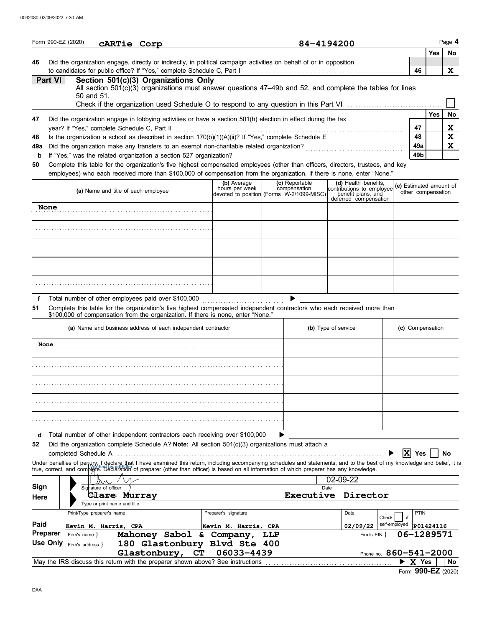|           |                                                                                                      | Form 990-EZ (2020)   |                                                     | <b>CARTie Corp</b>                                                                                                                                                                                                                                                                                                       |                                                                            |            | 84-4194200                     |                     |                                                                                                  |                                               |           | Page 4 |
|-----------|------------------------------------------------------------------------------------------------------|----------------------|-----------------------------------------------------|--------------------------------------------------------------------------------------------------------------------------------------------------------------------------------------------------------------------------------------------------------------------------------------------------------------------------|----------------------------------------------------------------------------|------------|--------------------------------|---------------------|--------------------------------------------------------------------------------------------------|-----------------------------------------------|-----------|--------|
| 46        |                                                                                                      |                      |                                                     | Did the organization engage, directly or indirectly, in political campaign activities on behalf of or in opposition                                                                                                                                                                                                      |                                                                            |            |                                |                     |                                                                                                  | 46                                            | Yes       | No     |
|           | Part VI                                                                                              |                      | 50 and 51.                                          | Section 501(c)(3) Organizations Only<br>All section $501(c)(3)$ organizations must answer questions $47-49b$ and $52$ , and complete the tables for lines                                                                                                                                                                |                                                                            |            |                                |                     |                                                                                                  |                                               |           | X.     |
| 47        |                                                                                                      |                      |                                                     | Did the organization engage in lobbying activities or have a section 501(h) election in effect during the tax                                                                                                                                                                                                            |                                                                            |            |                                |                     |                                                                                                  |                                               | Yes       | No     |
|           |                                                                                                      |                      |                                                     | year? If "Yes," complete Schedule C, Part II                                                                                                                                                                                                                                                                             |                                                                            |            |                                |                     |                                                                                                  | 47<br>48                                      |           | X<br>X |
| 48<br>49a | Is the organization a school as described in section 170(b)(1)(A)(ii)? If "Yes," complete Schedule E |                      |                                                     |                                                                                                                                                                                                                                                                                                                          |                                                                            |            |                                | 49a                 |                                                                                                  | $\mathbf{x}$                                  |           |        |
| b         |                                                                                                      |                      |                                                     | If "Yes," was the related organization a section 527 organization?                                                                                                                                                                                                                                                       |                                                                            |            |                                |                     |                                                                                                  | 49b                                           |           |        |
| 50        |                                                                                                      |                      |                                                     | Complete this table for the organization's five highest compensated employees (other than officers, directors, trustees, and key<br>employees) who each received more than \$100,000 of compensation from the organization. If there is none, enter "None."                                                              |                                                                            |            |                                |                     |                                                                                                  |                                               |           |        |
|           |                                                                                                      |                      |                                                     | (a) Name and title of each employee                                                                                                                                                                                                                                                                                      | (b) Average<br>hours per week<br>devoted to position (Forms W-2/1099-MISC) |            | (c) Reportable<br>compensation |                     | (d) Health benefits,<br>contributions to employee<br>benefit plans, and<br>deferred compensation | (e) Estimated amount of<br>other compensation |           |        |
|           | None                                                                                                 |                      |                                                     |                                                                                                                                                                                                                                                                                                                          |                                                                            |            |                                |                     |                                                                                                  |                                               |           |        |
|           |                                                                                                      |                      |                                                     |                                                                                                                                                                                                                                                                                                                          |                                                                            |            |                                |                     |                                                                                                  |                                               |           |        |
|           |                                                                                                      |                      |                                                     |                                                                                                                                                                                                                                                                                                                          |                                                                            |            |                                |                     |                                                                                                  |                                               |           |        |
|           |                                                                                                      |                      |                                                     |                                                                                                                                                                                                                                                                                                                          |                                                                            |            |                                |                     |                                                                                                  |                                               |           |        |
|           |                                                                                                      |                      |                                                     |                                                                                                                                                                                                                                                                                                                          |                                                                            |            |                                |                     |                                                                                                  |                                               |           |        |
| f         |                                                                                                      |                      |                                                     | Total number of other employees paid over \$100,000                                                                                                                                                                                                                                                                      |                                                                            |            |                                |                     |                                                                                                  |                                               |           |        |
| 51        |                                                                                                      |                      |                                                     | Complete this table for the organization's five highest compensated independent contractors who each received more than<br>\$100,000 of compensation from the organization. If there is none, enter "None."                                                                                                              |                                                                            |            |                                |                     |                                                                                                  |                                               |           |        |
|           |                                                                                                      |                      |                                                     | (a) Name and business address of each independent contractor                                                                                                                                                                                                                                                             |                                                                            |            |                                | (b) Type of service |                                                                                                  | (c) Compensation                              |           |        |
|           | None                                                                                                 |                      |                                                     |                                                                                                                                                                                                                                                                                                                          |                                                                            |            |                                |                     |                                                                                                  |                                               |           |        |
|           |                                                                                                      |                      |                                                     |                                                                                                                                                                                                                                                                                                                          |                                                                            |            |                                |                     |                                                                                                  |                                               |           |        |
|           |                                                                                                      |                      |                                                     |                                                                                                                                                                                                                                                                                                                          |                                                                            |            |                                |                     |                                                                                                  |                                               |           |        |
|           |                                                                                                      |                      |                                                     |                                                                                                                                                                                                                                                                                                                          |                                                                            |            |                                |                     |                                                                                                  |                                               |           |        |
|           |                                                                                                      |                      |                                                     |                                                                                                                                                                                                                                                                                                                          |                                                                            |            |                                |                     |                                                                                                  |                                               |           |        |
| d<br>52   |                                                                                                      |                      |                                                     | Total number of other independent contractors each receiving over \$100,000<br>Did the organization complete Schedule A? Note: All section $501(c)(3)$ organizations must attach a                                                                                                                                       |                                                                            |            |                                |                     |                                                                                                  |                                               |           |        |
|           |                                                                                                      | completed Schedule A |                                                     | Under penalties of perjury, I declare that I have examined this return, including accompanying schedules and statements, and to the best of my knowledge and belief, it is<br>true, correct, and complete. Declaration of preparer (other than officer) is based on all information of which preparer has any knowledge. |                                                                            |            |                                |                     |                                                                                                  | $\overline{\mathbf{x}}$<br><b>Yes</b>         |           | No     |
|           |                                                                                                      |                      |                                                     |                                                                                                                                                                                                                                                                                                                          |                                                                            |            |                                | 02-09-22            |                                                                                                  |                                               |           |        |
| Sign      |                                                                                                      |                      | Sighature of officer                                |                                                                                                                                                                                                                                                                                                                          |                                                                            |            | Date                           |                     |                                                                                                  |                                               |           |        |
| Here      |                                                                                                      |                      | <b>Clare Murray</b><br>Type or print name and title |                                                                                                                                                                                                                                                                                                                          |                                                                            |            | <b>Executive</b>               |                     | Director                                                                                         |                                               |           |        |
| Paid      |                                                                                                      |                      | Print/Type preparer's name                          |                                                                                                                                                                                                                                                                                                                          | Preparer's signature                                                       |            |                                | Date                | Check                                                                                            | <b>PTIN</b><br>if                             |           |        |
|           | <b>Preparer</b>                                                                                      | Firm's name          | Kevin M. Harris, CPA                                | Mahoney Sabol & Company,                                                                                                                                                                                                                                                                                                 | Kevin M. Harris, CPA                                                       | <b>LLP</b> |                                |                     | 02/09/22<br>Firm's EIN                                                                           | self-employed<br>06-1289571                   | P01424116 |        |
|           | <b>Use Only</b>                                                                                      | Firm's address }     |                                                     | 180 Glastonbury Blvd Ste 400<br>Glastonbury,<br><b>CT</b>                                                                                                                                                                                                                                                                | 06033-4439                                                                 |            |                                |                     | Phone no. 860-541-2000                                                                           |                                               |           |        |
|           |                                                                                                      |                      |                                                     | May the IRS discuss this return with the preparer shown above? See instructions                                                                                                                                                                                                                                          |                                                                            |            |                                |                     |                                                                                                  | $ {\bf x} $<br>▶                              | Yes       | No     |

Form **990-EZ** (2020)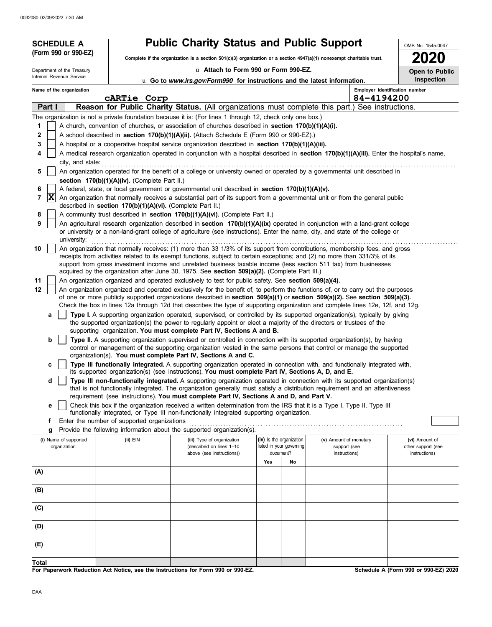| <b>SCHEDULE A</b><br>(Form 990 or 990-EZ)              |                                                            | <b>Public Charity Status and Public Support</b>                                                                                                                                                                                                                 |                                                                                                                                  |                        | OMB No. 1545-0047              |  |  |
|--------------------------------------------------------|------------------------------------------------------------|-----------------------------------------------------------------------------------------------------------------------------------------------------------------------------------------------------------------------------------------------------------------|----------------------------------------------------------------------------------------------------------------------------------|------------------------|--------------------------------|--|--|
|                                                        |                                                            |                                                                                                                                                                                                                                                                 | 2020<br>Complete if the organization is a section $501(c)(3)$ organization or a section $4947(a)(1)$ nonexempt charitable trust. |                        |                                |  |  |
| Department of the Treasury<br>Internal Revenue Service |                                                            | u Attach to Form 990 or Form 990-EZ.                                                                                                                                                                                                                            |                                                                                                                                  |                        | Open to Public<br>Inspection   |  |  |
| Name of the organization                               |                                                            | u Go to www.irs.gov/Form990 for instructions and the latest information.                                                                                                                                                                                        |                                                                                                                                  |                        | Employer identification number |  |  |
| <b>CARTie Corp</b><br>84-4194200                       |                                                            |                                                                                                                                                                                                                                                                 |                                                                                                                                  |                        |                                |  |  |
| Part I                                                 |                                                            | Reason for Public Charity Status. (All organizations must complete this part.) See instructions.                                                                                                                                                                |                                                                                                                                  |                        |                                |  |  |
|                                                        |                                                            | The organization is not a private foundation because it is: (For lines 1 through 12, check only one box.)                                                                                                                                                       |                                                                                                                                  |                        |                                |  |  |
| 1<br>$\mathbf{2}$                                      |                                                            | A church, convention of churches, or association of churches described in section 170(b)(1)(A)(i).                                                                                                                                                              |                                                                                                                                  |                        |                                |  |  |
| 3                                                      |                                                            | A school described in section 170(b)(1)(A)(ii). (Attach Schedule E (Form 990 or 990-EZ).)<br>A hospital or a cooperative hospital service organization described in section $170(b)(1)(A)(iii)$ .                                                               |                                                                                                                                  |                        |                                |  |  |
| 4                                                      |                                                            | A medical research organization operated in conjunction with a hospital described in section 170(b)(1)(A)(iii). Enter the hospital's name,                                                                                                                      |                                                                                                                                  |                        |                                |  |  |
| city, and state:                                       |                                                            |                                                                                                                                                                                                                                                                 |                                                                                                                                  |                        |                                |  |  |
| 5                                                      |                                                            | An organization operated for the benefit of a college or university owned or operated by a governmental unit described in                                                                                                                                       |                                                                                                                                  |                        |                                |  |  |
| 6                                                      | section 170(b)(1)(A)(iv). (Complete Part II.)              | A federal, state, or local government or governmental unit described in section 170(b)(1)(A)(v).                                                                                                                                                                |                                                                                                                                  |                        |                                |  |  |
| X<br>7                                                 |                                                            | An organization that normally receives a substantial part of its support from a governmental unit or from the general public                                                                                                                                    |                                                                                                                                  |                        |                                |  |  |
|                                                        | described in section 170(b)(1)(A)(vi). (Complete Part II.) |                                                                                                                                                                                                                                                                 |                                                                                                                                  |                        |                                |  |  |
| 8                                                      |                                                            | A community trust described in section 170(b)(1)(A)(vi). (Complete Part II.)                                                                                                                                                                                    |                                                                                                                                  |                        |                                |  |  |
| 9<br>university:                                       |                                                            | An agricultural research organization described in section 170(b)(1)(A)(ix) operated in conjunction with a land-grant college<br>or university or a non-land-grant college of agriculture (see instructions). Enter the name, city, and state of the college or |                                                                                                                                  |                        |                                |  |  |
| 10                                                     |                                                            | An organization that normally receives: (1) more than 33 1/3% of its support from contributions, membership fees, and gross<br>receipts from activities related to its exempt functions, subject to certain exceptions; and (2) no more than 331/3% of its      |                                                                                                                                  |                        |                                |  |  |
|                                                        |                                                            | support from gross investment income and unrelated business taxable income (less section 511 tax) from businesses<br>acquired by the organization after June 30, 1975. See section 509(a)(2). (Complete Part III.)                                              |                                                                                                                                  |                        |                                |  |  |
| 11                                                     |                                                            | An organization organized and operated exclusively to test for public safety. See section 509(a)(4).                                                                                                                                                            |                                                                                                                                  |                        |                                |  |  |
| 12                                                     |                                                            | An organization organized and operated exclusively for the benefit of, to perform the functions of, or to carry out the purposes<br>of one or more publicly supported organizations described in section 509(a)(1) or section 509(a)(2). See section 509(a)(3). |                                                                                                                                  |                        |                                |  |  |
|                                                        |                                                            | Check the box in lines 12a through 12d that describes the type of supporting organization and complete lines 12e, 12f, and 12g.                                                                                                                                 |                                                                                                                                  |                        |                                |  |  |
| a                                                      |                                                            | Type I. A supporting organization operated, supervised, or controlled by its supported organization(s), typically by giving                                                                                                                                     |                                                                                                                                  |                        |                                |  |  |
|                                                        |                                                            | the supported organization(s) the power to regularly appoint or elect a majority of the directors or trustees of the<br>supporting organization. You must complete Part IV, Sections A and B.                                                                   |                                                                                                                                  |                        |                                |  |  |
| b                                                      |                                                            | Type II. A supporting organization supervised or controlled in connection with its supported organization(s), by having                                                                                                                                         |                                                                                                                                  |                        |                                |  |  |
|                                                        |                                                            | control or management of the supporting organization vested in the same persons that control or manage the supported                                                                                                                                            |                                                                                                                                  |                        |                                |  |  |
|                                                        |                                                            | organization(s). You must complete Part IV, Sections A and C.<br>Type III functionally integrated. A supporting organization operated in connection with, and functionally integrated with,                                                                     |                                                                                                                                  |                        |                                |  |  |
| c                                                      |                                                            | its supported organization(s) (see instructions). You must complete Part IV, Sections A, D, and E.                                                                                                                                                              |                                                                                                                                  |                        |                                |  |  |
| d                                                      |                                                            | Type III non-functionally integrated. A supporting organization operated in connection with its supported organization(s)                                                                                                                                       |                                                                                                                                  |                        |                                |  |  |
|                                                        |                                                            | that is not functionally integrated. The organization generally must satisfy a distribution requirement and an attentiveness<br>requirement (see instructions). You must complete Part IV, Sections A and D, and Part V.                                        |                                                                                                                                  |                        |                                |  |  |
| е                                                      |                                                            | Check this box if the organization received a written determination from the IRS that it is a Type I, Type II, Type III                                                                                                                                         |                                                                                                                                  |                        |                                |  |  |
|                                                        |                                                            | functionally integrated, or Type III non-functionally integrated supporting organization.                                                                                                                                                                       |                                                                                                                                  |                        |                                |  |  |
| f<br>g                                                 | Enter the number of supported organizations                | Provide the following information about the supported organization(s).                                                                                                                                                                                          |                                                                                                                                  |                        |                                |  |  |
| (i) Name of supported                                  | (ii) EIN                                                   | (iii) Type of organization                                                                                                                                                                                                                                      | (iv) Is the organization                                                                                                         | (v) Amount of monetary | (vi) Amount of                 |  |  |
| organization                                           |                                                            | (described on lines 1-10<br>above (see instructions))                                                                                                                                                                                                           | listed in your governing<br>document?                                                                                            | support (see           | other support (see             |  |  |
|                                                        |                                                            |                                                                                                                                                                                                                                                                 | Yes<br>No                                                                                                                        | instructions)          | instructions)                  |  |  |
| (A)                                                    |                                                            |                                                                                                                                                                                                                                                                 |                                                                                                                                  |                        |                                |  |  |
|                                                        |                                                            |                                                                                                                                                                                                                                                                 |                                                                                                                                  |                        |                                |  |  |
| (B)                                                    |                                                            |                                                                                                                                                                                                                                                                 |                                                                                                                                  |                        |                                |  |  |
| (C)                                                    |                                                            |                                                                                                                                                                                                                                                                 |                                                                                                                                  |                        |                                |  |  |
| (D)                                                    |                                                            |                                                                                                                                                                                                                                                                 |                                                                                                                                  |                        |                                |  |  |
| (E)                                                    |                                                            |                                                                                                                                                                                                                                                                 |                                                                                                                                  |                        |                                |  |  |
| <b>Total</b>                                           |                                                            |                                                                                                                                                                                                                                                                 |                                                                                                                                  |                        |                                |  |  |

**For Paperwork Reduction Act Notice, see the Instructions for Form 990 or 990-EZ.**

**Schedule A (Form 990 or 990-EZ) 2020**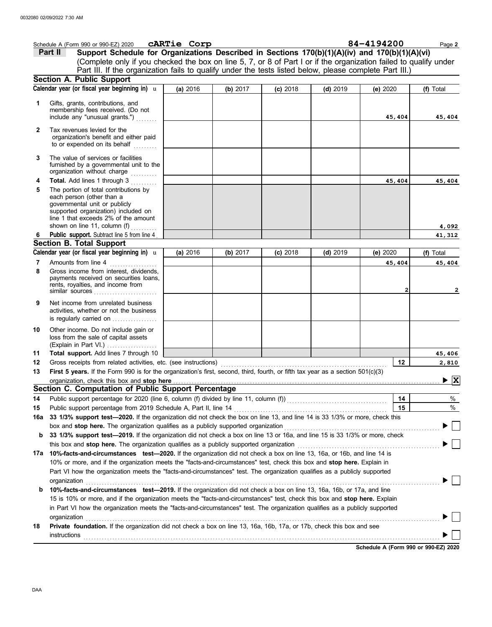|              | Schedule A (Form 990 or 990-EZ) 2020                                                                                                                                                                                                                                                                                                                                                | <b>CARTie Corp</b> |            |            |            | 84-4194200                           | Page 2                                  |
|--------------|-------------------------------------------------------------------------------------------------------------------------------------------------------------------------------------------------------------------------------------------------------------------------------------------------------------------------------------------------------------------------------------|--------------------|------------|------------|------------|--------------------------------------|-----------------------------------------|
|              | Support Schedule for Organizations Described in Sections 170(b)(1)(A)(iv) and 170(b)(1)(A)(vi)<br>Part II                                                                                                                                                                                                                                                                           |                    |            |            |            |                                      |                                         |
|              | (Complete only if you checked the box on line 5, 7, or 8 of Part I or if the organization failed to qualify under                                                                                                                                                                                                                                                                   |                    |            |            |            |                                      |                                         |
|              | Part III. If the organization fails to qualify under the tests listed below, please complete Part III.)                                                                                                                                                                                                                                                                             |                    |            |            |            |                                      |                                         |
|              | <b>Section A. Public Support</b>                                                                                                                                                                                                                                                                                                                                                    |                    |            |            |            |                                      |                                         |
|              | Calendar year (or fiscal year beginning in) u                                                                                                                                                                                                                                                                                                                                       | (a) 2016           | (b) $2017$ | $(c)$ 2018 | $(d)$ 2019 | (e) 2020                             | (f) Total                               |
| 1            | Gifts, grants, contributions, and<br>membership fees received. (Do not<br>include any "unusual grants.")                                                                                                                                                                                                                                                                            |                    |            |            |            | 45,404                               | 45,404                                  |
| $\mathbf{2}$ | Tax revenues levied for the<br>organization's benefit and either paid<br>to or expended on its behalf                                                                                                                                                                                                                                                                               |                    |            |            |            |                                      |                                         |
| 3            | The value of services or facilities<br>furnished by a governmental unit to the<br>organization without charge                                                                                                                                                                                                                                                                       |                    |            |            |            |                                      |                                         |
| 4            | Total. Add lines 1 through 3                                                                                                                                                                                                                                                                                                                                                        |                    |            |            |            | 45,404                               | 45,404                                  |
| 5            | The portion of total contributions by<br>each person (other than a<br>governmental unit or publicly<br>supported organization) included on<br>line 1 that exceeds 2% of the amount<br>shown on line 11, column (f)                                                                                                                                                                  |                    |            |            |            |                                      | 4,092                                   |
| 6            | Public support. Subtract line 5 from line 4                                                                                                                                                                                                                                                                                                                                         |                    |            |            |            |                                      | 41,312                                  |
|              | <b>Section B. Total Support</b>                                                                                                                                                                                                                                                                                                                                                     |                    |            |            |            |                                      |                                         |
|              | Calendar year (or fiscal year beginning in) u                                                                                                                                                                                                                                                                                                                                       | (a) 2016           | (b) 2017   | $(c)$ 2018 | $(d)$ 2019 | (e) 2020                             | (f) Total                               |
| 7            | Amounts from line 4                                                                                                                                                                                                                                                                                                                                                                 |                    |            |            |            | 45,404                               | 45,404                                  |
| 8            | Gross income from interest, dividends,<br>payments received on securities loans,<br>rents, royalties, and income from<br>similar sources $\ldots, \ldots, \ldots, \ldots, \ldots$                                                                                                                                                                                                   |                    |            |            |            | 2                                    | 2                                       |
| 9            | Net income from unrelated business<br>activities, whether or not the business<br>is regularly carried on                                                                                                                                                                                                                                                                            |                    |            |            |            |                                      |                                         |
| 10           | Other income. Do not include gain or<br>loss from the sale of capital assets<br>(Explain in Part VI.)                                                                                                                                                                                                                                                                               |                    |            |            |            |                                      |                                         |
| 11           | Total support. Add lines 7 through 10                                                                                                                                                                                                                                                                                                                                               |                    |            |            |            |                                      | 45,406                                  |
| 12           | Gross receipts from related activities, etc. (see instructions)                                                                                                                                                                                                                                                                                                                     |                    |            |            |            | 12                                   | 2,810                                   |
| 13           | First 5 years. If the Form 990 is for the organization's first, second, third, fourth, or fifth tax year as a section $501(c)(3)$                                                                                                                                                                                                                                                   |                    |            |            |            |                                      |                                         |
|              | organization, check this box and stop here                                                                                                                                                                                                                                                                                                                                          |                    |            |            |            |                                      | $\blacktriangleright$ $\vert$ X $\vert$ |
|              | Section C. Computation of Public Support Percentage                                                                                                                                                                                                                                                                                                                                 |                    |            |            |            |                                      |                                         |
| 14           | Public support percentage for 2020 (line 6, column (f) divided by line 11, column (f)) [[[[[[[[[[[[[[[[[[[[[[                                                                                                                                                                                                                                                                       |                    |            |            |            | 14                                   | $\%$                                    |
| 15           | Public support percentage from 2019 Schedule A, Part II, line 14                                                                                                                                                                                                                                                                                                                    |                    |            |            |            | 15                                   | $\%$                                    |
| 16a          | 33 1/3% support test-2020. If the organization did not check the box on line 13, and line 14 is 33 1/3% or more, check this                                                                                                                                                                                                                                                         |                    |            |            |            |                                      |                                         |
|              | box and stop here. The organization qualifies as a publicly supported organization                                                                                                                                                                                                                                                                                                  |                    |            |            |            |                                      |                                         |
| b            | 33 1/3% support test-2019. If the organization did not check a box on line 13 or 16a, and line 15 is 33 1/3% or more, check                                                                                                                                                                                                                                                         |                    |            |            |            |                                      |                                         |
|              | this box and stop here. The organization qualifies as a publicly supported organization                                                                                                                                                                                                                                                                                             |                    |            |            |            |                                      |                                         |
|              | 17a 10%-facts-and-circumstances test-2020. If the organization did not check a box on line 13, 16a, or 16b, and line 14 is                                                                                                                                                                                                                                                          |                    |            |            |            |                                      |                                         |
|              | 10% or more, and if the organization meets the "facts-and-circumstances" test, check this box and stop here. Explain in                                                                                                                                                                                                                                                             |                    |            |            |            |                                      |                                         |
|              | Part VI how the organization meets the "facts-and-circumstances" test. The organization qualifies as a publicly supported<br>organization                                                                                                                                                                                                                                           |                    |            |            |            |                                      |                                         |
| b            | 10%-facts-and-circumstances test-2019. If the organization did not check a box on line 13, 16a, 16b, or 17a, and line<br>15 is 10% or more, and if the organization meets the "facts-and-circumstances" test, check this box and stop here. Explain<br>in Part VI how the organization meets the "facts-and-circumstances" test. The organization qualifies as a publicly supported |                    |            |            |            |                                      |                                         |
|              | organization                                                                                                                                                                                                                                                                                                                                                                        |                    |            |            |            |                                      |                                         |
| 18           | Private foundation. If the organization did not check a box on line 13, 16a, 16b, 17a, or 17b, check this box and see<br>instructions                                                                                                                                                                                                                                               |                    |            |            |            |                                      |                                         |
|              |                                                                                                                                                                                                                                                                                                                                                                                     |                    |            |            |            | Schedule A (Form 990 or 990-EZ) 2020 |                                         |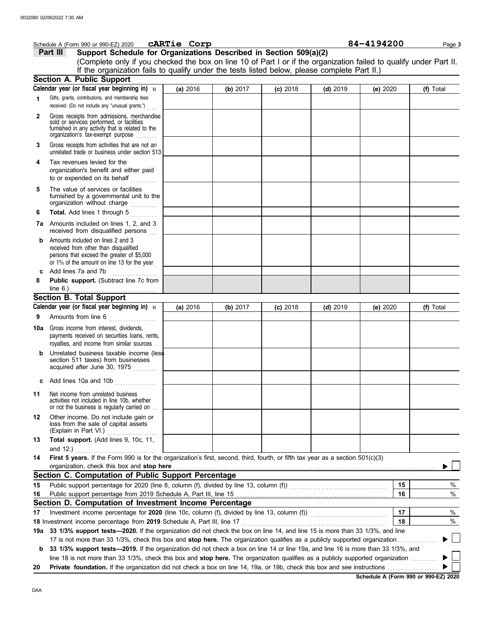|     | Schedule A (Form 990 or 990-EZ) 2020                                                                                                                                              | <b>CARTie Corp</b> |          |            |            | 84-4194200 | Page 3    |
|-----|-----------------------------------------------------------------------------------------------------------------------------------------------------------------------------------|--------------------|----------|------------|------------|------------|-----------|
|     | Support Schedule for Organizations Described in Section 509(a)(2)<br>Part III                                                                                                     |                    |          |            |            |            |           |
|     | (Complete only if you checked the box on line 10 of Part I or if the organization failed to qualify under Part II.                                                                |                    |          |            |            |            |           |
|     | If the organization fails to qualify under the tests listed below, please complete Part II.)                                                                                      |                    |          |            |            |            |           |
|     | <b>Section A. Public Support</b>                                                                                                                                                  |                    |          |            |            |            |           |
|     | Calendar year (or fiscal year beginning in) u                                                                                                                                     | (a) 2016           | (b) 2017 | $(c)$ 2018 | $(d)$ 2019 | (e) 2020   | (f) Total |
| 1   | Gifts, grants, contributions, and membership fees<br>received. (Do not include any "unusual grants.")                                                                             |                    |          |            |            |            |           |
| 2   | Gross receipts from admissions, merchandise<br>sold or services performed, or facilities<br>furnished in any activity that is related to the<br>organization's tax-exempt purpose |                    |          |            |            |            |           |
| 3   | Gross receipts from activities that are not an<br>unrelated trade or business under section 513                                                                                   |                    |          |            |            |            |           |
| 4   | Tax revenues levied for the<br>organization's benefit and either paid<br>to or expended on its behalf<br>in de Berlin                                                             |                    |          |            |            |            |           |
| 5   | The value of services or facilities<br>furnished by a governmental unit to the<br>organization without charge                                                                     |                    |          |            |            |            |           |
| 6   | Total. Add lines 1 through 5                                                                                                                                                      |                    |          |            |            |            |           |
|     | 7a Amounts included on lines 1, 2, and 3<br>received from disqualified persons                                                                                                    |                    |          |            |            |            |           |
| b   | Amounts included on lines 2 and 3<br>received from other than disqualified<br>persons that exceed the greater of \$5,000<br>or 1% of the amount on line 13 for the year           |                    |          |            |            |            |           |
| c   | Add lines 7a and 7b                                                                                                                                                               |                    |          |            |            |            |           |
| 8   | Public support. (Subtract line 7c from<br>line 6.) $\ldots$                                                                                                                       |                    |          |            |            |            |           |
|     | <b>Section B. Total Support</b>                                                                                                                                                   |                    |          |            |            |            |           |
|     | Calendar year (or fiscal year beginning in) u                                                                                                                                     | (a) 2016           | (b) 2017 | $(c)$ 2018 | $(d)$ 2019 | (e) 2020   | (f) Total |
| 9   | Amounts from line 6<br><u> 1986 - Johann Stoff, Amerikaansk kanton (</u>                                                                                                          |                    |          |            |            |            |           |
| 10a | Gross income from interest, dividends,<br>payments received on securities loans, rents,<br>royalties, and income from similar sources.                                            |                    |          |            |            |            |           |
|     | Unrelated business taxable income (less<br>section 511 taxes) from businesses<br>acquired after June 30, 1975                                                                     |                    |          |            |            |            |           |
|     | c Add lines 10a and 10b $\ldots$                                                                                                                                                  |                    |          |            |            |            |           |
| 11  | Net income from unrelated business<br>activities not included in line 10b, whether<br>or not the business is regularly carried on                                                 |                    |          |            |            |            |           |
| 12  | Other income. Do not include gain or<br>loss from the sale of capital assets<br>(Explain in Part VI.)                                                                             |                    |          |            |            |            |           |
| 13  | Total support. (Add lines 9, 10c, 11,<br>and $12.$ )                                                                                                                              |                    |          |            |            |            |           |
| 14  | First 5 years. If the Form 990 is for the organization's first, second, third, fourth, or fifth tax year as a section 501(c)(3)<br>organization, check this box and stop here     |                    |          |            |            |            |           |
|     | Section C. Computation of Public Support Percentage                                                                                                                               |                    |          |            |            |            |           |
| 15  |                                                                                                                                                                                   |                    |          |            |            | 15         | $\%$      |
| 16  |                                                                                                                                                                                   |                    |          |            |            | 16         | $\%$      |
|     | Section D. Computation of Investment Income Percentage                                                                                                                            |                    |          |            |            |            |           |
| 17  |                                                                                                                                                                                   |                    |          |            |            | 17         | %         |
|     |                                                                                                                                                                                   |                    |          |            |            | 18         | $\%$      |
|     | 19a 33 1/3% support tests-2020. If the organization did not check the box on line 14, and line 15 is more than 33 1/3%, and line                                                  |                    |          |            |            |            |           |
|     | 17 is not more than 33 1/3%, check this box and stop here. The organization qualifies as a publicly supported organization                                                        |                    |          |            |            |            |           |
| b   | 33 1/3% support tests-2019. If the organization did not check a box on line 14 or line 19a, and line 16 is more than 33 1/3%, and                                                 |                    |          |            |            |            |           |
|     | line 18 is not more than 33 1/3%, check this box and stop here. The organization qualifies as a publicly supported organization                                                   |                    |          |            |            |            |           |
| 20  |                                                                                                                                                                                   |                    |          |            |            |            |           |

**Schedule A (Form 990 or 990-EZ) 2020**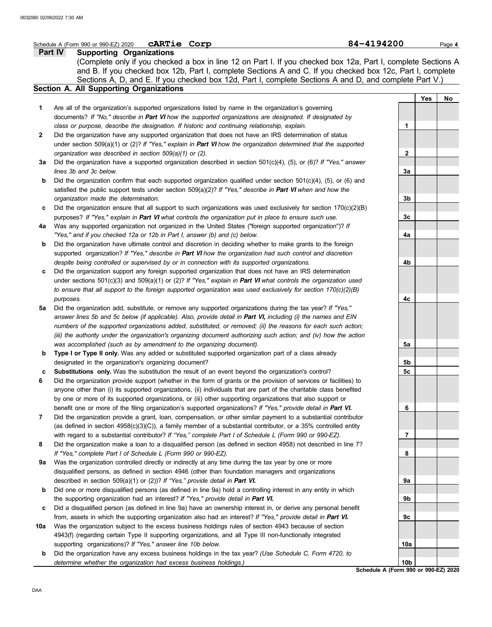|     | cARTie Corp<br>Schedule A (Form 990 or 990-EZ) 2020                                                                 | 84-4194200      |            | Page 4 |
|-----|---------------------------------------------------------------------------------------------------------------------|-----------------|------------|--------|
|     | Part IV<br><b>Supporting Organizations</b>                                                                          |                 |            |        |
|     | (Complete only if you checked a box in line 12 on Part I. If you checked box 12a, Part I, complete Sections A       |                 |            |        |
|     | and B. If you checked box 12b, Part I, complete Sections A and C. If you checked box 12c, Part I, complete          |                 |            |        |
|     | Sections A, D, and E. If you checked box 12d, Part I, complete Sections A and D, and complete Part V.)              |                 |            |        |
|     | Section A. All Supporting Organizations                                                                             |                 |            |        |
|     |                                                                                                                     |                 | <b>Yes</b> | No     |
| 1   | Are all of the organization's supported organizations listed by name in the organization's governing                |                 |            |        |
|     | documents? If "No," describe in Part VI how the supported organizations are designated. If designated by            |                 |            |        |
|     | class or purpose, describe the designation. If historic and continuing relationship, explain.                       | 1               |            |        |
| 2   | Did the organization have any supported organization that does not have an IRS determination of status              |                 |            |        |
|     | under section 509(a)(1) or (2)? If "Yes," explain in Part VI how the organization determined that the supported     |                 |            |        |
|     | organization was described in section 509(a)(1) or (2).                                                             | $\mathbf{2}$    |            |        |
| За  | Did the organization have a supported organization described in section $501(c)(4)$ , (5), or (6)? If "Yes," answer |                 |            |        |
|     | lines 3b and 3c below.                                                                                              | Зa              |            |        |
| b   | Did the organization confirm that each supported organization qualified under section 501(c)(4), (5), or (6) and    |                 |            |        |
|     | satisfied the public support tests under section 509(a)(2)? If "Yes," describe in Part VI when and how the          |                 |            |        |
|     | organization made the determination.                                                                                | 3b              |            |        |
| c   | Did the organization ensure that all support to such organizations was used exclusively for section $170(c)(2)(B)$  |                 |            |        |
|     | purposes? If "Yes," explain in Part VI what controls the organization put in place to ensure such use.              | 3c              |            |        |
| 4a  | Was any supported organization not organized in the United States ("foreign supported organization")? If            |                 |            |        |
|     | "Yes," and if you checked 12a or 12b in Part I, answer (b) and (c) below.                                           | 4a              |            |        |
| b   | Did the organization have ultimate control and discretion in deciding whether to make grants to the foreign         |                 |            |        |
|     | supported organization? If "Yes," describe in Part VI how the organization had such control and discretion          |                 |            |        |
|     | despite being controlled or supervised by or in connection with its supported organizations.                        | 4b              |            |        |
| c   | Did the organization support any foreign supported organization that does not have an IRS determination             |                 |            |        |
|     | under sections $501(c)(3)$ and $509(a)(1)$ or (2)? If "Yes," explain in Part VI what controls the organization used |                 |            |        |
|     | to ensure that all support to the foreign supported organization was used exclusively for section $170(c)(2)(B)$    |                 |            |        |
|     | purposes.                                                                                                           | 4с              |            |        |
| 5a  | Did the organization add, substitute, or remove any supported organizations during the tax year? If "Yes,"          |                 |            |        |
|     | answer lines 5b and 5c below (if applicable). Also, provide detail in Part VI, including (i) the names and EIN      |                 |            |        |
|     | numbers of the supported organizations added, substituted, or removed; (ii) the reasons for each such action;       |                 |            |        |
|     | (iii) the authority under the organization's organizing document authorizing such action; and (iv) how the action   |                 |            |        |
|     | was accomplished (such as by amendment to the organizing document).                                                 | 5a              |            |        |
| b   | Type I or Type II only. Was any added or substituted supported organization part of a class already                 |                 |            |        |
|     | designated in the organization's organizing document?                                                               | 5b              |            |        |
|     | Substitutions only. Was the substitution the result of an event beyond the organization's control?                  | 5c              |            |        |
|     | Did the organization provide support (whether in the form of grants or the provision of services or facilities) to  |                 |            |        |
|     | anyone other than (i) its supported organizations, (ii) individuals that are part of the charitable class benefited |                 |            |        |
|     | by one or more of its supported organizations, or (iii) other supporting organizations that also support or         |                 |            |        |
|     | benefit one or more of the filing organization's supported organizations? If "Yes," provide detail in Part VI.      | 6               |            |        |
| 7   | Did the organization provide a grant, loan, compensation, or other similar payment to a substantial contributor     |                 |            |        |
|     | (as defined in section $4958(c)(3)(C)$ ), a family member of a substantial contributor, or a 35% controlled entity  |                 |            |        |
|     | with regard to a substantial contributor? If "Yes," complete Part I of Schedule L (Form 990 or 990-EZ).             | 7               |            |        |
| 8   | Did the organization make a loan to a disqualified person (as defined in section 4958) not described in line 7?     |                 |            |        |
|     | If "Yes," complete Part I of Schedule L (Form 990 or 990-EZ).                                                       | 8               |            |        |
| 9a  | Was the organization controlled directly or indirectly at any time during the tax year by one or more               |                 |            |        |
|     | disqualified persons, as defined in section 4946 (other than foundation managers and organizations                  |                 |            |        |
|     | described in section 509(a)(1) or (2))? If "Yes," provide detail in Part VI.                                        | 9а              |            |        |
| b   | Did one or more disqualified persons (as defined in line 9a) hold a controlling interest in any entity in which     |                 |            |        |
|     | the supporting organization had an interest? If "Yes," provide detail in Part VI.                                   | 9b              |            |        |
| c   | Did a disqualified person (as defined in line 9a) have an ownership interest in, or derive any personal benefit     |                 |            |        |
|     | from, assets in which the supporting organization also had an interest? If "Yes," provide detail in Part VI.        | 9с              |            |        |
| 10a | Was the organization subject to the excess business holdings rules of section 4943 because of section               |                 |            |        |
|     | 4943(f) (regarding certain Type II supporting organizations, and all Type III non-functionally integrated           |                 |            |        |
|     | supporting organizations)? If "Yes," answer line 10b below.                                                         | 10a             |            |        |
| b   | Did the organization have any excess business holdings in the tax year? (Use Schedule C, Form 4720, to              |                 |            |        |
|     | determine whether the organization had excess business holdings.)                                                   | 10 <sub>b</sub> |            |        |

**Schedule A (Form 990 or 990-EZ) 2020 10b**

DAA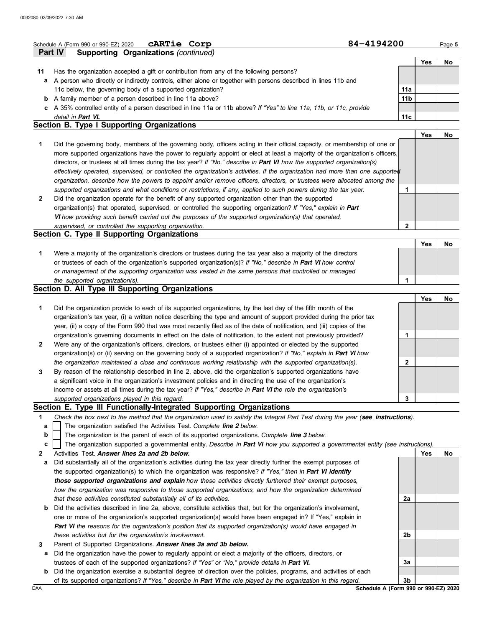|              | 84-4194200<br><b>CARTie Corp</b><br>Schedule A (Form 990 or 990-EZ) 2020                                                          |                 |            | Page 5 |
|--------------|-----------------------------------------------------------------------------------------------------------------------------------|-----------------|------------|--------|
|              | Part IV<br>Supporting Organizations (continued)                                                                                   |                 |            |        |
|              |                                                                                                                                   |                 | <b>Yes</b> | No     |
| 11           | Has the organization accepted a gift or contribution from any of the following persons?                                           |                 |            |        |
| a            | A person who directly or indirectly controls, either alone or together with persons described in lines 11b and                    |                 |            |        |
|              | 11c below, the governing body of a supported organization?                                                                        | 11a             |            |        |
| b            | A family member of a person described in line 11a above?                                                                          | 11 <sub>b</sub> |            |        |
|              | A 35% controlled entity of a person described in line 11a or 11b above? If "Yes" to line 11a, 11b, or 11c, provide                |                 |            |        |
| C            |                                                                                                                                   |                 |            |        |
|              | detail in Part VI.                                                                                                                | 11c             |            |        |
|              | <b>Section B. Type I Supporting Organizations</b>                                                                                 |                 |            |        |
|              |                                                                                                                                   |                 | <b>Yes</b> | No     |
| 1            | Did the governing body, members of the governing body, officers acting in their official capacity, or membership of one or        |                 |            |        |
|              | more supported organizations have the power to regularly appoint or elect at least a majority of the organization's officers,     |                 |            |        |
|              | directors, or trustees at all times during the tax year? If "No," describe in Part VI how the supported organization(s)           |                 |            |        |
|              | effectively operated, supervised, or controlled the organization's activities. If the organization had more than one supported    |                 |            |        |
|              | organization, describe how the powers to appoint and/or remove officers, directors, or trustees were allocated among the          |                 |            |        |
|              | supported organizations and what conditions or restrictions, if any, applied to such powers during the tax year.                  | 1               |            |        |
| $\mathbf{2}$ | Did the organization operate for the benefit of any supported organization other than the supported                               |                 |            |        |
|              | organization(s) that operated, supervised, or controlled the supporting organization? If "Yes," explain in Part                   |                 |            |        |
|              | VI how providing such benefit carried out the purposes of the supported organization(s) that operated,                            |                 |            |        |
|              | supervised, or controlled the supporting organization.                                                                            | $\mathbf 2$     |            |        |
|              | Section C. Type II Supporting Organizations                                                                                       |                 |            |        |
|              |                                                                                                                                   |                 |            |        |
|              |                                                                                                                                   |                 | Yes        | No     |
| 1            | Were a majority of the organization's directors or trustees during the tax year also a majority of the directors                  |                 |            |        |
|              | or trustees of each of the organization's supported organization(s)? If "No," describe in Part VI how control                     |                 |            |        |
|              | or management of the supporting organization was vested in the same persons that controlled or managed                            |                 |            |        |
|              | the supported organization(s).                                                                                                    | 1               |            |        |
|              | Section D. All Type III Supporting Organizations                                                                                  |                 |            |        |
|              |                                                                                                                                   |                 | Yes        | No     |
| 1            | Did the organization provide to each of its supported organizations, by the last day of the fifth month of the                    |                 |            |        |
|              | organization's tax year, (i) a written notice describing the type and amount of support provided during the prior tax             |                 |            |        |
|              | year, (ii) a copy of the Form 990 that was most recently filed as of the date of notification, and (iii) copies of the            |                 |            |        |
|              | organization's governing documents in effect on the date of notification, to the extent not previously provided?                  | 1               |            |        |
| 2            | Were any of the organization's officers, directors, or trustees either (i) appointed or elected by the supported                  |                 |            |        |
|              | organization(s) or (ii) serving on the governing body of a supported organization? If "No," explain in Part VI how                |                 |            |        |
|              | the organization maintained a close and continuous working relationship with the supported organization(s).                       | 2               |            |        |
|              |                                                                                                                                   |                 |            |        |
| 3            | By reason of the relationship described in line 2, above, did the organization's supported organizations have                     |                 |            |        |
|              | a significant voice in the organization's investment policies and in directing the use of the organization's                      |                 |            |        |
|              | income or assets at all times during the tax year? If "Yes," describe in Part VI the role the organization's                      |                 |            |        |
|              | supported organizations played in this regard.                                                                                    | 3               |            |        |
|              | Section E. Type III Functionally-Integrated Supporting Organizations                                                              |                 |            |        |
| 1            | Check the box next to the method that the organization used to satisfy the Integral Part Test during the year (see instructions). |                 |            |        |
| a            | The organization satisfied the Activities Test. Complete line 2 below.                                                            |                 |            |        |
| b            | The organization is the parent of each of its supported organizations. Complete line 3 below.                                     |                 |            |        |
| c            | The organization supported a governmental entity. Describe in Part VI how you supported a governmental entity (see instructions). |                 |            |        |
| 2            | Activities Test. Answer lines 2a and 2b below.                                                                                    |                 | Yes        | No     |
| а            | Did substantially all of the organization's activities during the tax year directly further the exempt purposes of                |                 |            |        |
|              | the supported organization(s) to which the organization was responsive? If "Yes," then in Part VI identify                        |                 |            |        |
|              | those supported organizations and explain how these activities directly furthered their exempt purposes,                          |                 |            |        |
|              | how the organization was responsive to those supported organizations, and how the organization determined                         |                 |            |        |
|              |                                                                                                                                   | 2a              |            |        |
|              | that these activities constituted substantially all of its activities.                                                            |                 |            |        |
| b            | Did the activities described in line 2a, above, constitute activities that, but for the organization's involvement,               |                 |            |        |
|              | one or more of the organization's supported organization(s) would have been engaged in? If "Yes," explain in                      |                 |            |        |
|              | Part VI the reasons for the organization's position that its supported organization(s) would have engaged in                      |                 |            |        |
|              | these activities but for the organization's involvement.                                                                          | 2b              |            |        |
| 3            | Parent of Supported Organizations. Answer lines 3a and 3b below.                                                                  |                 |            |        |
| а            | Did the organization have the power to regularly appoint or elect a majority of the officers, directors, or                       |                 |            |        |
|              | trustees of each of the supported organizations? If "Yes" or "No," provide details in Part VI.                                    | 3a              |            |        |
| b            | Did the organization exercise a substantial degree of direction over the policies, programs, and activities of each               |                 |            |        |
|              | of its supported organizations? If "Yes," describe in Part VI the role played by the organization in this regard.                 | 3b              |            |        |

DAA **Schedule A (Form 990 or 990-EZ) 2020**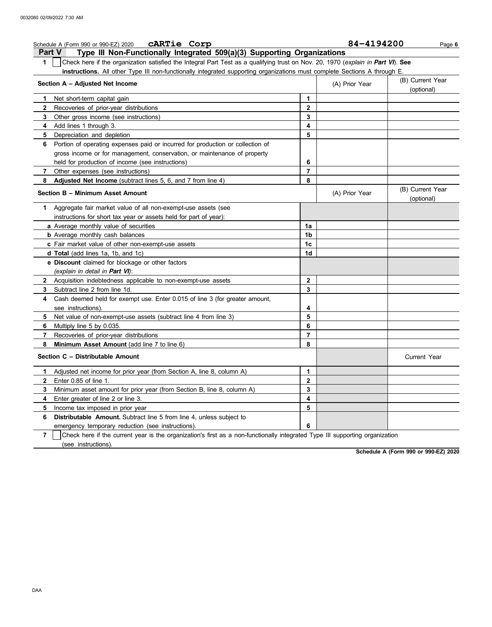|                | <b>CARTie Corp</b><br>Schedule A (Form 990 or 990-EZ) 2020                                                                       |              | 84-4194200     | Page 6                         |
|----------------|----------------------------------------------------------------------------------------------------------------------------------|--------------|----------------|--------------------------------|
|                | Type III Non-Functionally Integrated 509(a)(3) Supporting Organizations<br><b>Part V</b>                                         |              |                |                                |
| $\mathbf{1}$   | Check here if the organization satisfied the Integral Part Test as a qualifying trust on Nov. 20, 1970 (explain in Part VI). See |              |                |                                |
|                | instructions. All other Type III non-functionally integrated supporting organizations must complete Sections A through E.        |              |                |                                |
|                | Section A - Adjusted Net Income                                                                                                  |              | (A) Prior Year | (B) Current Year               |
|                |                                                                                                                                  |              |                | (optional)                     |
| 1              | Net short-term capital gain                                                                                                      | 1            |                |                                |
| $\mathbf{2}$   | Recoveries of prior-year distributions                                                                                           | $\mathbf{2}$ |                |                                |
| 3              | Other gross income (see instructions)                                                                                            | 3            |                |                                |
| 4              | Add lines 1 through 3.                                                                                                           | 4            |                |                                |
| 5              | Depreciation and depletion                                                                                                       | 5            |                |                                |
| 6              | Portion of operating expenses paid or incurred for production or collection of                                                   |              |                |                                |
|                | gross income or for management, conservation, or maintenance of property                                                         |              |                |                                |
|                | held for production of income (see instructions)                                                                                 | 6            |                |                                |
| 7              | Other expenses (see instructions)                                                                                                | 7            |                |                                |
| 8              | Adjusted Net Income (subtract lines 5, 6, and 7 from line 4)                                                                     | 8            |                |                                |
|                | Section B - Minimum Asset Amount                                                                                                 |              | (A) Prior Year | (B) Current Year<br>(optional) |
| 1              | Aggregate fair market value of all non-exempt-use assets (see                                                                    |              |                |                                |
|                | instructions for short tax year or assets held for part of year):                                                                |              |                |                                |
|                | a Average monthly value of securities                                                                                            | 1a           |                |                                |
|                | <b>b</b> Average monthly cash balances                                                                                           | 1b           |                |                                |
|                | c Fair market value of other non-exempt-use assets                                                                               | 1c           |                |                                |
|                | d Total (add lines 1a, 1b, and 1c)                                                                                               | 1d           |                |                                |
|                | e Discount claimed for blockage or other factors                                                                                 |              |                |                                |
|                | (explain in detail in <b>Part VI</b> ):                                                                                          |              |                |                                |
| $\mathbf{2}$   | Acquisition indebtedness applicable to non-exempt-use assets                                                                     | $\mathbf{2}$ |                |                                |
| 3              | Subtract line 2 from line 1d.                                                                                                    | 3            |                |                                |
| 4              | Cash deemed held for exempt use. Enter 0.015 of line 3 (for greater amount,                                                      |              |                |                                |
|                | see instructions).                                                                                                               | 4            |                |                                |
| 5              | Net value of non-exempt-use assets (subtract line 4 from line 3)                                                                 | 5            |                |                                |
| 6.             | Multiply line 5 by 0.035.                                                                                                        | 6            |                |                                |
| 7              | Recoveries of prior-year distributions                                                                                           | 7            |                |                                |
| 8              | Minimum Asset Amount (add line 7 to line 6)                                                                                      | 8            |                |                                |
|                | Section C - Distributable Amount                                                                                                 |              |                | <b>Current Year</b>            |
| 1              | Adjusted net income for prior year (from Section A, line 8, column A)                                                            | 1            |                |                                |
| 2              | Enter 0.85 of line 1.                                                                                                            | 2            |                |                                |
| 3              | Minimum asset amount for prior year (from Section B, line 8, column A)                                                           | 3            |                |                                |
| 4              | Enter greater of line 2 or line 3.                                                                                               | 4            |                |                                |
| 5              | Income tax imposed in prior year                                                                                                 | 5            |                |                                |
| 6              | Distributable Amount. Subtract line 5 from line 4, unless subject to                                                             |              |                |                                |
|                | emergency temporary reduction (see instructions).                                                                                | 6            |                |                                |
| $\overline{7}$ | Check here if the current year is the organization's first as a non-functionally integrated Type III supporting organization     |              |                |                                |
|                | (see instructions).                                                                                                              |              |                |                                |

**Schedule A (Form 990 or 990-EZ) 2020**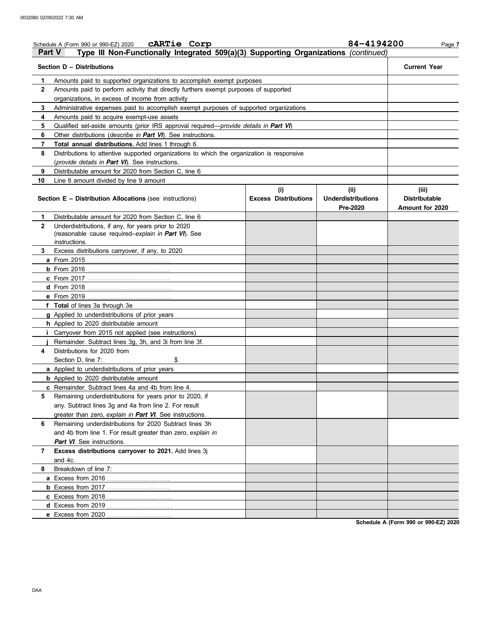| 84-4194200<br><b>CARTie Corp</b><br>Schedule A (Form 990 or 990-EZ) 2020 |                                                                                                                             |                                    |                                               |                                                  |  |
|--------------------------------------------------------------------------|-----------------------------------------------------------------------------------------------------------------------------|------------------------------------|-----------------------------------------------|--------------------------------------------------|--|
| <b>Part V</b>                                                            | Type III Non-Functionally Integrated 509(a)(3) Supporting Organizations (continued)                                         |                                    |                                               |                                                  |  |
|                                                                          | Section D - Distributions                                                                                                   |                                    |                                               | <b>Current Year</b>                              |  |
| 1                                                                        | Amounts paid to supported organizations to accomplish exempt purposes                                                       |                                    |                                               |                                                  |  |
| $\mathbf{2}$                                                             | Amounts paid to perform activity that directly furthers exempt purposes of supported                                        |                                    |                                               |                                                  |  |
|                                                                          | organizations, in excess of income from activity                                                                            |                                    |                                               |                                                  |  |
| 3                                                                        | Administrative expenses paid to accomplish exempt purposes of supported organizations                                       |                                    |                                               |                                                  |  |
| 4                                                                        | Amounts paid to acquire exempt-use assets                                                                                   |                                    |                                               |                                                  |  |
| 5                                                                        | Qualified set-aside amounts (prior IRS approval required— <i>provide details in Part VI</i> )                               |                                    |                                               |                                                  |  |
| 6                                                                        | Other distributions (describe in <b>Part VI</b> ). See instructions.                                                        |                                    |                                               |                                                  |  |
| 7                                                                        | Total annual distributions. Add lines 1 through 6.                                                                          |                                    |                                               |                                                  |  |
| 8                                                                        | Distributions to attentive supported organizations to which the organization is responsive                                  |                                    |                                               |                                                  |  |
|                                                                          | (provide details in Part VI). See instructions.                                                                             |                                    |                                               |                                                  |  |
| 9                                                                        | Distributable amount for 2020 from Section C, line 6                                                                        |                                    |                                               |                                                  |  |
| 10                                                                       | Line 8 amount divided by line 9 amount                                                                                      |                                    |                                               |                                                  |  |
|                                                                          | <b>Section E - Distribution Allocations (see instructions)</b>                                                              | (i)<br><b>Excess Distributions</b> | (ii)<br><b>Underdistributions</b><br>Pre-2020 | (iii)<br><b>Distributable</b><br>Amount for 2020 |  |
| 1                                                                        | Distributable amount for 2020 from Section C, line 6                                                                        |                                    |                                               |                                                  |  |
| $\mathbf{2}$                                                             | Underdistributions, if any, for years prior to 2020<br>(reasonable cause required-explain in Part VI). See<br>instructions. |                                    |                                               |                                                  |  |
| 3                                                                        | Excess distributions carryover, if any, to 2020                                                                             |                                    |                                               |                                                  |  |
|                                                                          |                                                                                                                             |                                    |                                               |                                                  |  |
|                                                                          |                                                                                                                             |                                    |                                               |                                                  |  |
|                                                                          | <b>c</b> From 2017                                                                                                          |                                    |                                               |                                                  |  |
|                                                                          |                                                                                                                             |                                    |                                               |                                                  |  |
|                                                                          |                                                                                                                             |                                    |                                               |                                                  |  |
|                                                                          | f Total of lines 3a through 3e                                                                                              |                                    |                                               |                                                  |  |
|                                                                          | g Applied to underdistributions of prior years                                                                              |                                    |                                               |                                                  |  |
|                                                                          | h Applied to 2020 distributable amount                                                                                      |                                    |                                               |                                                  |  |
|                                                                          | <i>i</i> Carryover from 2015 not applied (see instructions)                                                                 |                                    |                                               |                                                  |  |
|                                                                          | Remainder. Subtract lines 3g, 3h, and 3i from line 3f.                                                                      |                                    |                                               |                                                  |  |
| 4                                                                        | Distributions for 2020 from                                                                                                 |                                    |                                               |                                                  |  |
|                                                                          | Section D, line 7:<br>\$                                                                                                    |                                    |                                               |                                                  |  |
|                                                                          | a Applied to underdistributions of prior years                                                                              |                                    |                                               |                                                  |  |
|                                                                          | <b>b</b> Applied to 2020 distributable amount                                                                               |                                    |                                               |                                                  |  |
|                                                                          | c Remainder. Subtract lines 4a and 4b from line 4.                                                                          |                                    |                                               |                                                  |  |
| 5                                                                        | Remaining underdistributions for years prior to 2020, if                                                                    |                                    |                                               |                                                  |  |
|                                                                          | any. Subtract lines 3g and 4a from line 2. For result                                                                       |                                    |                                               |                                                  |  |
|                                                                          | greater than zero, explain in Part VI. See instructions.                                                                    |                                    |                                               |                                                  |  |
| 6                                                                        | Remaining underdistributions for 2020 Subtract lines 3h                                                                     |                                    |                                               |                                                  |  |
|                                                                          | and 4b from line 1. For result greater than zero, explain in                                                                |                                    |                                               |                                                  |  |
|                                                                          | <b>Part VI</b> See instructions.                                                                                            |                                    |                                               |                                                  |  |
| 7                                                                        | Excess distributions carryover to 2021. Add lines 3j<br>and 4c.                                                             |                                    |                                               |                                                  |  |
| 8                                                                        | Breakdown of line 7:                                                                                                        |                                    |                                               |                                                  |  |
|                                                                          |                                                                                                                             |                                    |                                               |                                                  |  |
|                                                                          |                                                                                                                             |                                    |                                               |                                                  |  |
|                                                                          | c Excess from 2018<br>.                                                                                                     |                                    |                                               |                                                  |  |
|                                                                          | d Excess from 2019<br>.                                                                                                     |                                    |                                               |                                                  |  |
|                                                                          | e Excess from 2020                                                                                                          |                                    |                                               |                                                  |  |
|                                                                          |                                                                                                                             |                                    |                                               | Schodule A (Form 990 or 990-F7) 2020             |  |

**Schedule A (Form 990 or 990-EZ) 2020**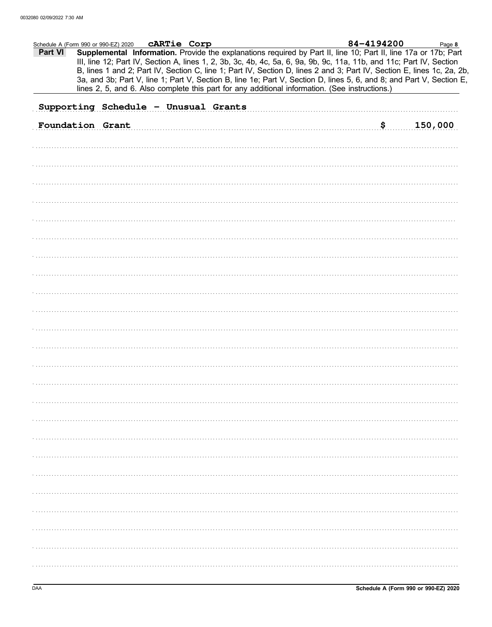| Schedule A (Form 990 or 990-EZ) 2020 |                                                                                                | <b>CARTie Corp</b> |  |  |  | 84-4194200                                                                                                                                                                                                                              | Page 8                                                                                                                                                                                                                                         |
|--------------------------------------|------------------------------------------------------------------------------------------------|--------------------|--|--|--|-----------------------------------------------------------------------------------------------------------------------------------------------------------------------------------------------------------------------------------------|------------------------------------------------------------------------------------------------------------------------------------------------------------------------------------------------------------------------------------------------|
| Part VI                              |                                                                                                |                    |  |  |  | Supplemental Information. Provide the explanations required by Part II, line 10; Part II, line 17a or 17b; Part<br>III, line 12; Part IV, Section A, lines 1, 2, 3b, 3c, 4b, 4c, 5a, 6, 9a, 9b, 9c, 11a, 11b, and 11c; Part IV, Section | B, lines 1 and 2; Part IV, Section C, line 1; Part IV, Section D, lines 2 and 3; Part IV, Section E, lines 1c, 2a, 2b,<br>3a, and 3b; Part V, line 1; Part V, Section B, line 1e; Part V, Section D, lines 5, 6, and 8; and Part V, Section E, |
|                                      | lines 2, 5, and 6. Also complete this part for any additional information. (See instructions.) |                    |  |  |  |                                                                                                                                                                                                                                         |                                                                                                                                                                                                                                                |
|                                      | Supporting Schedule - Unusual Grants                                                           |                    |  |  |  |                                                                                                                                                                                                                                         |                                                                                                                                                                                                                                                |
| Foundation Grant                     |                                                                                                |                    |  |  |  | \$                                                                                                                                                                                                                                      | 150,000                                                                                                                                                                                                                                        |
|                                      |                                                                                                |                    |  |  |  |                                                                                                                                                                                                                                         |                                                                                                                                                                                                                                                |
|                                      |                                                                                                |                    |  |  |  |                                                                                                                                                                                                                                         |                                                                                                                                                                                                                                                |
|                                      |                                                                                                |                    |  |  |  |                                                                                                                                                                                                                                         |                                                                                                                                                                                                                                                |
|                                      |                                                                                                |                    |  |  |  |                                                                                                                                                                                                                                         |                                                                                                                                                                                                                                                |
|                                      |                                                                                                |                    |  |  |  |                                                                                                                                                                                                                                         |                                                                                                                                                                                                                                                |
|                                      |                                                                                                |                    |  |  |  |                                                                                                                                                                                                                                         |                                                                                                                                                                                                                                                |
|                                      |                                                                                                |                    |  |  |  |                                                                                                                                                                                                                                         |                                                                                                                                                                                                                                                |
|                                      |                                                                                                |                    |  |  |  |                                                                                                                                                                                                                                         |                                                                                                                                                                                                                                                |
|                                      |                                                                                                |                    |  |  |  |                                                                                                                                                                                                                                         |                                                                                                                                                                                                                                                |
|                                      |                                                                                                |                    |  |  |  |                                                                                                                                                                                                                                         |                                                                                                                                                                                                                                                |
|                                      |                                                                                                |                    |  |  |  |                                                                                                                                                                                                                                         |                                                                                                                                                                                                                                                |
|                                      |                                                                                                |                    |  |  |  |                                                                                                                                                                                                                                         |                                                                                                                                                                                                                                                |
|                                      |                                                                                                |                    |  |  |  |                                                                                                                                                                                                                                         |                                                                                                                                                                                                                                                |
|                                      |                                                                                                |                    |  |  |  |                                                                                                                                                                                                                                         |                                                                                                                                                                                                                                                |
|                                      |                                                                                                |                    |  |  |  |                                                                                                                                                                                                                                         |                                                                                                                                                                                                                                                |
|                                      |                                                                                                |                    |  |  |  |                                                                                                                                                                                                                                         |                                                                                                                                                                                                                                                |
|                                      |                                                                                                |                    |  |  |  |                                                                                                                                                                                                                                         |                                                                                                                                                                                                                                                |
|                                      |                                                                                                |                    |  |  |  |                                                                                                                                                                                                                                         |                                                                                                                                                                                                                                                |
|                                      |                                                                                                |                    |  |  |  |                                                                                                                                                                                                                                         |                                                                                                                                                                                                                                                |
|                                      |                                                                                                |                    |  |  |  |                                                                                                                                                                                                                                         |                                                                                                                                                                                                                                                |
|                                      |                                                                                                |                    |  |  |  |                                                                                                                                                                                                                                         |                                                                                                                                                                                                                                                |
|                                      |                                                                                                |                    |  |  |  |                                                                                                                                                                                                                                         |                                                                                                                                                                                                                                                |
|                                      |                                                                                                |                    |  |  |  |                                                                                                                                                                                                                                         |                                                                                                                                                                                                                                                |
|                                      |                                                                                                |                    |  |  |  |                                                                                                                                                                                                                                         |                                                                                                                                                                                                                                                |
|                                      |                                                                                                |                    |  |  |  |                                                                                                                                                                                                                                         |                                                                                                                                                                                                                                                |
|                                      |                                                                                                |                    |  |  |  |                                                                                                                                                                                                                                         |                                                                                                                                                                                                                                                |
|                                      |                                                                                                |                    |  |  |  |                                                                                                                                                                                                                                         |                                                                                                                                                                                                                                                |
|                                      |                                                                                                |                    |  |  |  |                                                                                                                                                                                                                                         |                                                                                                                                                                                                                                                |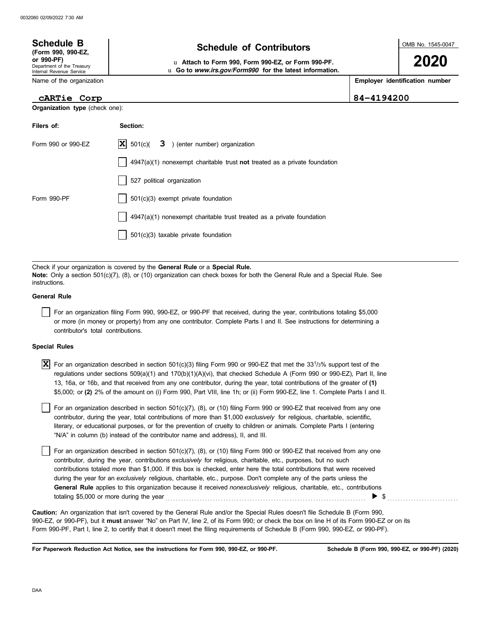| <b>Schedule B</b><br>(Form 990, 990-EZ,                     | <b>Schedule of Contributors</b>                                                                                                                                                                                                                                                                                                                                                                                                                                                                                        |                                | OMB No. 1545-0047 |
|-------------------------------------------------------------|------------------------------------------------------------------------------------------------------------------------------------------------------------------------------------------------------------------------------------------------------------------------------------------------------------------------------------------------------------------------------------------------------------------------------------------------------------------------------------------------------------------------|--------------------------------|-------------------|
| or 990-PF)<br>Department of the Treasury                    | u Attach to Form 990, Form 990-EZ, or Form 990-PF.<br>u Go to www.irs.gov/Form990 for the latest information.                                                                                                                                                                                                                                                                                                                                                                                                          |                                | 2020              |
| Internal Revenue Service<br>Name of the organization        |                                                                                                                                                                                                                                                                                                                                                                                                                                                                                                                        | Employer identification number |                   |
|                                                             |                                                                                                                                                                                                                                                                                                                                                                                                                                                                                                                        |                                |                   |
| <b>CARTie Corp</b><br><b>Organization type (check one):</b> |                                                                                                                                                                                                                                                                                                                                                                                                                                                                                                                        | 84-4194200                     |                   |
|                                                             |                                                                                                                                                                                                                                                                                                                                                                                                                                                                                                                        |                                |                   |
| Filers of:                                                  | Section:                                                                                                                                                                                                                                                                                                                                                                                                                                                                                                               |                                |                   |
| Form 990 or 990-EZ                                          | X <br>501(c)<br>3 ) (enter number) organization                                                                                                                                                                                                                                                                                                                                                                                                                                                                        |                                |                   |
|                                                             | $4947(a)(1)$ nonexempt charitable trust not treated as a private foundation                                                                                                                                                                                                                                                                                                                                                                                                                                            |                                |                   |
|                                                             | 527 political organization                                                                                                                                                                                                                                                                                                                                                                                                                                                                                             |                                |                   |
| Form 990-PF                                                 | $501(c)(3)$ exempt private foundation                                                                                                                                                                                                                                                                                                                                                                                                                                                                                  |                                |                   |
|                                                             | $4947(a)(1)$ nonexempt charitable trust treated as a private foundation                                                                                                                                                                                                                                                                                                                                                                                                                                                |                                |                   |
|                                                             | 501(c)(3) taxable private foundation                                                                                                                                                                                                                                                                                                                                                                                                                                                                                   |                                |                   |
|                                                             |                                                                                                                                                                                                                                                                                                                                                                                                                                                                                                                        |                                |                   |
| instructions.                                               | Check if your organization is covered by the General Rule or a Special Rule.<br><b>Note:</b> Only a section 501(c)(7), (8), or (10) organization can check boxes for both the General Rule and a Special Rule. See                                                                                                                                                                                                                                                                                                     |                                |                   |
| <b>General Rule</b>                                         |                                                                                                                                                                                                                                                                                                                                                                                                                                                                                                                        |                                |                   |
| contributor's total contributions.                          | For an organization filing Form 990, 990-EZ, or 990-PF that received, during the year, contributions totaling \$5,000<br>or more (in money or property) from any one contributor. Complete Parts I and II. See instructions for determining a                                                                                                                                                                                                                                                                          |                                |                   |
| <b>Special Rules</b>                                        |                                                                                                                                                                                                                                                                                                                                                                                                                                                                                                                        |                                |                   |
| ΙX                                                          | For an organization described in section $501(c)(3)$ filing Form 990 or 990-EZ that met the 33 $\frac{1}{3}\%$ support test of the<br>regulations under sections 509(a)(1) and 170(b)(1)(A)(vi), that checked Schedule A (Form 990 or 990-EZ), Part II, line<br>13, 16a, or 16b, and that received from any one contributor, during the year, total contributions of the greater of (1)<br>\$5,000; or (2) 2% of the amount on (i) Form 990, Part VIII, line 1h; or (ii) Form 990-EZ, line 1. Complete Parts I and II. |                                |                   |
|                                                             | For an organization described in section 501(c)(7), (8), or (10) filing Form 990 or 990-EZ that received from any one                                                                                                                                                                                                                                                                                                                                                                                                  |                                |                   |

literary, or educational purposes, or for the prevention of cruelty to children or animals. Complete Parts I (entering contributor, during the year, total contributions of more than \$1,000 *exclusively* for religious, charitable, scientific, "N/A" in column (b) instead of the contributor name and address), II, and III.

For an organization described in section  $501(c)(7)$ ,  $(8)$ , or  $(10)$  filing Form 990 or 990-EZ that received from any one contributor, during the year, contributions *exclusively* for religious, charitable, etc., purposes, but no such contributions totaled more than \$1,000. If this box is checked, enter here the total contributions that were received during the year for an *exclusively* religious, charitable, etc., purpose. Don't complete any of the parts unless the **General Rule** applies to this organization because it received *nonexclusively* religious, charitable, etc., contributions totaling \$5,000 or more during the year . . . . . . . . . . . . . . . . . . . . . . . . . . . . . . . . . . . . . . . . . . . . . . . . . . . . . . . . . . . . . . . . . . . . . . . . . . . .  $\triangleright$  \$

990-EZ, or 990-PF), but it **must** answer "No" on Part IV, line 2, of its Form 990; or check the box on line H of its Form 990-EZ or on its Form 990-PF, Part I, line 2, to certify that it doesn't meet the filing requirements of Schedule B (Form 990, 990-EZ, or 990-PF). **Caution:** An organization that isn't covered by the General Rule and/or the Special Rules doesn't file Schedule B (Form 990,

**For Paperwork Reduction Act Notice, see the instructions for Form 990, 990-EZ, or 990-PF.**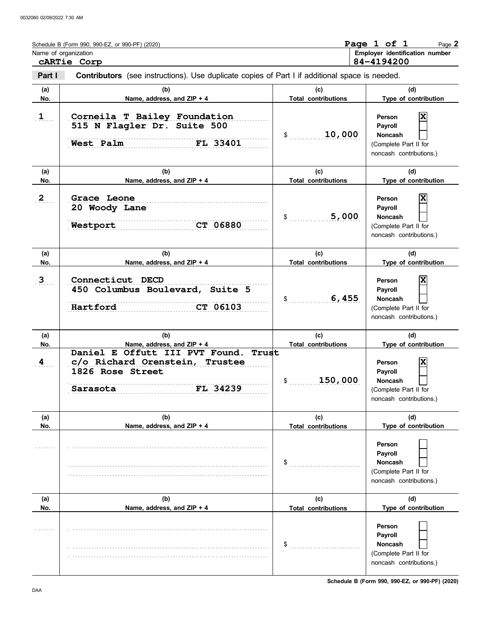|                      | Schedule B (Form 990, 990-EZ, or 990-PF) (2020)<br>Name of organization<br><b>CARTie Corp</b>                                                    |                                             | Page 1 of 1<br>Page 2<br>Employer identification number<br>84-4194200                                         |
|----------------------|--------------------------------------------------------------------------------------------------------------------------------------------------|---------------------------------------------|---------------------------------------------------------------------------------------------------------------|
| Part I               | <b>Contributors</b> (see instructions). Use duplicate copies of Part I if additional space is needed.                                            |                                             |                                                                                                               |
| (a)<br>No.           | (b)<br>Name, address, and ZIP + 4                                                                                                                | (c)<br><b>Total contributions</b>           | (d)<br>Type of contribution                                                                                   |
| $1$                  | Corneila T Bailey Foundation<br>515 N Flagler Dr. Suite 500<br>FL 33401<br>West Palm                                                             | 10,000<br>$\sim$                            | X<br>Person<br>Payroll<br><b>Noncash</b><br>(Complete Part II for<br>noncash contributions.)                  |
| (a)<br>No.           | (b)<br>Name, address, and ZIP + 4                                                                                                                | (c)<br><b>Total contributions</b>           | (d)<br>Type of contribution                                                                                   |
| $\mathbf{2}$         | <b>Grace Leone</b><br>20 Woody Lane<br>CT 06880<br>Westport                                                                                      | 5,000<br>\$                                 | Χ<br>Person<br>Payroll<br><b>Noncash</b><br>(Complete Part II for<br>noncash contributions.)                  |
| (a)<br>No.           | (b)<br>Name, address, and ZIP + 4                                                                                                                | (c)<br><b>Total contributions</b>           | (d)<br>Type of contribution                                                                                   |
| 3 <sub>1</sub>       | Connecticut DECD<br>450 Columbus Boulevard, Suite 5<br>Hartford<br>CT 06103                                                                      | 6,455<br>\$                                 | Χ<br>Person<br>Payroll<br><b>Noncash</b><br>(Complete Part II for<br>noncash contributions.)                  |
| (a)                  | (b)                                                                                                                                              | (c)                                         | (d)                                                                                                           |
| No.<br>$\frac{4}{1}$ | Name, address, and ZIP + 4<br>Daniel E Offutt III PVT Found. Trust<br>c/o Richard Orenstein, Trustee<br>1826 Rose Street<br>FL 34239<br>Sarasota | <b>Total contributions</b><br>150,000<br>\$ | Type of contribution<br>X<br>Person<br>Payroll<br>Noncash<br>(Complete Part II for<br>noncash contributions.) |
| (a)<br>No.           | (b)<br>Name, address, and ZIP + 4                                                                                                                | (c)<br><b>Total contributions</b>           | (d)<br>Type of contribution                                                                                   |
|                      |                                                                                                                                                  | \$                                          | Person<br>Payroll<br>Noncash<br>(Complete Part II for<br>noncash contributions.)                              |
| (a)<br>No.           | (b)<br>Name, address, and ZIP + 4                                                                                                                | (c)<br><b>Total contributions</b>           | (d)<br>Type of contribution                                                                                   |
|                      |                                                                                                                                                  | \$                                          | Person<br>Payroll<br><b>Noncash</b><br>(Complete Part II for<br>noncash contributions.)                       |

**Schedule B (Form 990, 990-EZ, or 990-PF) (2020)**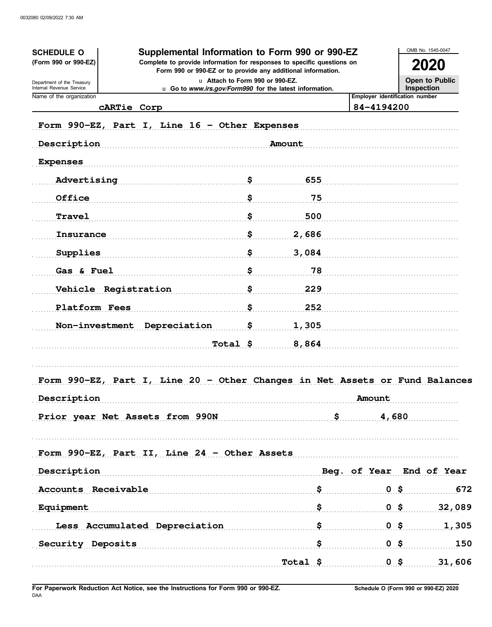| <b>SCHEDULE O</b>                                                           | Supplemental Information to Form 990 or 990-EZ                                                                                         |        |                                              | OMB No. 1545-0047                          |  |  |  |
|-----------------------------------------------------------------------------|----------------------------------------------------------------------------------------------------------------------------------------|--------|----------------------------------------------|--------------------------------------------|--|--|--|
| (Form 990 or 990-EZ)                                                        | Complete to provide information for responses to specific questions on<br>Form 990 or 990-EZ or to provide any additional information. |        | <b>2020</b>                                  |                                            |  |  |  |
| Department of the Treasury<br>Internal Revenue Service                      | u Attach to Form 990 or 990-EZ.<br>u Go to www.irs.gov/Form990 for the latest information.                                             |        |                                              | <b>Open to Public</b><br><b>Inspection</b> |  |  |  |
| Name of the organization<br><b>CARTie Corp</b>                              |                                                                                                                                        |        | Employer identification number<br>84-4194200 |                                            |  |  |  |
|                                                                             |                                                                                                                                        |        |                                              |                                            |  |  |  |
| Form 990-EZ, Part I, Line 16 - Other Expenses                               |                                                                                                                                        |        |                                              |                                            |  |  |  |
| Description                                                                 |                                                                                                                                        | Amount |                                              |                                            |  |  |  |
| <b>Expenses</b>                                                             |                                                                                                                                        |        |                                              |                                            |  |  |  |
| Advertising                                                                 | \$                                                                                                                                     | 655    |                                              |                                            |  |  |  |
| Office                                                                      | \$                                                                                                                                     | 75     |                                              |                                            |  |  |  |
| Travel                                                                      | \$                                                                                                                                     | 500    |                                              |                                            |  |  |  |
| Insurance                                                                   | \$                                                                                                                                     | 2,686  |                                              |                                            |  |  |  |
| Supplies                                                                    | \$                                                                                                                                     | 3,084  |                                              |                                            |  |  |  |
| Gas & Fuel                                                                  | \$                                                                                                                                     | 78     |                                              |                                            |  |  |  |
| Vehicle Registration                                                        | \$                                                                                                                                     | 229    |                                              |                                            |  |  |  |
| Platform Fees                                                               | Ŝ                                                                                                                                      | 252    |                                              |                                            |  |  |  |
| Non-investment                                                              | Depreciation                                                                                                                           | 1,305  |                                              |                                            |  |  |  |
|                                                                             | Total \$                                                                                                                               | 8,864  |                                              |                                            |  |  |  |
|                                                                             |                                                                                                                                        |        |                                              |                                            |  |  |  |
| Form 990-EZ, Part I, Line 20 - Other Changes in Net Assets or Fund Balances |                                                                                                                                        |        |                                              |                                            |  |  |  |
| Description                                                                 |                                                                                                                                        |        | Amount                                       |                                            |  |  |  |
| Prior year Net Assets from 990N \$ 4,680                                    |                                                                                                                                        |        |                                              |                                            |  |  |  |
|                                                                             |                                                                                                                                        |        |                                              |                                            |  |  |  |
| Form $990-EZ$ , Part II, Line $24$ - Other Assets                           |                                                                                                                                        |        |                                              |                                            |  |  |  |
| Description                                                                 |                                                                                                                                        |        |                                              |                                            |  |  |  |
|                                                                             | Beg. of Year End of Year                                                                                                               |        |                                              |                                            |  |  |  |
| Accounts Receivable 672                                                     |                                                                                                                                        |        |                                              |                                            |  |  |  |
| Equipment                                                                   | $\frac{1}{5}$ 0 \$ 32,089                                                                                                              |        |                                              |                                            |  |  |  |
| Less Accumulated Depreciation 5 0 \$ 1,305                                  |                                                                                                                                        |        |                                              |                                            |  |  |  |
| Security Deposits 5 5 0 \$ 150                                              |                                                                                                                                        |        |                                              |                                            |  |  |  |
|                                                                             |                                                                                                                                        |        |                                              | Total $\frac{1}{5}$ 0 \$ 31,606            |  |  |  |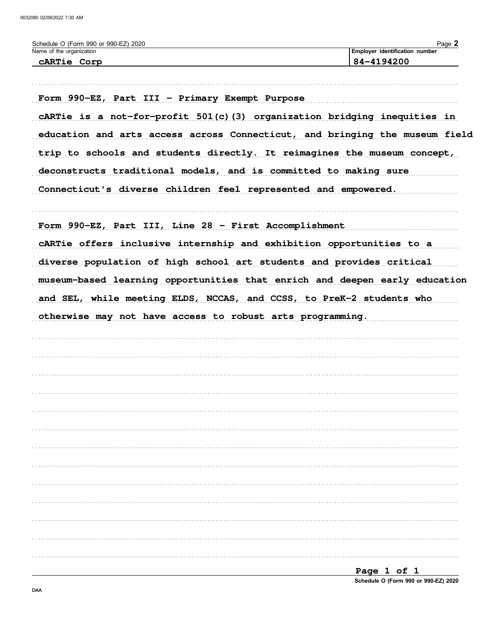. . . . . . . . . . . . . . . .

| Schedule O (Form 990 or 990-EZ) 2020 | Page 2                         |
|--------------------------------------|--------------------------------|
| Name of the organization             | Employer identification number |
| <b>CARTie Corp</b>                   | 84-4194200                     |
|                                      |                                |

| Form 990-EZ, Part III - Primary Exempt Purpose                              |
|-----------------------------------------------------------------------------|
| $c$ ARTie is a not-for-profit 501(c)(3) organization bridging inequities in |
| education and arts access across Connecticut, and bringing the museum field |
| trip to schools and students directly. It reimagines the museum concept,    |
| deconstructs traditional models, and is committed to making sure            |
| Connecticut's diverse children feel represented and empowered.              |
| Form 990-EZ, Part III, Line 28 - First Accomplishment                       |
| cARTie offers inclusive internship and exhibition opportunities to a        |
| diverse population of high school art students and provides critical        |
| museum-based learning opportunities that enrich and deepen early education  |
| and SEL, while meeting ELDS, NCCAS, and CCSS, to PreK-2 students who        |
| otherwise may not have access to robust arts programming.                   |
|                                                                             |
|                                                                             |
|                                                                             |
|                                                                             |
|                                                                             |
|                                                                             |
|                                                                             |
|                                                                             |
|                                                                             |
|                                                                             |
|                                                                             |
|                                                                             |
|                                                                             |

Page 1 of 1 Schedule O (Form 990 or 990-EZ) 2020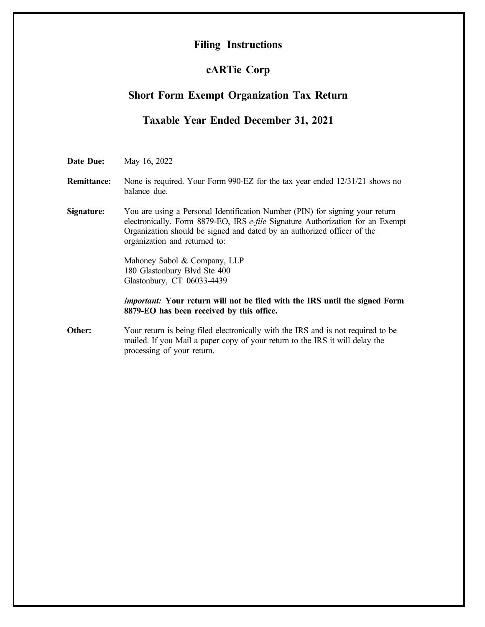### **Filing Instructions**

### **cARTie Corp**

### **Short Form Exempt Organization Tax Return**

#### **Taxable Year Ended December 31, 2021**

**Date Due:** May 16, 2022

- **Remittance:** None is required. Your Form 990-EZ for the tax year ended  $12/31/21$  shows no balance due.
- **Signature:** You are using a Personal Identification Number (PIN) for signing your return electronically. Form 8879-EO, IRS *e-file* Signature Authorization for an Exempt Organization should be signed and dated by an authorized officer of the organization and returned to:

Mahoney Sabol & Company, LLP 180 Glastonbury Blvd Ste 400 Glastonbury, CT 06033-4439

*Important:* **Your return will not be filed with the IRS until the signed Form 8879-EO has been received by this office.**

**Other:** Your return is being filed electronically with the IRS and is not required to be mailed. If you Mail a paper copy of your return to the IRS it will delay the processing of your return.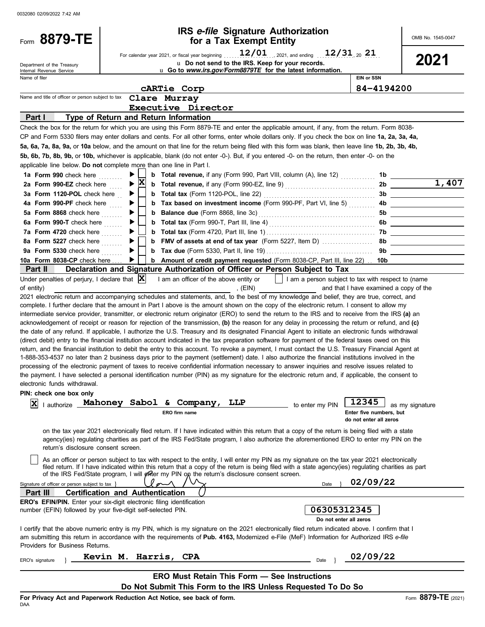| Form 8879-TE                                                         | <b>IRS e-file Signature Authorization</b><br>for a Tax Exempt Entity                                                                                                                                                                                                                              |                                        | OMB No. 1545-0047 |
|----------------------------------------------------------------------|---------------------------------------------------------------------------------------------------------------------------------------------------------------------------------------------------------------------------------------------------------------------------------------------------|----------------------------------------|-------------------|
|                                                                      | For calendar year 2021, or fiscal year beginning $12/01$ , 2021, and ending $12/31$ , 20 21                                                                                                                                                                                                       |                                        |                   |
| Department of the Treasury                                           | u Do not send to the IRS. Keep for your records.                                                                                                                                                                                                                                                  |                                        | 2021              |
| Internal Revenue Service<br>Name of filer                            | u Go to www.irs.gov/Form8879TE for the latest information.                                                                                                                                                                                                                                        | <b>EIN or SSN</b>                      |                   |
|                                                                      | <b>CARTie Corp</b>                                                                                                                                                                                                                                                                                | 84-4194200                             |                   |
| Name and title of officer or person subject to tax                   | Clare Murray                                                                                                                                                                                                                                                                                      |                                        |                   |
|                                                                      | <b>Executive Director</b>                                                                                                                                                                                                                                                                         |                                        |                   |
| Part I                                                               | Type of Return and Return Information                                                                                                                                                                                                                                                             |                                        |                   |
|                                                                      | Check the box for the return for which you are using this Form 8879-TE and enter the applicable amount, if any, from the return. Form 8038-                                                                                                                                                       |                                        |                   |
|                                                                      | CP and Form 5330 filers may enter dollars and cents. For all other forms, enter whole dollars only. If you check the box on line 1a, 2a, 3a, 4a,                                                                                                                                                  |                                        |                   |
|                                                                      | 5a, 6a, 7a, 8a, 9a, or 10a below, and the amount on that line for the return being filed with this form was blank, then leave line 1b, 2b, 3b, 4b,                                                                                                                                                |                                        |                   |
|                                                                      | 5b, 6b, 7b, 8b, 9b, or 10b, whichever is applicable, blank (do not enter -0-). But, if you entered -0- on the return, then enter -0- on the                                                                                                                                                       |                                        |                   |
|                                                                      | applicable line below. Do not complete more than one line in Part I.                                                                                                                                                                                                                              |                                        |                   |
| 1a Form 990 check here $\qquad \qquad \blacktriangleright$           | b Total revenue, if any (Form 990, Part VIII, column (A), line 12)  1b __________                                                                                                                                                                                                                 |                                        |                   |
| 2a Form 990-EZ check here                                            | $\blacktriangleright \boxed{\text{X}}$                                                                                                                                                                                                                                                            |                                        | 1,407<br>2b       |
| 3a Form 1120-POL check here $\mathbb{R}$                             |                                                                                                                                                                                                                                                                                                   |                                        |                   |
| 4a Form 990-PF check here $\Box$                                     |                                                                                                                                                                                                                                                                                                   |                                        |                   |
| 5a Form 8868 check here $\Box$                                       |                                                                                                                                                                                                                                                                                                   |                                        |                   |
| 6a Form 990-T check here                                             | $\blacktriangleright$ 1                                                                                                                                                                                                                                                                           |                                        |                   |
| 7a Form 4720 check here                                              | $\blacktriangleright$ $\vdash$                                                                                                                                                                                                                                                                    |                                        |                   |
| 8a Form 5227 check here                                              | $\blacktriangleright$                                                                                                                                                                                                                                                                             |                                        |                   |
| 9a Form 5330 check here                                              | ▶                                                                                                                                                                                                                                                                                                 |                                        |                   |
| 10a Form 8038-CP check here                                          | ▶<br><b>b</b> Amount of credit payment requested (Form 8038-CP, Part III, line 22)                                                                                                                                                                                                                | 10b                                    |                   |
| Part II<br>Under penalties of perjury, I declare that $ \mathbf{X} $ | Declaration and Signature Authorization of Officer or Person Subject to Tax<br>I am an officer of the above entity or $\vert \vert$ I am a person subject to tax with respect to (name                                                                                                            |                                        |                   |
| of entity)                                                           | , (EIN)                                                                                                                                                                                                                                                                                           | and that I have examined a copy of the |                   |
|                                                                      | 2021 electronic return and accompanying schedules and statements, and, to the best of my knowledge and belief, they are true, correct, and                                                                                                                                                        |                                        |                   |
|                                                                      | complete. I further declare that the amount in Part I above is the amount shown on the copy of the electronic return. I consent to allow my                                                                                                                                                       |                                        |                   |
|                                                                      | intermediate service provider, transmitter, or electronic return originator (ERO) to send the return to the IRS and to receive from the IRS (a) an                                                                                                                                                |                                        |                   |
|                                                                      | acknowledgement of receipt or reason for rejection of the transmission, (b) the reason for any delay in processing the return or refund, and (c)                                                                                                                                                  |                                        |                   |
|                                                                      | the date of any refund. If applicable, I authorize the U.S. Treasury and its designated Financial Agent to initiate an electronic funds withdrawal                                                                                                                                                |                                        |                   |
|                                                                      | (direct debit) entry to the financial institution account indicated in the tax preparation software for payment of the federal taxes owed on this                                                                                                                                                 |                                        |                   |
|                                                                      | return, and the financial institution to debit the entry to this account. To revoke a payment, I must contact the U.S. Treasury Financial Agent at                                                                                                                                                |                                        |                   |
|                                                                      | 1-888-353-4537 no later than 2 business days prior to the payment (settlement) date. I also authorize the financial institutions involved in the                                                                                                                                                  |                                        |                   |
|                                                                      | processing of the electronic payment of taxes to receive confidential information necessary to answer inquiries and resolve issues related to<br>the payment. I have selected a personal identification number (PIN) as my signature for the electronic return and, if applicable, the consent to |                                        |                   |
| electronic funds withdrawal.                                         |                                                                                                                                                                                                                                                                                                   |                                        |                   |
| PIN: check one box only                                              |                                                                                                                                                                                                                                                                                                   |                                        |                   |
| ΙX<br>authorize                                                      | Mahoney Sabol & Company,<br><b>LLP</b><br>to enter my PIN                                                                                                                                                                                                                                         | 12345                                  |                   |
|                                                                      | ERO firm name                                                                                                                                                                                                                                                                                     | Enter five numbers, but                | as my signature   |
|                                                                      |                                                                                                                                                                                                                                                                                                   | do not enter all zeros                 |                   |
|                                                                      | on the tax year 2021 electronically filed return. If I have indicated within this return that a copy of the return is being filed with a state                                                                                                                                                    |                                        |                   |
|                                                                      | agency(ies) regulating charities as part of the IRS Fed/State program, I also authorize the aforementioned ERO to enter my PIN on the                                                                                                                                                             |                                        |                   |
| return's disclosure consent screen.                                  |                                                                                                                                                                                                                                                                                                   |                                        |                   |
|                                                                      | As an officer or person subject to tax with respect to the entity, I will enter my PIN as my signature on the tax year 2021 electronically                                                                                                                                                        |                                        |                   |
|                                                                      | filed return. If I have indicated within this return that a copy of the return is being filed with a state agency(ies) regulating charities as part                                                                                                                                               |                                        |                   |
|                                                                      | of the IRS Fed/State program, I will effer my PIN on the return's disclosure consent screen.                                                                                                                                                                                                      | 02/09/22                               |                   |
| Signature of officer or person subject to tax }<br>Part III          | <b>Certification and Authentication</b>                                                                                                                                                                                                                                                           | Date                                   |                   |
|                                                                      | <b>ERO's EFIN/PIN.</b> Enter your six-digit electronic filing identification                                                                                                                                                                                                                      |                                        |                   |
|                                                                      | number (EFIN) followed by your five-digit self-selected PIN.                                                                                                                                                                                                                                      | 06305312345                            |                   |
|                                                                      |                                                                                                                                                                                                                                                                                                   | Do not enter all zeros                 |                   |
|                                                                      | I certify that the above numeric entry is my PIN, which is my signature on the 2021 electronically filed return indicated above. I confirm that I                                                                                                                                                 |                                        |                   |
|                                                                      | am submitting this return in accordance with the requirements of Pub. 4163, Modernized e-File (MeF) Information for Authorized IRS e-file                                                                                                                                                         |                                        |                   |
| Providers for Business Returns.                                      |                                                                                                                                                                                                                                                                                                   |                                        |                   |
| ERO's signature                                                      | Kevin M. Harris, CPA                                                                                                                                                                                                                                                                              | 02/09/22<br>Date                       |                   |
|                                                                      |                                                                                                                                                                                                                                                                                                   |                                        |                   |
|                                                                      | <b>ERO Must Retain This Form - See Instructions</b>                                                                                                                                                                                                                                               |                                        |                   |
|                                                                      | Do Not Submit This Form to the IRS Unless Requested To Do So                                                                                                                                                                                                                                      |                                        |                   |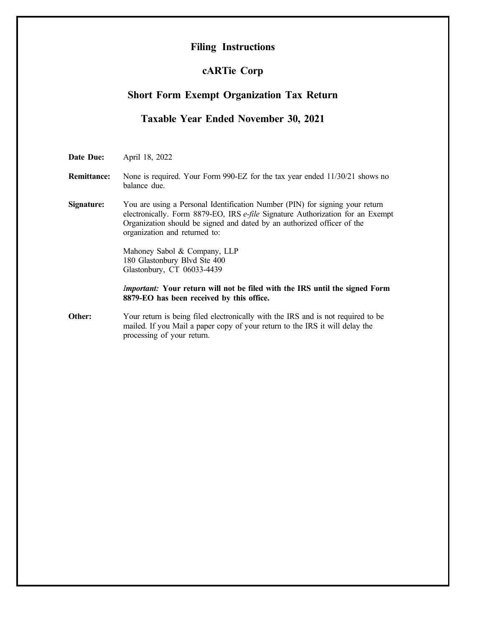#### **Filing Instructions**

## **cARTie Corp**

#### **Short Form Exempt Organization Tax Return**

#### **Taxable Year Ended November 30, 2021**

**Date Due:** April 18, 2022

#### **Remittance:** None is required. Your Form 990-EZ for the tax year ended 11/30/21 shows no balance due.

**Signature:** You are using a Personal Identification Number (PIN) for signing your return electronically. Form 8879-EO, IRS *e-file* Signature Authorization for an Exempt Organization should be signed and dated by an authorized officer of the organization and returned to:

> Mahoney Sabol & Company, LLP 180 Glastonbury Blvd Ste 400 Glastonbury, CT 06033-4439

#### *Important:* **Your return will not be filed with the IRS until the signed Form 8879-EO has been received by this office.**

**Other:** Your return is being filed electronically with the IRS and is not required to be mailed. If you Mail a paper copy of your return to the IRS it will delay the processing of your return.